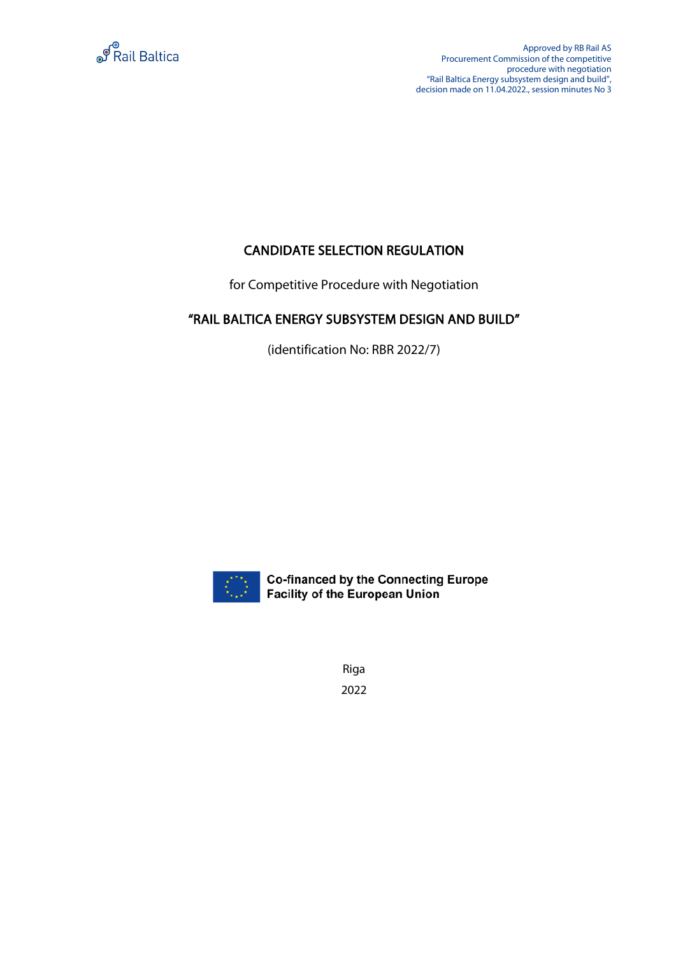

Approved by RB Rail AS Procurement Commission of the competitive procedure with negotiation "Rail Baltica Energy subsystem design and build", decision made on 11.04.2022., session minutes No 3

## CANDIDATE SELECTION REGULATION

for Competitive Procedure with Negotiation

# "RAIL BALTICA ENERGY SUBSYSTEM DESIGN AND BUILD"

(identification No: RBR 2022/7)



**Co-financed by the Connecting Europe Facility of the European Union** 

Riga 2022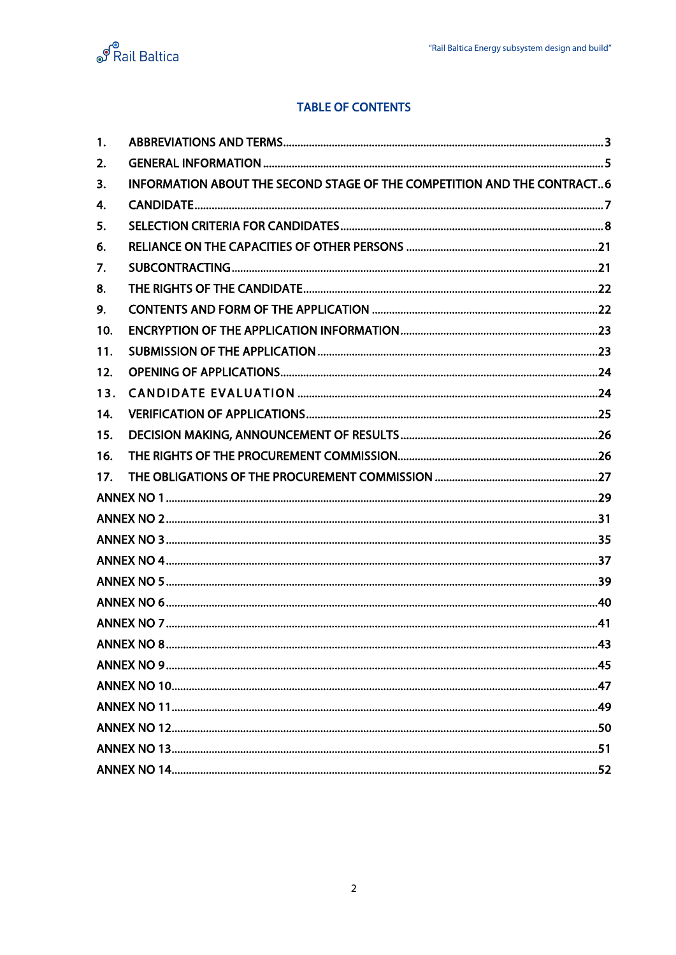

## **TABLE OF CONTENTS**

| 1.  |                                                                         |  |
|-----|-------------------------------------------------------------------------|--|
| 2.  |                                                                         |  |
| 3.  | INFORMATION ABOUT THE SECOND STAGE OF THE COMPETITION AND THE CONTRACT6 |  |
| 4.  |                                                                         |  |
| 5.  |                                                                         |  |
| 6.  |                                                                         |  |
| 7.  |                                                                         |  |
| 8.  |                                                                         |  |
| 9.  |                                                                         |  |
| 10. |                                                                         |  |
| 11. |                                                                         |  |
| 12. |                                                                         |  |
| 13. |                                                                         |  |
| 14. |                                                                         |  |
| 15. |                                                                         |  |
| 16. |                                                                         |  |
| 17. |                                                                         |  |
|     |                                                                         |  |
|     |                                                                         |  |
|     |                                                                         |  |
|     |                                                                         |  |
|     |                                                                         |  |
|     |                                                                         |  |
|     |                                                                         |  |
|     |                                                                         |  |
|     |                                                                         |  |
|     |                                                                         |  |
|     |                                                                         |  |
|     |                                                                         |  |
|     |                                                                         |  |
|     |                                                                         |  |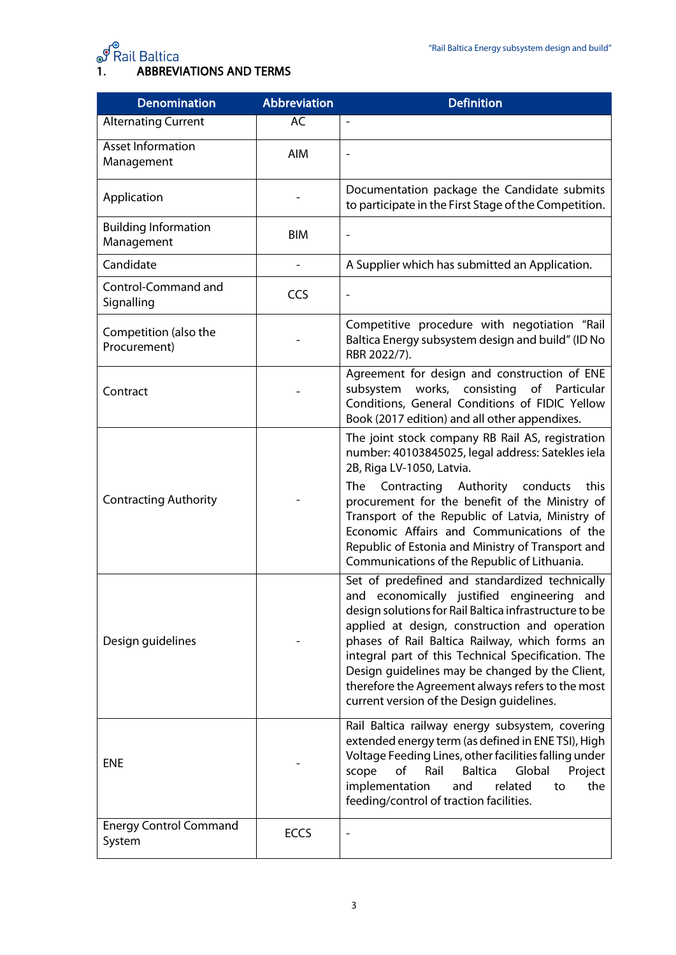<span id="page-2-0"></span>

# ூ<br>1. ABBREVIATIONS AND TERMS

| <b>Denomination</b>                       | Abbreviation | <b>Definition</b>                                                                                                                                                                                                                                                                                                                                                                                                                                                       |
|-------------------------------------------|--------------|-------------------------------------------------------------------------------------------------------------------------------------------------------------------------------------------------------------------------------------------------------------------------------------------------------------------------------------------------------------------------------------------------------------------------------------------------------------------------|
| <b>Alternating Current</b>                | AC           | $\overline{\phantom{a}}$                                                                                                                                                                                                                                                                                                                                                                                                                                                |
| Asset Information<br>Management           | AIM          |                                                                                                                                                                                                                                                                                                                                                                                                                                                                         |
| Application                               |              | Documentation package the Candidate submits<br>to participate in the First Stage of the Competition.                                                                                                                                                                                                                                                                                                                                                                    |
| <b>Building Information</b><br>Management | <b>BIM</b>   |                                                                                                                                                                                                                                                                                                                                                                                                                                                                         |
| Candidate                                 |              | A Supplier which has submitted an Application.                                                                                                                                                                                                                                                                                                                                                                                                                          |
| Control-Command and<br>Signalling         | CCS          |                                                                                                                                                                                                                                                                                                                                                                                                                                                                         |
| Competition (also the<br>Procurement)     |              | Competitive procedure with negotiation "Rail<br>Baltica Energy subsystem design and build" (ID No<br>RBR 2022/7).                                                                                                                                                                                                                                                                                                                                                       |
| Contract                                  |              | Agreement for design and construction of ENE<br>works, consisting<br>of Particular<br>subsystem<br>Conditions, General Conditions of FIDIC Yellow<br>Book (2017 edition) and all other appendixes.                                                                                                                                                                                                                                                                      |
| <b>Contracting Authority</b>              |              | The joint stock company RB Rail AS, registration<br>number: 40103845025, legal address: Satekles iela<br>2B, Riga LV-1050, Latvia.<br>Contracting Authority conducts<br>The<br>this<br>procurement for the benefit of the Ministry of<br>Transport of the Republic of Latvia, Ministry of<br>Economic Affairs and Communications of the<br>Republic of Estonia and Ministry of Transport and<br>Communications of the Republic of Lithuania.                            |
| Design guidelines                         |              | Set of predefined and standardized technically<br>and economically justified engineering<br>and<br>design solutions for Rail Baltica infrastructure to be<br>applied at design, construction and operation<br>phases of Rail Baltica Railway, which forms an<br>integral part of this Technical Specification. The<br>Design guidelines may be changed by the Client,<br>therefore the Agreement always refers to the most<br>current version of the Design guidelines. |
| <b>ENE</b>                                |              | Rail Baltica railway energy subsystem, covering<br>extended energy term (as defined in ENETSI), High<br>Voltage Feeding Lines, other facilities falling under<br>Global<br>of<br>Rail<br><b>Baltica</b><br>Project<br>scope<br>implementation<br>related<br>and<br>the<br>to<br>feeding/control of traction facilities.                                                                                                                                                 |
| <b>Energy Control Command</b><br>System   | <b>ECCS</b>  |                                                                                                                                                                                                                                                                                                                                                                                                                                                                         |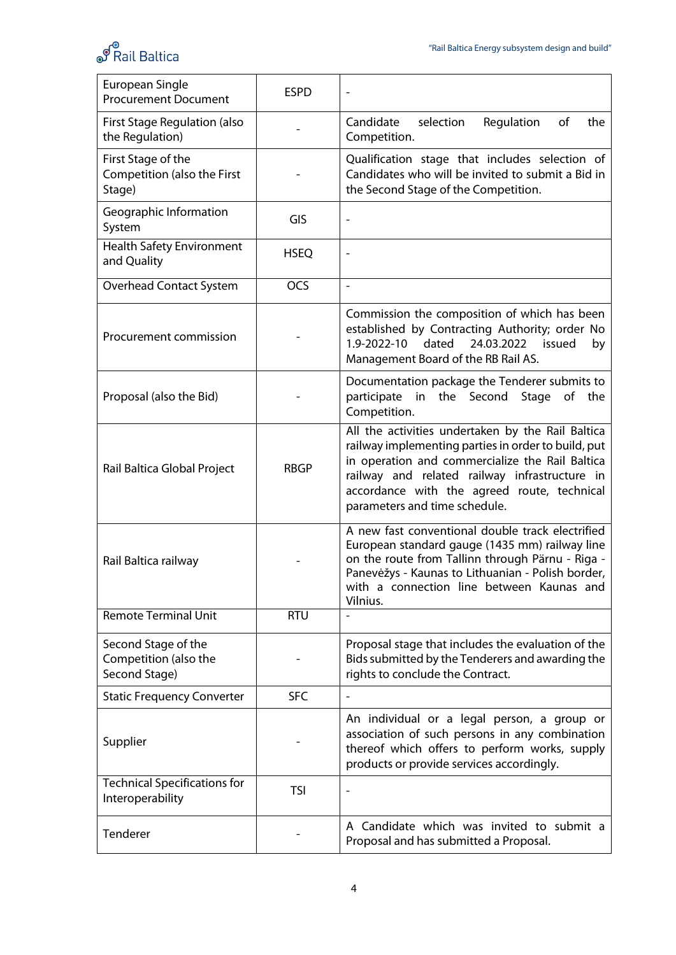

| European Single<br><b>Procurement Document</b>                | <b>ESPD</b> |                                                                                                                                                                                                                                                                                              |
|---------------------------------------------------------------|-------------|----------------------------------------------------------------------------------------------------------------------------------------------------------------------------------------------------------------------------------------------------------------------------------------------|
| <b>First Stage Regulation (also</b><br>the Regulation)        |             | Candidate<br>of<br>selection<br>Regulation<br>the<br>Competition.                                                                                                                                                                                                                            |
| First Stage of the<br>Competition (also the First<br>Stage)   |             | Qualification stage that includes selection of<br>Candidates who will be invited to submit a Bid in<br>the Second Stage of the Competition.                                                                                                                                                  |
| Geographic Information<br>System                              | GIS         | $\overline{a}$                                                                                                                                                                                                                                                                               |
| <b>Health Safety Environment</b><br>and Quality               | <b>HSEQ</b> | $\overline{a}$                                                                                                                                                                                                                                                                               |
| <b>Overhead Contact System</b>                                | <b>OCS</b>  | $\blacksquare$                                                                                                                                                                                                                                                                               |
| Procurement commission                                        |             | Commission the composition of which has been<br>established by Contracting Authority; order No<br>dated<br>1.9-2022-10<br>24.03.2022<br>issued<br>by<br>Management Board of the RB Rail AS.                                                                                                  |
| Proposal (also the Bid)                                       |             | Documentation package the Tenderer submits to<br>in the Second<br>participate<br>Stage<br>of<br>the<br>Competition.                                                                                                                                                                          |
| Rail Baltica Global Project                                   | <b>RBGP</b> | All the activities undertaken by the Rail Baltica<br>railway implementing parties in order to build, put<br>in operation and commercialize the Rail Baltica<br>railway and related railway infrastructure in<br>accordance with the agreed route, technical<br>parameters and time schedule. |
| Rail Baltica railway                                          |             | A new fast conventional double track electrified<br>European standard gauge (1435 mm) railway line<br>on the route from Tallinn through Pärnu - Riga -<br>Panevėžys - Kaunas to Lithuanian - Polish border,<br>with a connection line between Kaunas and<br>Vilnius.                         |
| <b>Remote Terminal Unit</b>                                   | <b>RTU</b>  |                                                                                                                                                                                                                                                                                              |
| Second Stage of the<br>Competition (also the<br>Second Stage) |             | Proposal stage that includes the evaluation of the<br>Bids submitted by the Tenderers and awarding the<br>rights to conclude the Contract.                                                                                                                                                   |
| <b>Static Frequency Converter</b>                             | <b>SFC</b>  |                                                                                                                                                                                                                                                                                              |
| Supplier                                                      |             | An individual or a legal person, a group or<br>association of such persons in any combination<br>thereof which offers to perform works, supply<br>products or provide services accordingly.                                                                                                  |
| <b>Technical Specifications for</b><br>Interoperability       | <b>TSI</b>  | $\qquad \qquad \blacksquare$                                                                                                                                                                                                                                                                 |
| Tenderer                                                      |             | A Candidate which was invited to submit a<br>Proposal and has submitted a Proposal.                                                                                                                                                                                                          |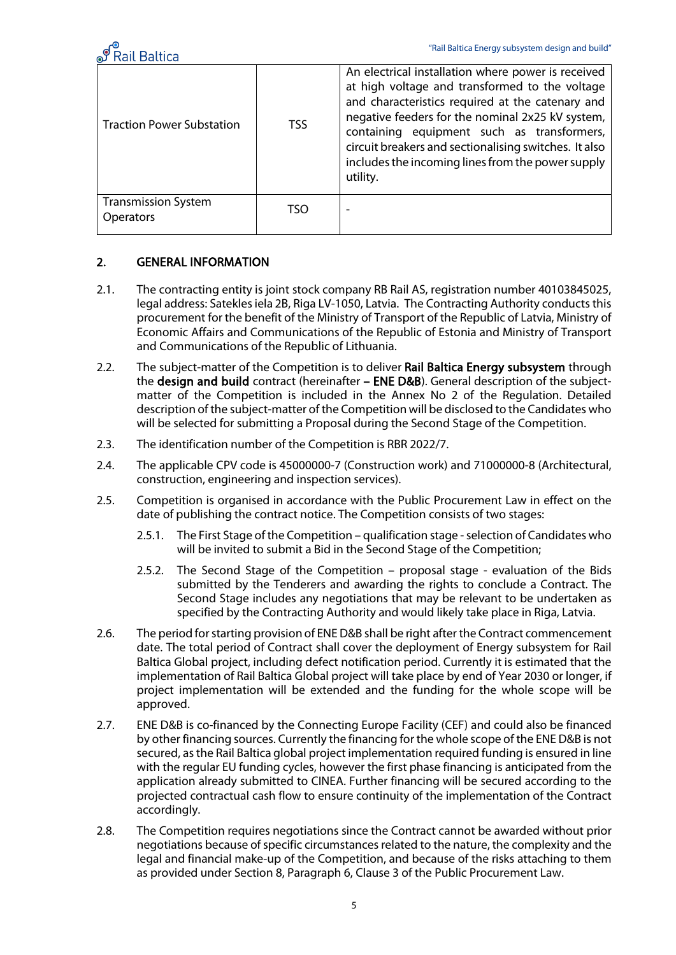

| <b>Traction Power Substation</b>               | TSS. | An electrical installation where power is received<br>at high voltage and transformed to the voltage<br>and characteristics required at the catenary and<br>negative feeders for the nominal 2x25 kV system,<br>containing equipment such as transformers,<br>circuit breakers and sectionalising switches. It also<br>includes the incoming lines from the power supply<br>utility. |
|------------------------------------------------|------|--------------------------------------------------------------------------------------------------------------------------------------------------------------------------------------------------------------------------------------------------------------------------------------------------------------------------------------------------------------------------------------|
| <b>Transmission System</b><br><b>Operators</b> | TSO  | $\overline{\phantom{0}}$                                                                                                                                                                                                                                                                                                                                                             |

#### <span id="page-4-0"></span>2. GENERAL INFORMATION

- 2.1. The contracting entity is joint stock company RB Rail AS, registration number 40103845025, legal address: Satekles iela 2B, Riga LV-1050, Latvia. The Contracting Authority conducts this procurement for the benefit of the Ministry of Transport of the Republic of Latvia, Ministry of Economic Affairs and Communications of the Republic of Estonia and Ministry of Transport and Communications of the Republic of Lithuania.
- 2.2. The subject-matter of the Competition is to deliver Rail Baltica Energy subsystem through the design and build contract (hereinafter – ENE D&B). General description of the subjectmatter of the Competition is included in the Annex No 2 of the Regulation. Detailed description of the subject-matter of the Competition will be disclosed to the Candidates who will be selected for submitting a Proposal during the Second Stage of the Competition.
- 2.3. The identification number of the Competition is RBR 2022/7.
- 2.4. The applicable CPV code is 45000000-7 (Construction work) and 71000000-8 (Architectural, construction, engineering and inspection services).
- 2.5. Competition is organised in accordance with the Public Procurement Law in effect on the date of publishing the contract notice. The Competition consists of two stages:
	- 2.5.1. The First Stage of the Competition qualification stage selection of Candidates who will be invited to submit a Bid in the Second Stage of the Competition;
	- 2.5.2. The Second Stage of the Competition proposal stage evaluation of the Bids submitted by the Tenderers and awarding the rights to conclude a Contract. The Second Stage includes any negotiations that may be relevant to be undertaken as specified by the Contracting Authority and would likely take place in Riga, Latvia.
- 2.6. The period for starting provision of ENE D&B shall be right after the Contract commencement date. The total period of Contract shall cover the deployment of Energy subsystem for Rail Baltica Global project, including defect notification period. Currently it is estimated that the implementation of Rail Baltica Global project will take place by end of Year 2030 or longer, if project implementation will be extended and the funding for the whole scope will be approved.
- 2.7. ENE D&B is co-financed by the Connecting Europe Facility (CEF) and could also be financed by other financing sources. Currently the financing for the whole scope of the ENE D&B is not secured, as the Rail Baltica global project implementation required funding is ensured in line with the regular EU funding cycles, however the first phase financing is anticipated from the application already submitted to CINEA. Further financing will be secured according to the projected contractual cash flow to ensure continuity of the implementation of the Contract accordingly.
- 2.8. The Competition requires negotiations since the Contract cannot be awarded without prior negotiations because of specific circumstances related to the nature, the complexity and the legal and financial make-up of the Competition, and because of the risks attaching to them as provided under Section 8, Paragraph 6, Clause 3 of the Public Procurement Law.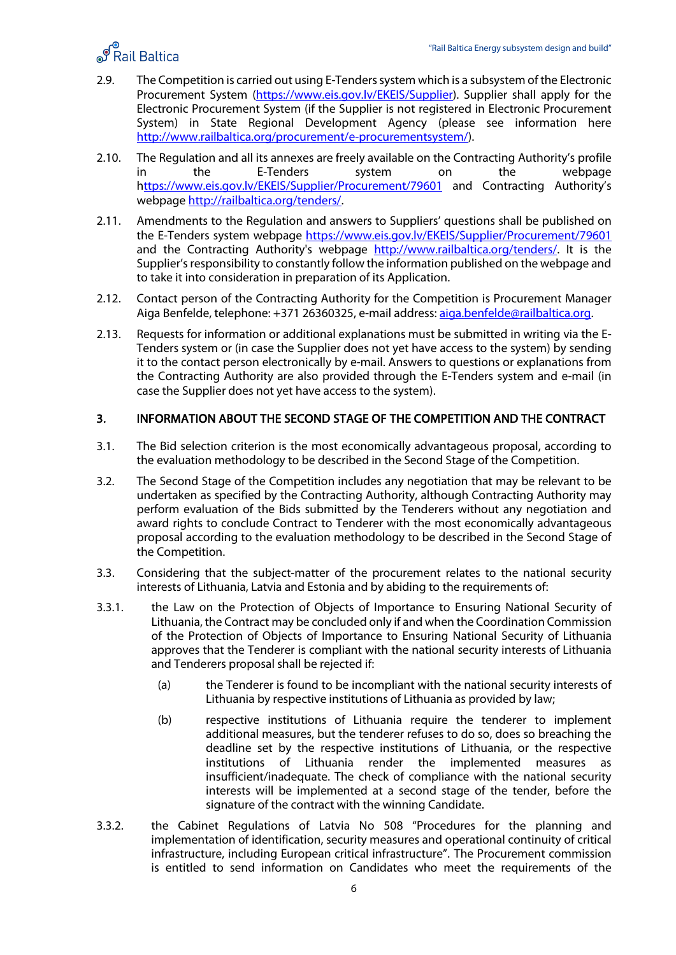

- 2.9. The Competition is carried out using E-Tenders system which is a subsystem of the Electronic Procurement System [\(https://www.eis.gov.lv/EKEIS/Supplier\)](https://www.eis.gov.lv/EKEIS/Supplier). Supplier shall apply for the Electronic Procurement System (if the Supplier is not registered in Electronic Procurement System) in State Regional Development Agency (please see information here [http://www.railbaltica.org/procurement/e-procurementsystem/\)](http://www.railbaltica.org/procurement/e-procurementsystem/).
- 2.10. The Regulation and all its annexes are freely available on the Contracting Authority's profile in the E-Tenders system on the webpage [https://www.eis.gov.lv/EKEIS/Supplier/Procurement/79601](https://www.eis.gov.lv/EKEIS/Supplier/Procurement/46598) and Contracting Authority's webpage [http://railbaltica.org/tenders/.](http://railbaltica.org/tenders/)
- 2.11. Amendments to the Regulation and answers to Suppliers' questions shall be published on the E-Tenders system webpage [https://www.eis.gov.lv/EKEIS/Supplier/Procurement/79601](https://www.eis.gov.lv/EKEIS/Supplier/Procurement/46598) and the Contracting Authority's webpage [http://www.railbaltica.org/tenders/.](http://www.railbaltica.org/tenders/) It is the Supplier's responsibility to constantly follow the information published on the webpage and to take it into consideration in preparation of its Application.
- 2.12. Contact person of the Contracting Authority for the Competition is Procurement Manager Aiga Benfelde, telephone: +371 26360325, e-mail address: [aiga.benfelde@railbaltica.org.](mailto:aiga.benfelde@railbaltica.org)
- 2.13. Requests for information or additional explanations must be submitted in writing via the E-Tenders system or (in case the Supplier does not yet have access to the system) by sending it to the contact person electronically by e-mail. Answers to questions or explanations from the Contracting Authority are also provided through the E-Tenders system and e-mail (in case the Supplier does not yet have access to the system).

#### <span id="page-5-0"></span>3. INFORMATION ABOUT THE SECOND STAGE OF THE COMPETITION AND THE CONTRACT

- 3.1. The Bid selection criterion is the most economically advantageous proposal, according to the evaluation methodology to be described in the Second Stage of the Competition.
- 3.2. The Second Stage of the Competition includes any negotiation that may be relevant to be undertaken as specified by the Contracting Authority, although Contracting Authority may perform evaluation of the Bids submitted by the Tenderers without any negotiation and award rights to conclude Contract to Tenderer with the most economically advantageous proposal according to the evaluation methodology to be described in the Second Stage of the Competition.
- 3.3. Considering that the subject-matter of the procurement relates to the national security interests of Lithuania, Latvia and Estonia and by abiding to the requirements of:
- 3.3.1. the Law on the Protection of Objects of Importance to Ensuring National Security of Lithuania, the Contract may be concluded only if and when the Coordination Commission of the Protection of Objects of Importance to Ensuring National Security of Lithuania approves that the Tenderer is compliant with the national security interests of Lithuania and Tenderers proposal shall be rejected if:
	- (a) the Tenderer is found to be incompliant with the national security interests of Lithuania by respective institutions of Lithuania as provided by law;
	- (b) respective institutions of Lithuania require the tenderer to implement additional measures, but the tenderer refuses to do so, does so breaching the deadline set by the respective institutions of Lithuania, or the respective institutions of Lithuania render the implemented measures as insufficient/inadequate. The check of compliance with the national security interests will be implemented at a second stage of the tender, before the signature of the contract with the winning Candidate.
- 3.3.2. the Cabinet Regulations of Latvia No 508 "Procedures for the planning and implementation of identification, security measures and operational continuity of critical infrastructure, including European critical infrastructure". The Procurement commission is entitled to send information on Candidates who meet the requirements of the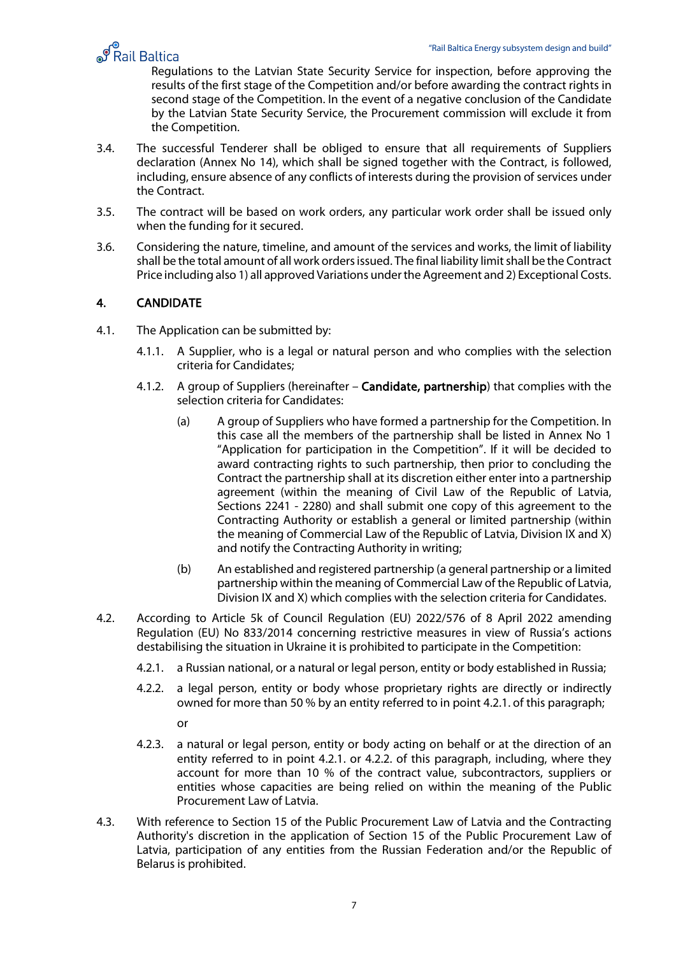

**Regulation State Security Service**<br>P Rail Baltica Energy subsystem design and pulid<br>Regulations to the Latvian State Security Service for inspection, before approving the results of the first stage of the Competition and/or before awarding the contract rights in second stage of the Competition. In the event of a negative conclusion of the Candidate by the Latvian State Security Service, the Procurement commission will exclude it from the Competition.

- 3.4. The successful Tenderer shall be obliged to ensure that all requirements of Suppliers declaration (Annex No 14), which shall be signed together with the Contract, is followed, including, ensure absence of any conflicts of interests during the provision of services under the Contract.
- 3.5. The contract will be based on work orders, any particular work order shall be issued only when the funding for it secured.
- 3.6. Considering the nature, timeline, and amount of the services and works, the limit of liability shall be the total amount of all work orders issued. The final liability limit shall be the Contract Price including also 1) all approved Variations under the Agreement and 2) Exceptional Costs.

#### <span id="page-6-0"></span>4. CANDIDATE

- 4.1. The Application can be submitted by:
	- 4.1.1. A Supplier, who is a legal or natural person and who complies with the selection criteria for Candidates;
	- 4.1.2. A group of Suppliers (hereinafter Candidate, partnership) that complies with the selection criteria for Candidates:
		- (a) A group of Suppliers who have formed a partnership for the Competition. In this case all the members of the partnership shall be listed in Annex No 1 "Application for participation in the Competition". If it will be decided to award contracting rights to such partnership, then prior to concluding the Contract the partnership shall at its discretion either enter into a partnership agreement (within the meaning of Civil Law of the Republic of Latvia, Sections 2241 - 2280) and shall submit one copy of this agreement to the Contracting Authority or establish a general or limited partnership (within the meaning of Commercial Law of the Republic of Latvia, Division IX and X) and notify the Contracting Authority in writing;
		- (b) An established and registered partnership (a general partnership or a limited partnership within the meaning of Commercial Law of the Republic of Latvia, Division IX and X) which complies with the selection criteria for Candidates.
- 4.2. According to Article 5k of Council Regulation (EU) 2022/576 of 8 April 2022 amending Regulation (EU) No 833/2014 concerning restrictive measures in view of Russia's actions destabilising the situation in Ukraine it is prohibited to participate in the Competition:
	- 4.2.1. a Russian national, or a natural or legal person, entity or body established in Russia;
	- 4.2.2. a legal person, entity or body whose proprietary rights are directly or indirectly owned for more than 50 % by an entity referred to in point 4.2.1. of this paragraph;
		- or
	- 4.2.3. a natural or legal person, entity or body acting on behalf or at the direction of an entity referred to in point 4.2.1. or 4.2.2. of this paragraph, including, where they account for more than 10 % of the contract value, subcontractors, suppliers or entities whose capacities are being relied on within the meaning of the Public Procurement Law of Latvia.
- 4.3. With reference to Section 15 of the Public Procurement Law of Latvia and the Contracting Authority's discretion in the application of Section 15 of the Public Procurement Law of Latvia, participation of any entities from the Russian Federation and/or the Republic of Belarus is prohibited.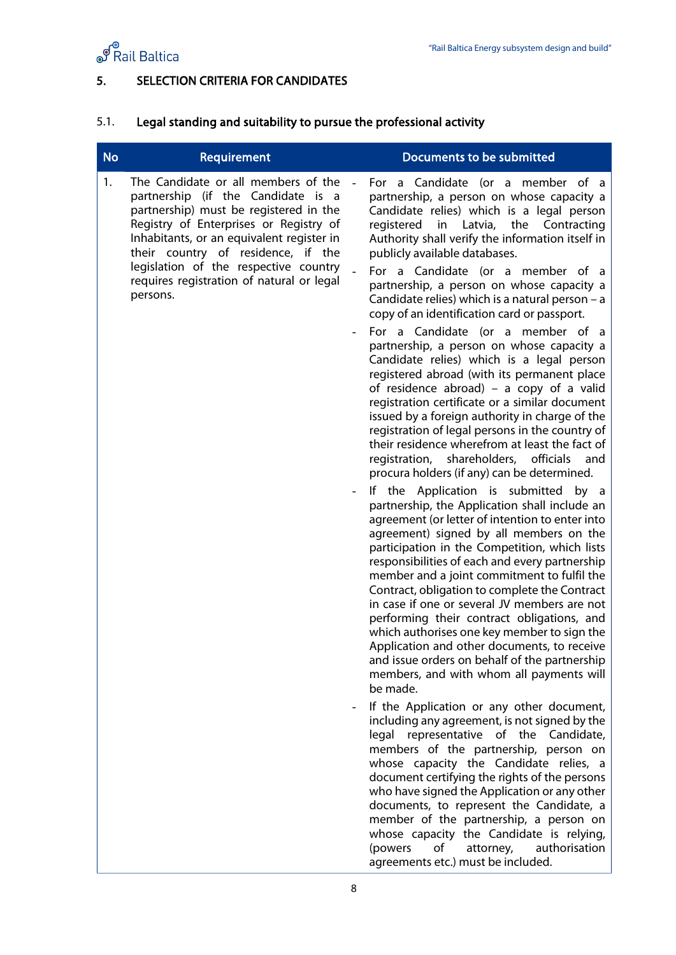

## <span id="page-7-0"></span>5. SELECTION CRITERIA FOR CANDIDATES

# 5.1. Legal standing and suitability to pursue the professional activity

| <b>No</b> | Requirement                                                                                                                                                                                                                                                                                                                                        |                          | <b>Documents to be submitted</b>                                                                                                                                                                                                                                                                                                                                                                                                                                                                                                                                                                                                                                                                                                                                                                                                                                                                                                                                                                                                                                                                  |
|-----------|----------------------------------------------------------------------------------------------------------------------------------------------------------------------------------------------------------------------------------------------------------------------------------------------------------------------------------------------------|--------------------------|---------------------------------------------------------------------------------------------------------------------------------------------------------------------------------------------------------------------------------------------------------------------------------------------------------------------------------------------------------------------------------------------------------------------------------------------------------------------------------------------------------------------------------------------------------------------------------------------------------------------------------------------------------------------------------------------------------------------------------------------------------------------------------------------------------------------------------------------------------------------------------------------------------------------------------------------------------------------------------------------------------------------------------------------------------------------------------------------------|
| 1.        | The Candidate or all members of the<br>partnership (if the Candidate is a<br>partnership) must be registered in the<br>Registry of Enterprises or Registry of<br>Inhabitants, or an equivalent register in<br>their country of residence, if the<br>legislation of the respective country<br>requires registration of natural or legal<br>persons. |                          | For a Candidate (or a member of a<br>partnership, a person on whose capacity a<br>Candidate relies) which is a legal person<br>registered<br>Latvia,<br>the<br>Contracting<br>in<br>Authority shall verify the information itself in<br>publicly available databases.<br>For a Candidate (or a member of a<br>partnership, a person on whose capacity a<br>Candidate relies) which is a natural person - a<br>copy of an identification card or passport.<br>For a Candidate (or a member of a<br>partnership, a person on whose capacity a<br>Candidate relies) which is a legal person                                                                                                                                                                                                                                                                                                                                                                                                                                                                                                          |
|           |                                                                                                                                                                                                                                                                                                                                                    | $\overline{\phantom{0}}$ | registered abroad (with its permanent place<br>of residence abroad) – a copy of a valid<br>registration certificate or a similar document<br>issued by a foreign authority in charge of the<br>registration of legal persons in the country of<br>their residence wherefrom at least the fact of<br>registration, shareholders, officials<br>and<br>procura holders (if any) can be determined.<br>If the Application is submitted<br>by a<br>partnership, the Application shall include an<br>agreement (or letter of intention to enter into<br>agreement) signed by all members on the<br>participation in the Competition, which lists<br>responsibilities of each and every partnership<br>member and a joint commitment to fulfil the<br>Contract, obligation to complete the Contract<br>in case if one or several JV members are not<br>performing their contract obligations, and<br>which authorises one key member to sign the<br>Application and other documents, to receive<br>and issue orders on behalf of the partnership<br>members, and with whom all payments will<br>be made. |
|           |                                                                                                                                                                                                                                                                                                                                                    |                          | If the Application or any other document,<br>including any agreement, is not signed by the<br>legal representative of the Candidate,<br>members of the partnership, person on<br>whose capacity the Candidate relies, a<br>document certifying the rights of the persons<br>who have signed the Application or any other<br>documents, to represent the Candidate, a<br>member of the partnership, a person on<br>whose capacity the Candidate is relying,<br>authorisation<br>(powers<br>of<br>attorney,<br>agreements etc.) must be included.                                                                                                                                                                                                                                                                                                                                                                                                                                                                                                                                                   |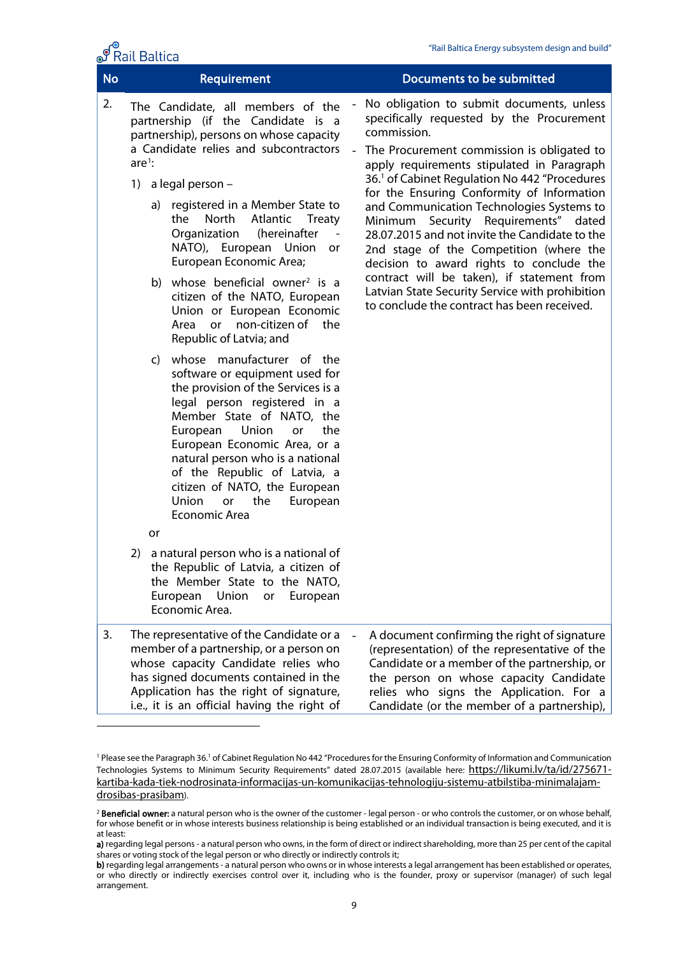| <b>No</b> | Requirement                |                                                                                                                                                                                                                                                                                                                                                                                                                                                                                                                                                                                                                                                                                                                                                   | <b>Documents to be submitted</b> |                                                                                                                                                                                                                                                                                                                                                                                                                                                                                                                                                                                                                                                                                               |  |  |
|-----------|----------------------------|---------------------------------------------------------------------------------------------------------------------------------------------------------------------------------------------------------------------------------------------------------------------------------------------------------------------------------------------------------------------------------------------------------------------------------------------------------------------------------------------------------------------------------------------------------------------------------------------------------------------------------------------------------------------------------------------------------------------------------------------------|----------------------------------|-----------------------------------------------------------------------------------------------------------------------------------------------------------------------------------------------------------------------------------------------------------------------------------------------------------------------------------------------------------------------------------------------------------------------------------------------------------------------------------------------------------------------------------------------------------------------------------------------------------------------------------------------------------------------------------------------|--|--|
| 2.        | $are1$ :<br>1)<br>a)<br>C) | The Candidate, all members of the<br>partnership (if the Candidate is a<br>partnership), persons on whose capacity<br>a Candidate relies and subcontractors<br>a legal person -<br>registered in a Member State to<br>Atlantic<br>the<br>North<br><b>Treaty</b><br>Organization<br>(hereinafter<br>NATO), European Union<br>or<br>European Economic Area;<br>b) whose beneficial owner <sup>2</sup> is a<br>citizen of the NATO, European<br>Union or European Economic<br>non-citizen of the<br>Area<br><b>or</b><br>Republic of Latvia; and<br>whose manufacturer of the<br>software or equipment used for<br>the provision of the Services is a<br>legal person registered in a<br>Member State of NATO, the<br>Union<br>European<br>the<br>or |                                  | No obligation to submit documents, unless<br>specifically requested by the Procurement<br>commission.<br>The Procurement commission is obligated to<br>apply requirements stipulated in Paragraph<br>36. <sup>1</sup> of Cabinet Regulation No 442 "Procedures<br>for the Ensuring Conformity of Information<br>and Communication Technologies Systems to<br>Security Requirements" dated<br>Minimum<br>28.07.2015 and not invite the Candidate to the<br>2nd stage of the Competition (where the<br>decision to award rights to conclude the<br>contract will be taken), if statement from<br>Latvian State Security Service with prohibition<br>to conclude the contract has been received. |  |  |
|           |                            | European Economic Area, or a<br>natural person who is a national<br>of the Republic of Latvia, a<br>citizen of NATO, the European<br>the<br>Union<br>or<br>European<br><b>Economic Area</b>                                                                                                                                                                                                                                                                                                                                                                                                                                                                                                                                                       |                                  |                                                                                                                                                                                                                                                                                                                                                                                                                                                                                                                                                                                                                                                                                               |  |  |
|           | or                         |                                                                                                                                                                                                                                                                                                                                                                                                                                                                                                                                                                                                                                                                                                                                                   |                                  |                                                                                                                                                                                                                                                                                                                                                                                                                                                                                                                                                                                                                                                                                               |  |  |
|           | 2)                         | a natural person who is a national of<br>the Republic of Latvia, a citizen of<br>the Member State to the NATO,<br>European<br>Union<br>European<br>or<br>Economic Area.                                                                                                                                                                                                                                                                                                                                                                                                                                                                                                                                                                           |                                  |                                                                                                                                                                                                                                                                                                                                                                                                                                                                                                                                                                                                                                                                                               |  |  |
| 3.        |                            | The representative of the Candidate or a<br>member of a partnership, or a person on<br>whose capacity Candidate relies who<br>has signed documents contained in the<br>Application has the right of signature,<br>i.e., it is an official having the right of                                                                                                                                                                                                                                                                                                                                                                                                                                                                                     |                                  | A document confirming the right of signature<br>(representation) of the representative of the<br>Candidate or a member of the partnership, or<br>the person on whose capacity Candidate<br>relies who signs the Application. For a<br>Candidate (or the member of a partnership),                                                                                                                                                                                                                                                                                                                                                                                                             |  |  |

ේ Rail Baltica

<span id="page-8-0"></span><sup>1</sup> Please see the Paragraph 36.1 of Cabinet Regulation No 442 "Procedures for the Ensuring Conformity of Information and Communication Technologies Systems to Minimum Security Requirements" dated 28.07.2015 (available here: [https://likumi.lv/ta/id/275671](https://likumi.lv/ta/id/275671-kartiba-kada-tiek-nodrosinata-informacijas-un-komunikacijas-tehnologiju-sistemu-atbilstiba-minimalajam-drosibas-prasibam) [kartiba-kada-tiek-nodrosinata-informacijas-un-komunikacijas-tehnologiju-sistemu-atbilstiba-minimalajam](https://likumi.lv/ta/id/275671-kartiba-kada-tiek-nodrosinata-informacijas-un-komunikacijas-tehnologiju-sistemu-atbilstiba-minimalajam-drosibas-prasibam)[drosibas-prasibam\)](https://likumi.lv/ta/id/275671-kartiba-kada-tiek-nodrosinata-informacijas-un-komunikacijas-tehnologiju-sistemu-atbilstiba-minimalajam-drosibas-prasibam).

<span id="page-8-1"></span><sup>&</sup>lt;sup>2</sup> Beneficial owner: a natural person who is the owner of the customer - legal person - or who controls the customer, or on whose behalf, for whose benefit or in whose interests business relationship is being established or an individual transaction is being executed, and it is at least:

a) regarding legal persons - a natural person who owns, in the form of direct or indirect shareholding, more than 25 per cent of the capital shares or voting stock of the legal person or who directly or indirectly controls it;

b) regarding legal arrangements - a natural person who owns or in whose interests a legal arrangement has been established or operates, or who directly or indirectly exercises control over it, including who is the founder, proxy or supervisor (manager) of such legal arrangement.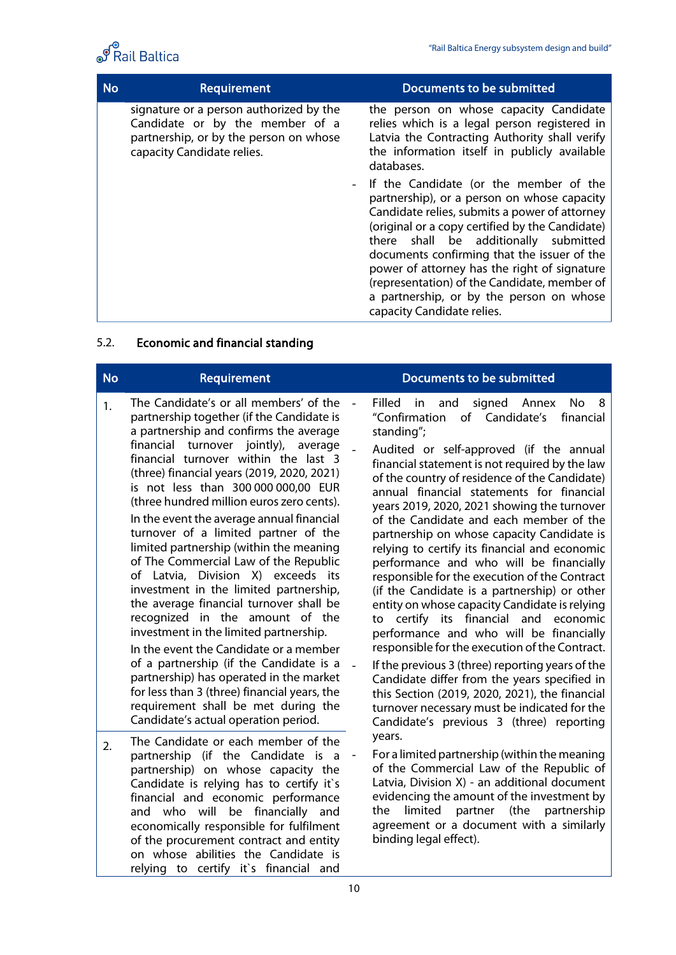

| <b>No</b> | Requirement                                                                                                                                        | Documents to be submitted                                                                                                                                                                                                                                                                                                                                                                                                                                     |
|-----------|----------------------------------------------------------------------------------------------------------------------------------------------------|---------------------------------------------------------------------------------------------------------------------------------------------------------------------------------------------------------------------------------------------------------------------------------------------------------------------------------------------------------------------------------------------------------------------------------------------------------------|
|           | signature or a person authorized by the<br>Candidate or by the member of a<br>partnership, or by the person on whose<br>capacity Candidate relies. | the person on whose capacity Candidate<br>relies which is a legal person registered in<br>Latvia the Contracting Authority shall verify<br>the information itself in publicly available<br>databases.                                                                                                                                                                                                                                                         |
|           |                                                                                                                                                    | - If the Candidate (or the member of the<br>partnership), or a person on whose capacity<br>Candidate relies, submits a power of attorney<br>(original or a copy certified by the Candidate)<br>there shall be additionally submitted<br>documents confirming that the issuer of the<br>power of attorney has the right of signature<br>(representation) of the Candidate, member of<br>a partnership, or by the person on whose<br>capacity Candidate relies. |

# 5.2. Economic and financial standing

| <b>No</b> | Requirement                                                                                                                                                                                                                                                                                                                                                                                                                                                                                                                                                                                                                                                                                                                                                                                                                                                                                                                                                                                     | Documents to be submitted                                                                                                                                                                                                                                                                                                                                                                                                                                                                                                                                                                                                                                                                                                                                                                                                                                                                                                                                                                                                                                                                 |
|-----------|-------------------------------------------------------------------------------------------------------------------------------------------------------------------------------------------------------------------------------------------------------------------------------------------------------------------------------------------------------------------------------------------------------------------------------------------------------------------------------------------------------------------------------------------------------------------------------------------------------------------------------------------------------------------------------------------------------------------------------------------------------------------------------------------------------------------------------------------------------------------------------------------------------------------------------------------------------------------------------------------------|-------------------------------------------------------------------------------------------------------------------------------------------------------------------------------------------------------------------------------------------------------------------------------------------------------------------------------------------------------------------------------------------------------------------------------------------------------------------------------------------------------------------------------------------------------------------------------------------------------------------------------------------------------------------------------------------------------------------------------------------------------------------------------------------------------------------------------------------------------------------------------------------------------------------------------------------------------------------------------------------------------------------------------------------------------------------------------------------|
| 1.        | The Candidate's or all members' of the<br>partnership together (if the Candidate is<br>a partnership and confirms the average<br>financial turnover jointly), average<br>financial turnover within the last 3<br>(three) financial years (2019, 2020, 2021)<br>is not less than 300 000 000,00 EUR<br>(three hundred million euros zero cents).<br>In the event the average annual financial<br>turnover of a limited partner of the<br>limited partnership (within the meaning<br>of The Commercial Law of the Republic<br>of Latvia, Division X) exceeds its<br>investment in the limited partnership,<br>the average financial turnover shall be<br>recognized in the amount of the<br>investment in the limited partnership.<br>In the event the Candidate or a member<br>of a partnership (if the Candidate is a<br>partnership) has operated in the market<br>for less than 3 (three) financial years, the<br>requirement shall be met during the<br>Candidate's actual operation period. | Filled<br>in<br>and<br>signed<br>Annex<br>No.<br>8<br>of Candidate's<br>"Confirmation<br>financial<br>standing";<br>Audited or self-approved (if the annual<br>financial statement is not required by the law<br>of the country of residence of the Candidate)<br>annual financial statements for financial<br>years 2019, 2020, 2021 showing the turnover<br>of the Candidate and each member of the<br>partnership on whose capacity Candidate is<br>relying to certify its financial and economic<br>performance and who will be financially<br>responsible for the execution of the Contract<br>(if the Candidate is a partnership) or other<br>entity on whose capacity Candidate is relying<br>to certify its financial and economic<br>performance and who will be financially<br>responsible for the execution of the Contract.<br>If the previous 3 (three) reporting years of the<br>Candidate differ from the years specified in<br>this Section (2019, 2020, 2021), the financial<br>turnover necessary must be indicated for the<br>Candidate's previous 3 (three) reporting |
| 2.        | The Candidate or each member of the<br>partnership (if the Candidate is a<br>partnership) on whose capacity the<br>Candidate is relying has to certify it's<br>financial and economic performance<br>and who will be financially and<br>economically responsible for fulfilment<br>of the procurement contract and entity<br>on whose abilities the Candidate is<br>relying to certify it's financial and                                                                                                                                                                                                                                                                                                                                                                                                                                                                                                                                                                                       | years.<br>For a limited partnership (within the meaning<br>of the Commercial Law of the Republic of<br>Latvia, Division X) - an additional document<br>evidencing the amount of the investment by<br>partnership<br>limited partner<br>(the<br>the<br>agreement or a document with a similarly<br>binding legal effect).                                                                                                                                                                                                                                                                                                                                                                                                                                                                                                                                                                                                                                                                                                                                                                  |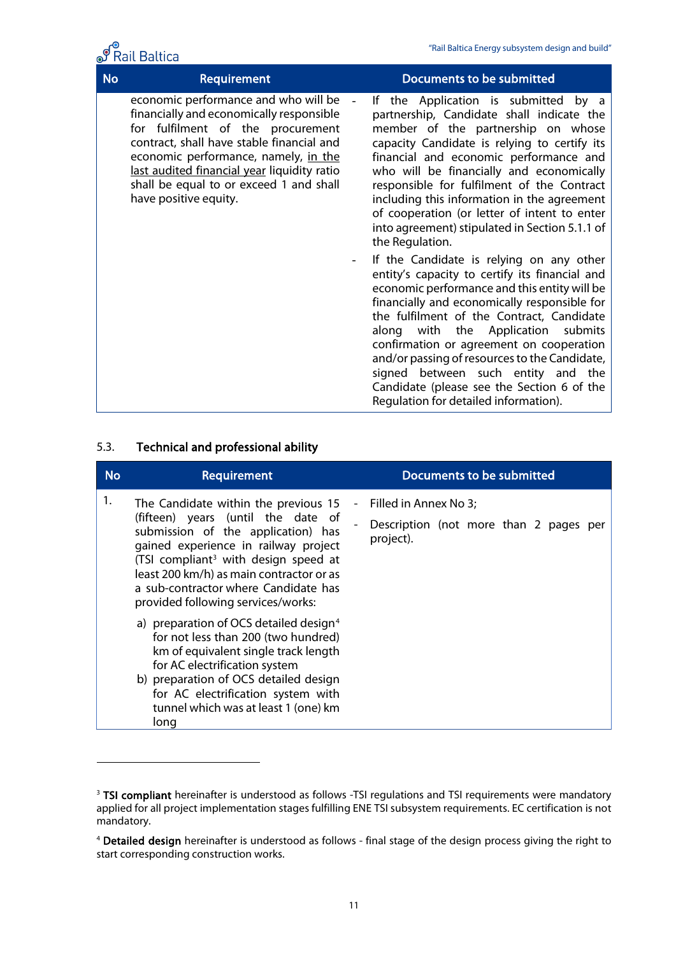

| <b>No</b> | <b>Requirement</b>                                                                                                                                                                                                                                                                                                            | Documents to be submitted                                                                                                                                                                                                                                                                                                                                                                                                                                                                                  |
|-----------|-------------------------------------------------------------------------------------------------------------------------------------------------------------------------------------------------------------------------------------------------------------------------------------------------------------------------------|------------------------------------------------------------------------------------------------------------------------------------------------------------------------------------------------------------------------------------------------------------------------------------------------------------------------------------------------------------------------------------------------------------------------------------------------------------------------------------------------------------|
|           | economic performance and who will be<br>financially and economically responsible<br>for fulfilment of the procurement<br>contract, shall have stable financial and<br>economic performance, namely, in the<br>last audited financial year liquidity ratio<br>shall be equal to or exceed 1 and shall<br>have positive equity. | the Application is submitted by a<br>lf.<br>partnership, Candidate shall indicate the<br>member of the partnership on whose<br>capacity Candidate is relying to certify its<br>financial and economic performance and<br>who will be financially and economically<br>responsible for fulfilment of the Contract<br>including this information in the agreement<br>of cooperation (or letter of intent to enter<br>into agreement) stipulated in Section 5.1.1 of<br>the Regulation.                        |
|           |                                                                                                                                                                                                                                                                                                                               | If the Candidate is relying on any other<br>entity's capacity to certify its financial and<br>economic performance and this entity will be<br>financially and economically responsible for<br>the fulfilment of the Contract, Candidate<br>along with the Application<br>submits<br>confirmation or agreement on cooperation<br>and/or passing of resources to the Candidate,<br>signed between such entity and the<br>Candidate (please see the Section 6 of the<br>Regulation for detailed information). |

#### 5.3. Technical and professional ability

| <b>No</b> | Requirement                                                                                                                                                                                                                                                                                                                            | Documents to be submitted                                                    |  |
|-----------|----------------------------------------------------------------------------------------------------------------------------------------------------------------------------------------------------------------------------------------------------------------------------------------------------------------------------------------|------------------------------------------------------------------------------|--|
| 1.        | The Candidate within the previous 15<br>(fifteen) years (until the date of<br>submission of the application) has<br>gained experience in railway project<br>(TSI compliant <sup>3</sup> with design speed at<br>least 200 km/h) as main contractor or as<br>a sub-contractor where Candidate has<br>provided following services/works: | Filled in Annex No 3;<br>Description (not more than 2 pages per<br>project). |  |
|           | a) preparation of OCS detailed design <sup>4</sup><br>for not less than 200 (two hundred)<br>km of equivalent single track length<br>for AC electrification system<br>b) preparation of OCS detailed design<br>for AC electrification system with<br>tunnel which was at least 1 (one) km<br>long                                      |                                                                              |  |

<span id="page-10-0"></span><sup>&</sup>lt;sup>3</sup> TSI compliant hereinafter is understood as follows -TSI regulations and TSI requirements were mandatory applied for all project implementation stages fulfilling ENE TSI subsystem requirements. EC certification is not mandatory.

<span id="page-10-1"></span><sup>4</sup> Detailed design hereinafter is understood as follows - final stage of the design process giving the right to start corresponding construction works.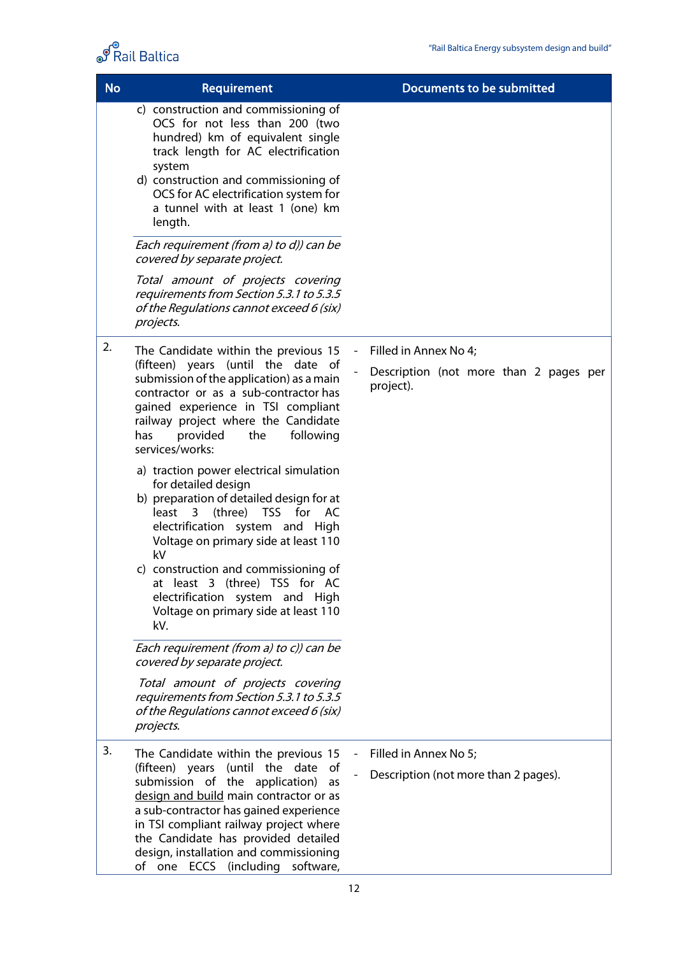

| <b>No</b> | <b>Requirement</b>                                                                                                                                                                                                                                                                                                                                                       |  | <b>Documents to be submitted</b>                              |
|-----------|--------------------------------------------------------------------------------------------------------------------------------------------------------------------------------------------------------------------------------------------------------------------------------------------------------------------------------------------------------------------------|--|---------------------------------------------------------------|
|           | c) construction and commissioning of<br>OCS for not less than 200 (two<br>hundred) km of equivalent single<br>track length for AC electrification<br>system<br>d) construction and commissioning of<br>OCS for AC electrification system for<br>a tunnel with at least 1 (one) km<br>length.                                                                             |  |                                                               |
|           | Each requirement (from a) to d)) can be<br>covered by separate project.                                                                                                                                                                                                                                                                                                  |  |                                                               |
|           | Total amount of projects covering<br>requirements from Section 5.3.1 to 5.3.5<br>of the Regulations cannot exceed 6 (six)<br>projects.                                                                                                                                                                                                                                   |  |                                                               |
| 2.        | The Candidate within the previous 15                                                                                                                                                                                                                                                                                                                                     |  | Filled in Annex No 4;                                         |
|           | (fifteen) years (until the date of<br>submission of the application) as a main<br>contractor or as a sub-contractor has<br>gained experience in TSI compliant<br>railway project where the Candidate<br>provided<br>the<br>following<br>has<br>services/works:                                                                                                           |  | Description (not more than 2 pages per<br>project).           |
|           | a) traction power electrical simulation<br>for detailed design<br>b) preparation of detailed design for at<br>least 3<br>(three) TSS<br>AC<br>for<br>electrification system and High<br>Voltage on primary side at least 110<br>kV                                                                                                                                       |  |                                                               |
|           | c) construction and commissioning of<br>at least 3 (three) TSS for AC<br>electrification system and High<br>Voltage on primary side at least 110<br>kV.                                                                                                                                                                                                                  |  |                                                               |
|           | Each requirement (from a) to c)) can be<br>covered by separate project.                                                                                                                                                                                                                                                                                                  |  |                                                               |
|           | Total amount of projects covering<br>requirements from Section 5.3.1 to 5.3.5<br>of the Regulations cannot exceed 6 (six)<br>projects.                                                                                                                                                                                                                                   |  |                                                               |
| 3.        | The Candidate within the previous 15<br>(fifteen) years (until the date<br>0f<br>submission of the application)<br>as<br>design and build main contractor or as<br>a sub-contractor has gained experience<br>in TSI compliant railway project where<br>the Candidate has provided detailed<br>design, installation and commissioning<br>of one ECCS (including software, |  | Filled in Annex No 5;<br>Description (not more than 2 pages). |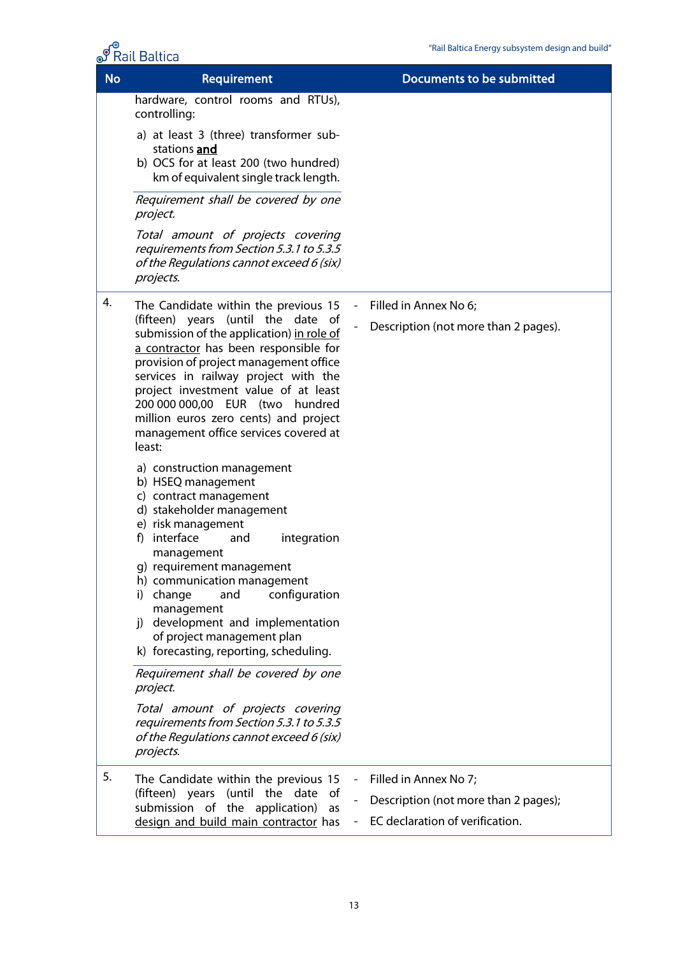|           | <b>Rail Baltica</b>                                                                                                                                                                                                                                                                                                                                                                                                                                                                                                                                                                                           | "Rail Baltica Energy subsystem design and build" |
|-----------|---------------------------------------------------------------------------------------------------------------------------------------------------------------------------------------------------------------------------------------------------------------------------------------------------------------------------------------------------------------------------------------------------------------------------------------------------------------------------------------------------------------------------------------------------------------------------------------------------------------|--------------------------------------------------|
| <b>No</b> | <b>Requirement</b>                                                                                                                                                                                                                                                                                                                                                                                                                                                                                                                                                                                            | <b>Documents to be submitted</b>                 |
|           | hardware, control rooms and RTUs),<br>controlling:                                                                                                                                                                                                                                                                                                                                                                                                                                                                                                                                                            |                                                  |
|           | a) at least 3 (three) transformer sub-<br>stations and<br>b) OCS for at least 200 (two hundred)<br>km of equivalent single track length.                                                                                                                                                                                                                                                                                                                                                                                                                                                                      |                                                  |
|           | Requirement shall be covered by one<br>project.                                                                                                                                                                                                                                                                                                                                                                                                                                                                                                                                                               |                                                  |
|           | Total amount of projects covering<br>requirements from Section 5.3.1 to 5.3.5<br>of the Regulations cannot exceed 6 (six)<br>projects.                                                                                                                                                                                                                                                                                                                                                                                                                                                                        |                                                  |
| 4.        | The Candidate within the previous 15                                                                                                                                                                                                                                                                                                                                                                                                                                                                                                                                                                          | Filled in Annex No 6;                            |
|           | (fifteen) years (until the date of<br>submission of the application) in role of<br>a contractor has been responsible for<br>provision of project management office<br>services in railway project with the<br>project investment value of at least<br>200 000 000,00 EUR (two hundred<br>million euros zero cents) and project<br>management office services covered at<br>least:                                                                                                                                                                                                                             | Description (not more than 2 pages).             |
|           | a) construction management<br>b) HSEQ management<br>c) contract management<br>d) stakeholder management<br>e) risk management<br>f) interface<br>integration<br>and<br>management<br>g) requirement management<br>h) communication management<br>configuration<br>i) change<br>and<br>management<br>development and implementation<br>i)<br>of project management plan<br>k) forecasting, reporting, scheduling.<br>Requirement shall be covered by one<br>project.<br>Total amount of projects covering<br>requirements from Section 5.3.1 to 5.3.5<br>of the Regulations cannot exceed 6 (six)<br>projects. |                                                  |
| 5.        | The Candidate within the previous 15                                                                                                                                                                                                                                                                                                                                                                                                                                                                                                                                                                          | Filled in Annex No 7;                            |
|           | (fifteen) years (until the date<br>of<br>submission of the application)<br>as<br>design and build main contractor has                                                                                                                                                                                                                                                                                                                                                                                                                                                                                         | Description (not more than 2 pages);             |
|           |                                                                                                                                                                                                                                                                                                                                                                                                                                                                                                                                                                                                               | EC declaration of verification.                  |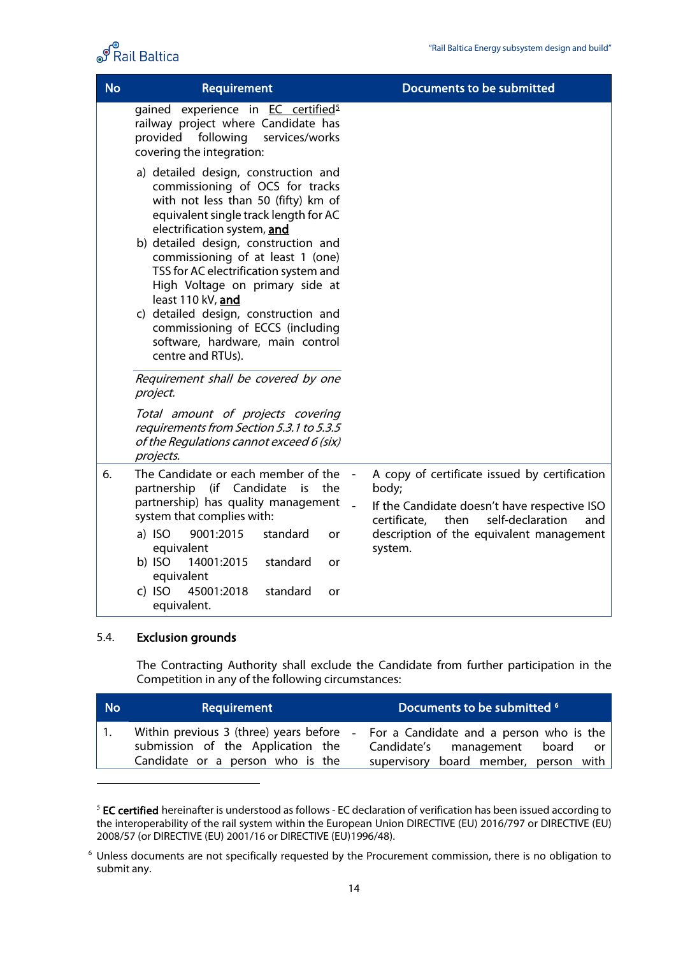

| <b>No</b> | Requirement                                                                                                                                                                                                                                                                                                                                                                                                                                                                                               | Documents to be submitted                                                                                                                                 |
|-----------|-----------------------------------------------------------------------------------------------------------------------------------------------------------------------------------------------------------------------------------------------------------------------------------------------------------------------------------------------------------------------------------------------------------------------------------------------------------------------------------------------------------|-----------------------------------------------------------------------------------------------------------------------------------------------------------|
|           | gained experience in EC certified <sup>5</sup><br>railway project where Candidate has<br>provided following<br>services/works<br>covering the integration:                                                                                                                                                                                                                                                                                                                                                |                                                                                                                                                           |
|           | a) detailed design, construction and<br>commissioning of OCS for tracks<br>with not less than 50 (fifty) km of<br>equivalent single track length for AC<br>electrification system, and<br>b) detailed design, construction and<br>commissioning of at least 1 (one)<br>TSS for AC electrification system and<br>High Voltage on primary side at<br>least 110 kV, and<br>c) detailed design, construction and<br>commissioning of ECCS (including<br>software, hardware, main control<br>centre and RTUs). |                                                                                                                                                           |
|           | Requirement shall be covered by one<br>project.                                                                                                                                                                                                                                                                                                                                                                                                                                                           |                                                                                                                                                           |
|           | Total amount of projects covering<br>requirements from Section 5.3.1 to 5.3.5<br>of the Regulations cannot exceed 6 (six)<br>projects.                                                                                                                                                                                                                                                                                                                                                                    |                                                                                                                                                           |
| 6.        | The Candidate or each member of the<br>partnership (if Candidate is the<br>partnership) has quality management<br>system that complies with:                                                                                                                                                                                                                                                                                                                                                              | A copy of certificate issued by certification<br>body;<br>If the Candidate doesn't have respective ISO<br>then<br>self-declaration<br>certificate,<br>and |
|           | a) ISO<br>9001:2015<br>standard<br>or<br>equivalent<br>14001:2015<br>b) ISO<br>standard<br>or                                                                                                                                                                                                                                                                                                                                                                                                             | description of the equivalent management<br>system.                                                                                                       |
|           | equivalent<br>c) ISO<br>45001:2018<br>standard<br>or<br>equivalent.                                                                                                                                                                                                                                                                                                                                                                                                                                       |                                                                                                                                                           |

#### 5.4. Exclusion grounds

The Contracting Authority shall exclude the Candidate from further participation in the Competition in any of the following circumstances:

| <b>No</b> | Requirement                                                           | Documents to be submitted <sup>6</sup>                                                                                                                       |  |
|-----------|-----------------------------------------------------------------------|--------------------------------------------------------------------------------------------------------------------------------------------------------------|--|
|           | submission of the Application the<br>Candidate or a person who is the | Within previous 3 (three) years before - For a Candidate and a person who is the<br>Candidate's management board or<br>supervisory board member, person with |  |

<span id="page-13-0"></span><sup>&</sup>lt;sup>5</sup> EC certified hereinafter is understood as follows - EC declaration of verification has been issued according to the interoperability of the rail system within the European Union DIRECTIVE (EU) 2016/797 or DIRECTIVE (EU) 2008/57 (or DIRECTIVE (EU) 2001/16 or DIRECTIVE (EU)1996/48).

<span id="page-13-1"></span><sup>6</sup> Unless documents are not specifically requested by the Procurement commission, there is no obligation to submit any.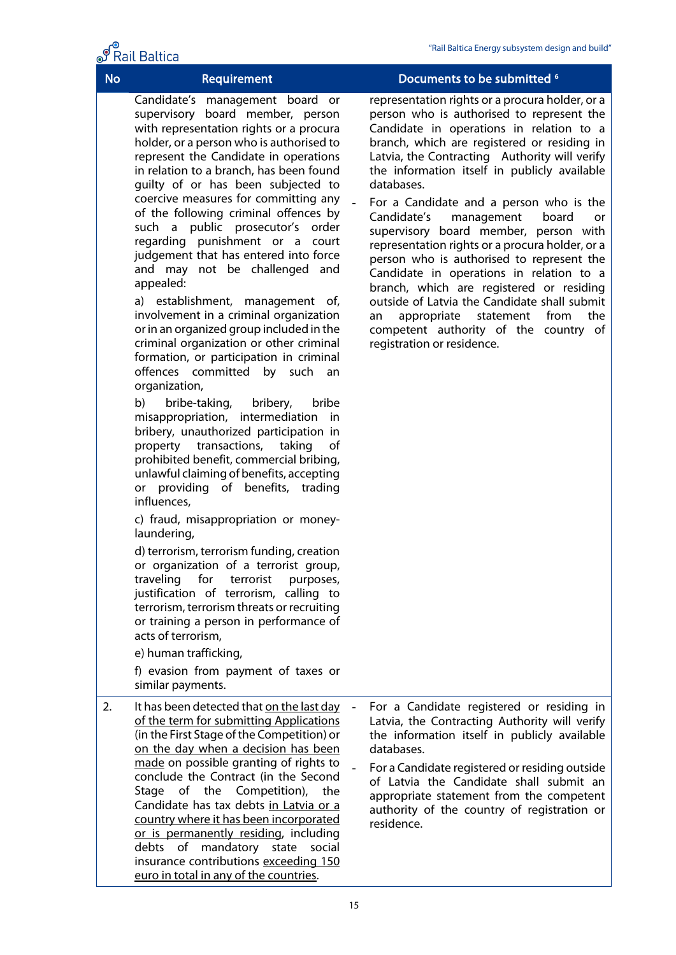# $\sqrt{\frac{6}{1}}$

|           | <b>T</b> Rail Baltica                                                                                                                                                                                                                                                                                                                                                                                                                                                                                                                                                                                                                                                                                                                                                                                                                                                                                                                                                                                                                                                                                                                                                                                                                                                                                                                                                                                                                                                                                                                                                 |                                                                                                                                                                                                                                                                                                                                                                                                                                                                                                                                                                                                                                                                                                                                                                                                        |
|-----------|-----------------------------------------------------------------------------------------------------------------------------------------------------------------------------------------------------------------------------------------------------------------------------------------------------------------------------------------------------------------------------------------------------------------------------------------------------------------------------------------------------------------------------------------------------------------------------------------------------------------------------------------------------------------------------------------------------------------------------------------------------------------------------------------------------------------------------------------------------------------------------------------------------------------------------------------------------------------------------------------------------------------------------------------------------------------------------------------------------------------------------------------------------------------------------------------------------------------------------------------------------------------------------------------------------------------------------------------------------------------------------------------------------------------------------------------------------------------------------------------------------------------------------------------------------------------------|--------------------------------------------------------------------------------------------------------------------------------------------------------------------------------------------------------------------------------------------------------------------------------------------------------------------------------------------------------------------------------------------------------------------------------------------------------------------------------------------------------------------------------------------------------------------------------------------------------------------------------------------------------------------------------------------------------------------------------------------------------------------------------------------------------|
| <b>No</b> | Requirement                                                                                                                                                                                                                                                                                                                                                                                                                                                                                                                                                                                                                                                                                                                                                                                                                                                                                                                                                                                                                                                                                                                                                                                                                                                                                                                                                                                                                                                                                                                                                           | Documents to be submitted <sup>6</sup>                                                                                                                                                                                                                                                                                                                                                                                                                                                                                                                                                                                                                                                                                                                                                                 |
|           | Candidate's management board or<br>supervisory board member, person<br>with representation rights or a procura<br>holder, or a person who is authorised to<br>represent the Candidate in operations<br>in relation to a branch, has been found<br>guilty of or has been subjected to<br>coercive measures for committing any<br>of the following criminal offences by<br>such a public prosecutor's order<br>regarding punishment or a court<br>judgement that has entered into force<br>and may not be challenged and<br>appealed:<br>a) establishment, management of,<br>involvement in a criminal organization<br>or in an organized group included in the<br>criminal organization or other criminal<br>formation, or participation in criminal<br>offences committed by such<br>an<br>organization,<br>b)<br>bribe-taking,<br>bribery,<br>bribe<br>misappropriation, intermediation<br>in<br>bribery, unauthorized participation in<br>property transactions,<br>taking<br>of<br>prohibited benefit, commercial bribing,<br>unlawful claiming of benefits, accepting<br>or providing of benefits, trading<br>influences,<br>c) fraud, misappropriation or money-<br>laundering,<br>d) terrorism, terrorism funding, creation<br>or organization of a terrorist group,<br>for<br>traveling<br>terrorist<br>purposes,<br>justification of terrorism, calling to<br>terrorism, terrorism threats or recruiting<br>or training a person in performance of<br>acts of terrorism,<br>e) human trafficking,<br>f) evasion from payment of taxes or<br>similar payments. | representation rights or a procura holder, or a<br>person who is authorised to represent the<br>Candidate in operations in relation to a<br>branch, which are registered or residing in<br>Latvia, the Contracting Authority will verify<br>the information itself in publicly available<br>databases.<br>For a Candidate and a person who is the<br>Candidate's<br>management<br>board<br>or<br>supervisory board member, person with<br>representation rights or a procura holder, or a<br>person who is authorised to represent the<br>Candidate in operations in relation to a<br>branch, which are registered or residing<br>outside of Latvia the Candidate shall submit<br>statement<br>from<br>the<br>appropriate<br>an<br>competent authority of the country of<br>registration or residence. |
| 2.        | It has been detected that on the last day<br>of the term for submitting Applications<br>(in the First Stage of the Competition) or<br>on the day when a decision has been<br>made on possible granting of rights to<br>conclude the Contract (in the Second<br>Stage of the Competition),<br>the<br>Candidate has tax debts in Latvia or a<br>country where it has been incorporated<br>or is permanently residing, including<br>debts of mandatory state social<br>insurance contributions exceeding 150                                                                                                                                                                                                                                                                                                                                                                                                                                                                                                                                                                                                                                                                                                                                                                                                                                                                                                                                                                                                                                                             | For a Candidate registered or residing in<br>Latvia, the Contracting Authority will verify<br>the information itself in publicly available<br>databases.<br>For a Candidate registered or residing outside<br>of Latvia the Candidate shall submit an<br>appropriate statement from the competent<br>authority of the country of registration or<br>residence.                                                                                                                                                                                                                                                                                                                                                                                                                                         |

euro in total in any of the countries.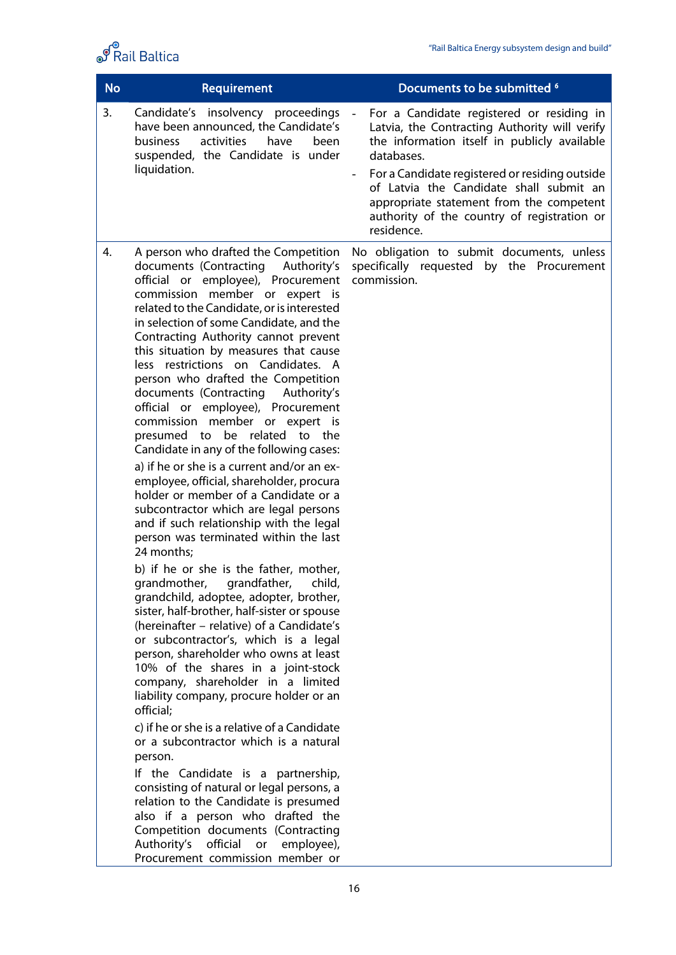

| <b>No</b> | Requirement                                                                                                                                                                                                                                                                                                                                                                                                                                                                                                                                                                                                                                                                                                                                                                                                                                                                                                                                                                                                                                                                                                                                                                                                                                                                                                                                                                                                                                                                                                                                                                                                                                                                                                                          | Documents to be submitted <sup>6</sup>                                                                                                                                                                                                                                                                                                                         |
|-----------|--------------------------------------------------------------------------------------------------------------------------------------------------------------------------------------------------------------------------------------------------------------------------------------------------------------------------------------------------------------------------------------------------------------------------------------------------------------------------------------------------------------------------------------------------------------------------------------------------------------------------------------------------------------------------------------------------------------------------------------------------------------------------------------------------------------------------------------------------------------------------------------------------------------------------------------------------------------------------------------------------------------------------------------------------------------------------------------------------------------------------------------------------------------------------------------------------------------------------------------------------------------------------------------------------------------------------------------------------------------------------------------------------------------------------------------------------------------------------------------------------------------------------------------------------------------------------------------------------------------------------------------------------------------------------------------------------------------------------------------|----------------------------------------------------------------------------------------------------------------------------------------------------------------------------------------------------------------------------------------------------------------------------------------------------------------------------------------------------------------|
| 3.        | Candidate's insolvency proceedings<br>have been announced, the Candidate's<br>activities<br>business<br>have<br>been<br>suspended, the Candidate is under<br>liquidation.                                                                                                                                                                                                                                                                                                                                                                                                                                                                                                                                                                                                                                                                                                                                                                                                                                                                                                                                                                                                                                                                                                                                                                                                                                                                                                                                                                                                                                                                                                                                                            | For a Candidate registered or residing in<br>Latvia, the Contracting Authority will verify<br>the information itself in publicly available<br>databases.<br>For a Candidate registered or residing outside<br>of Latvia the Candidate shall submit an<br>appropriate statement from the competent<br>authority of the country of registration or<br>residence. |
| 4.        | A person who drafted the Competition<br>documents (Contracting<br>Authority's<br>official or employee), Procurement<br>commission member or expert is<br>related to the Candidate, or is interested<br>in selection of some Candidate, and the<br>Contracting Authority cannot prevent<br>this situation by measures that cause<br>less restrictions on Candidates. A<br>person who drafted the Competition<br>documents (Contracting<br>Authority's<br>official or employee), Procurement<br>commission member or expert is<br>presumed to<br>be related to the<br>Candidate in any of the following cases:<br>a) if he or she is a current and/or an ex-<br>employee, official, shareholder, procura<br>holder or member of a Candidate or a<br>subcontractor which are legal persons<br>and if such relationship with the legal<br>person was terminated within the last<br>24 months:<br>b) if he or she is the father, mother,<br>grandmother,<br>grandfather,<br>child,<br>grandchild, adoptee, adopter, brother,<br>sister, half-brother, half-sister or spouse<br>(hereinafter – relative) of a Candidate's<br>or subcontractor's, which is a legal<br>person, shareholder who owns at least<br>10% of the shares in a joint-stock<br>company, shareholder in a limited<br>liability company, procure holder or an<br>official;<br>c) if he or she is a relative of a Candidate<br>or a subcontractor which is a natural<br>person.<br>If the Candidate is a partnership,<br>consisting of natural or legal persons, a<br>relation to the Candidate is presumed<br>also if a person who drafted the<br>Competition documents (Contracting<br>official<br>Authority's<br>employee),<br>or<br>Procurement commission member or | No obligation to submit documents, unless<br>specifically requested by the Procurement<br>commission.                                                                                                                                                                                                                                                          |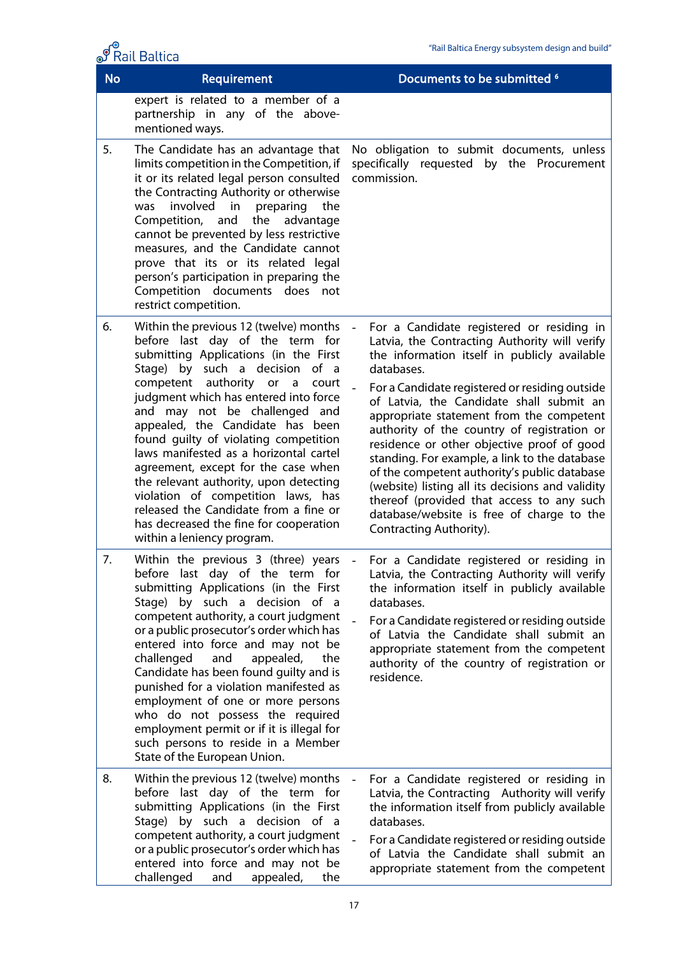|           | S Rail Baltica                                                                                                                                                                                                                                                                                                                                                                                                                                                                                                                                                                                                                     | "Rail Baltica Energy subsystem design and build"                                                                                                                                                                                                                                                                                                                                                                                                                                                                                                                                                                                                                          |
|-----------|------------------------------------------------------------------------------------------------------------------------------------------------------------------------------------------------------------------------------------------------------------------------------------------------------------------------------------------------------------------------------------------------------------------------------------------------------------------------------------------------------------------------------------------------------------------------------------------------------------------------------------|---------------------------------------------------------------------------------------------------------------------------------------------------------------------------------------------------------------------------------------------------------------------------------------------------------------------------------------------------------------------------------------------------------------------------------------------------------------------------------------------------------------------------------------------------------------------------------------------------------------------------------------------------------------------------|
| <b>No</b> | Requirement                                                                                                                                                                                                                                                                                                                                                                                                                                                                                                                                                                                                                        | Documents to be submitted <sup>6</sup>                                                                                                                                                                                                                                                                                                                                                                                                                                                                                                                                                                                                                                    |
|           | expert is related to a member of a<br>partnership in any of the above-<br>mentioned ways.                                                                                                                                                                                                                                                                                                                                                                                                                                                                                                                                          |                                                                                                                                                                                                                                                                                                                                                                                                                                                                                                                                                                                                                                                                           |
| 5.        | The Candidate has an advantage that<br>limits competition in the Competition, if<br>it or its related legal person consulted<br>the Contracting Authority or otherwise<br>involved in preparing<br>the<br>was<br>the<br>Competition, and<br>advantage<br>cannot be prevented by less restrictive<br>measures, and the Candidate cannot<br>prove that its or its related legal<br>person's participation in preparing the<br>Competition documents does not<br>restrict competition.                                                                                                                                                | No obligation to submit documents, unless<br>specifically requested by the Procurement<br>commission.                                                                                                                                                                                                                                                                                                                                                                                                                                                                                                                                                                     |
| 6.        | Within the previous 12 (twelve) months<br>before last day of the term for<br>submitting Applications (in the First<br>Stage) by such a decision of a<br>competent authority or a<br>court<br>judgment which has entered into force<br>and may not be challenged and<br>appealed, the Candidate has been<br>found guilty of violating competition<br>laws manifested as a horizontal cartel<br>agreement, except for the case when<br>the relevant authority, upon detecting<br>violation of competition laws, has<br>released the Candidate from a fine or<br>has decreased the fine for cooperation<br>within a leniency program. | For a Candidate registered or residing in<br>Latvia, the Contracting Authority will verify<br>the information itself in publicly available<br>databases.<br>For a Candidate registered or residing outside<br>of Latvia, the Candidate shall submit an<br>appropriate statement from the competent<br>authority of the country of registration or<br>residence or other objective proof of good<br>standing. For example, a link to the database<br>of the competent authority's public database<br>(website) listing all its decisions and validity<br>thereof (provided that access to any such<br>database/website is free of charge to the<br>Contracting Authority). |
| 7.        | Within the previous 3 (three) years<br>before last day of the term for<br>submitting Applications (in the First<br>Stage) by such a decision of a<br>competent authority, a court judgment<br>or a public prosecutor's order which has<br>entered into force and may not be<br>challenged<br>appealed,<br>and<br>the<br>Candidate has been found guilty and is<br>punished for a violation manifested as<br>employment of one or more persons<br>who do not possess the required<br>employment permit or if it is illegal for<br>such persons to reside in a Member<br>State of the European Union.                                | For a Candidate registered or residing in<br>Latvia, the Contracting Authority will verify<br>the information itself in publicly available<br>databases.<br>For a Candidate registered or residing outside<br>of Latvia the Candidate shall submit an<br>appropriate statement from the competent<br>authority of the country of registration or<br>residence.                                                                                                                                                                                                                                                                                                            |
| 8.        | Within the previous 12 (twelve) months<br>before last day of the term for<br>submitting Applications (in the First<br>Stage) by such a decision of a<br>competent authority, a court judgment<br>or a public prosecutor's order which has<br>entered into force and may not be<br>challenged<br>appealed,<br>the<br>and                                                                                                                                                                                                                                                                                                            | For a Candidate registered or residing in<br>Latvia, the Contracting Authority will verify<br>the information itself from publicly available<br>databases.<br>For a Candidate registered or residing outside<br>of Latvia the Candidate shall submit an<br>appropriate statement from the competent                                                                                                                                                                                                                                                                                                                                                                       |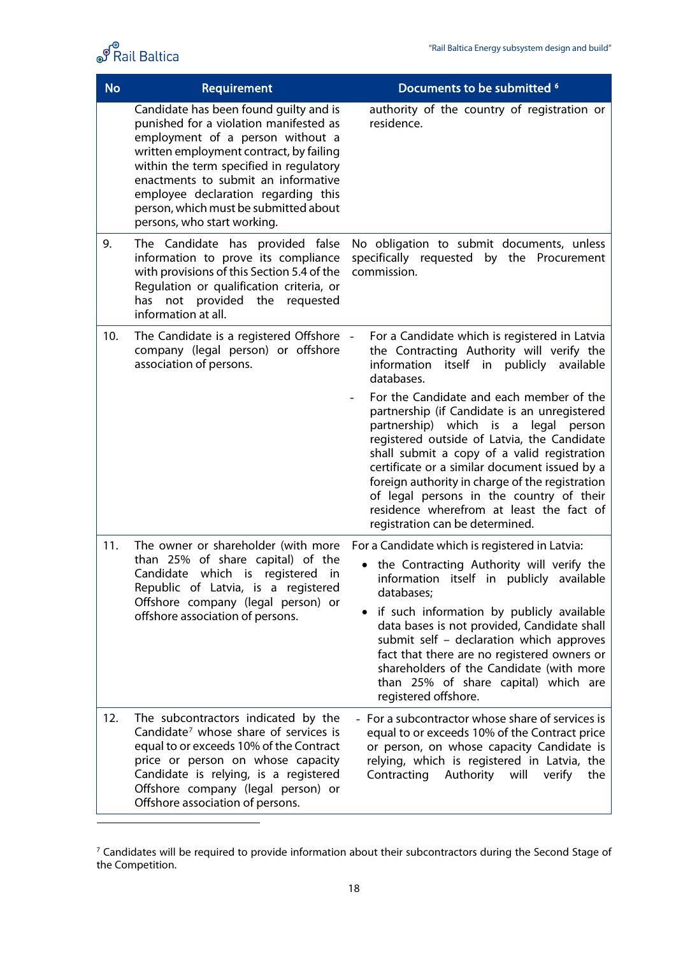

| <b>No</b> | Requirement                                                                                                                                                                                                                                                                                                                                                      | Documents to be submitted <sup>6</sup>                                                                                                                                                                                                                                                                                                                                                                                                                           |
|-----------|------------------------------------------------------------------------------------------------------------------------------------------------------------------------------------------------------------------------------------------------------------------------------------------------------------------------------------------------------------------|------------------------------------------------------------------------------------------------------------------------------------------------------------------------------------------------------------------------------------------------------------------------------------------------------------------------------------------------------------------------------------------------------------------------------------------------------------------|
|           | Candidate has been found quilty and is<br>punished for a violation manifested as<br>employment of a person without a<br>written employment contract, by failing<br>within the term specified in regulatory<br>enactments to submit an informative<br>employee declaration regarding this<br>person, which must be submitted about<br>persons, who start working. | authority of the country of registration or<br>residence.                                                                                                                                                                                                                                                                                                                                                                                                        |
| 9.        | The Candidate has provided false<br>information to prove its compliance<br>with provisions of this Section 5.4 of the<br>Regulation or qualification criteria, or<br>has not provided the requested<br>information at all.                                                                                                                                       | No obligation to submit documents, unless<br>specifically requested by the Procurement<br>commission.                                                                                                                                                                                                                                                                                                                                                            |
| 10.       | The Candidate is a registered Offshore -<br>company (legal person) or offshore<br>association of persons.                                                                                                                                                                                                                                                        | For a Candidate which is registered in Latvia<br>the Contracting Authority will verify the<br>information<br>itself in publicly<br>available<br>databases.                                                                                                                                                                                                                                                                                                       |
|           |                                                                                                                                                                                                                                                                                                                                                                  | For the Candidate and each member of the<br>partnership (if Candidate is an unregistered<br>partnership) which is a<br>legal person<br>registered outside of Latvia, the Candidate<br>shall submit a copy of a valid registration<br>certificate or a similar document issued by a<br>foreign authority in charge of the registration<br>of legal persons in the country of their<br>residence wherefrom at least the fact of<br>registration can be determined. |
| 11.       | The owner or shareholder (with more<br>than 25% of share capital) of the<br>Candidate<br>which is registered<br>in<br>Republic of Latvia, is a registered<br>Offshore company (legal person) or<br>offshore association of persons.                                                                                                                              | For a Candidate which is registered in Latvia:<br>the Contracting Authority will verify the<br>information itself in publicly available<br>databases;<br>if such information by publicly available<br>٠<br>data bases is not provided, Candidate shall<br>submit self - declaration which approves<br>fact that there are no registered owners or<br>shareholders of the Candidate (with more<br>than 25% of share capital) which are<br>registered offshore.    |
| 12.       | The subcontractors indicated by the<br>Candidate <sup>7</sup> whose share of services is<br>equal to or exceeds 10% of the Contract<br>price or person on whose capacity<br>Candidate is relying, is a registered<br>Offshore company (legal person) or<br>Offshore association of persons.                                                                      | - For a subcontractor whose share of services is<br>equal to or exceeds 10% of the Contract price<br>or person, on whose capacity Candidate is<br>relying, which is registered in Latvia, the<br>Contracting<br>Authority<br>will<br>verify<br>the                                                                                                                                                                                                               |

<span id="page-17-0"></span> $^7$  Candidates will be required to provide information about their subcontractors during the Second Stage of the Competition.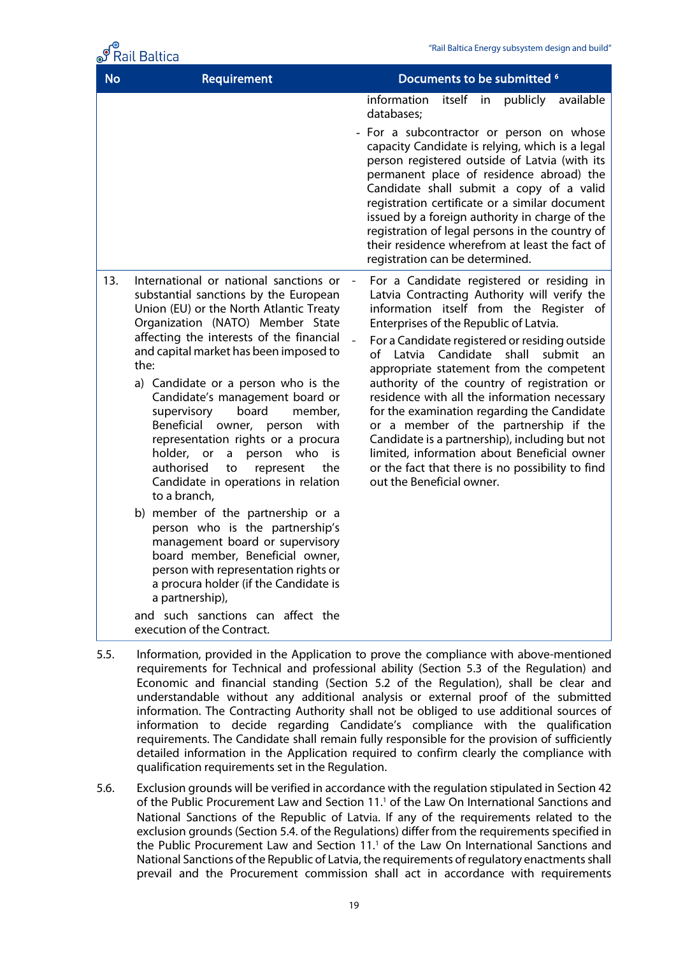

|           | rall Baltica ه                                                                                                                                                                                                                                                                                                                                                                                                                                                                                                                                                                                         |                                                                                                                                                                                                                                                                                                                                                                                                                                                                                                                                                                                                                                                                                                          |
|-----------|--------------------------------------------------------------------------------------------------------------------------------------------------------------------------------------------------------------------------------------------------------------------------------------------------------------------------------------------------------------------------------------------------------------------------------------------------------------------------------------------------------------------------------------------------------------------------------------------------------|----------------------------------------------------------------------------------------------------------------------------------------------------------------------------------------------------------------------------------------------------------------------------------------------------------------------------------------------------------------------------------------------------------------------------------------------------------------------------------------------------------------------------------------------------------------------------------------------------------------------------------------------------------------------------------------------------------|
| <b>No</b> | Requirement                                                                                                                                                                                                                                                                                                                                                                                                                                                                                                                                                                                            | Documents to be submitted <sup>6</sup>                                                                                                                                                                                                                                                                                                                                                                                                                                                                                                                                                                                                                                                                   |
|           |                                                                                                                                                                                                                                                                                                                                                                                                                                                                                                                                                                                                        | information<br>itself in publicly available<br>databases;                                                                                                                                                                                                                                                                                                                                                                                                                                                                                                                                                                                                                                                |
|           |                                                                                                                                                                                                                                                                                                                                                                                                                                                                                                                                                                                                        | - For a subcontractor or person on whose<br>capacity Candidate is relying, which is a legal<br>person registered outside of Latvia (with its<br>permanent place of residence abroad) the<br>Candidate shall submit a copy of a valid<br>registration certificate or a similar document<br>issued by a foreign authority in charge of the<br>registration of legal persons in the country of<br>their residence wherefrom at least the fact of<br>registration can be determined.                                                                                                                                                                                                                         |
| 13.       | International or national sanctions or<br>substantial sanctions by the European<br>Union (EU) or the North Atlantic Treaty<br>Organization (NATO) Member State<br>affecting the interests of the financial<br>and capital market has been imposed to<br>the:<br>a) Candidate or a person who is the<br>Candidate's management board or<br>supervisory<br>board<br>member,<br>Beneficial owner, person<br>with<br>representation rights or a procura<br>holder, or<br>person who<br>is i<br>$\mathsf{a}$<br>authorised<br>the<br>to<br>represent<br>Candidate in operations in relation<br>to a branch, | For a Candidate registered or residing in<br>Latvia Contracting Authority will verify the<br>information itself from the Register of<br>Enterprises of the Republic of Latvia.<br>For a Candidate registered or residing outside<br>of Latvia<br>Candidate<br>shall<br>submit<br>an<br>appropriate statement from the competent<br>authority of the country of registration or<br>residence with all the information necessary<br>for the examination regarding the Candidate<br>or a member of the partnership if the<br>Candidate is a partnership), including but not<br>limited, information about Beneficial owner<br>or the fact that there is no possibility to find<br>out the Beneficial owner. |
|           | b) member of the partnership or a<br>person who is the partnership's<br>management board or supervisory<br>board member, Beneficial owner,<br>person with representation rights or<br>a procura holder (if the Candidate is<br>a partnership),                                                                                                                                                                                                                                                                                                                                                         |                                                                                                                                                                                                                                                                                                                                                                                                                                                                                                                                                                                                                                                                                                          |
|           | and such sanctions can affect the<br>execution of the Contract.                                                                                                                                                                                                                                                                                                                                                                                                                                                                                                                                        |                                                                                                                                                                                                                                                                                                                                                                                                                                                                                                                                                                                                                                                                                                          |

- 5.5. Information, provided in the Application to prove the compliance with above-mentioned requirements for Technical and professional ability (Section 5.3 of the Regulation) and Economic and financial standing (Section 5.2 of the Regulation), shall be clear and understandable without any additional analysis or external proof of the submitted information. The Contracting Authority shall not be obliged to use additional sources of information to decide regarding Candidate's compliance with the qualification requirements. The Candidate shall remain fully responsible for the provision of sufficiently detailed information in the Application required to confirm clearly the compliance with qualification requirements set in the Regulation.
- 5.6. Exclusion grounds will be verified in accordance with the regulation stipulated in Section 42 of the Public Procurement Law and Section 11.<sup>1</sup> of the Law On International Sanctions and [National Sanctions of the Republic of Latvi](http://www.vvc.gov.lv/export/sites/default/docs/LRTA/Citi/Law_On_International_Sanctions_and_National_Sanctions.pdf)a. If any of the requirements related to the exclusion grounds (Section 5.4. of the Regulations) differ from the requirements specified in the Public Procurement Law and Section 11. <sup>1</sup> of the [Law On International Sanctions and](http://www.vvc.gov.lv/export/sites/default/docs/LRTA/Citi/Law_On_International_Sanctions_and_National_Sanctions.pdf)  [National Sanctions of the Republic of Latvia,](http://www.vvc.gov.lv/export/sites/default/docs/LRTA/Citi/Law_On_International_Sanctions_and_National_Sanctions.pdf) the requirements of regulatory enactments shall prevail and the Procurement commission shall act in accordance with requirements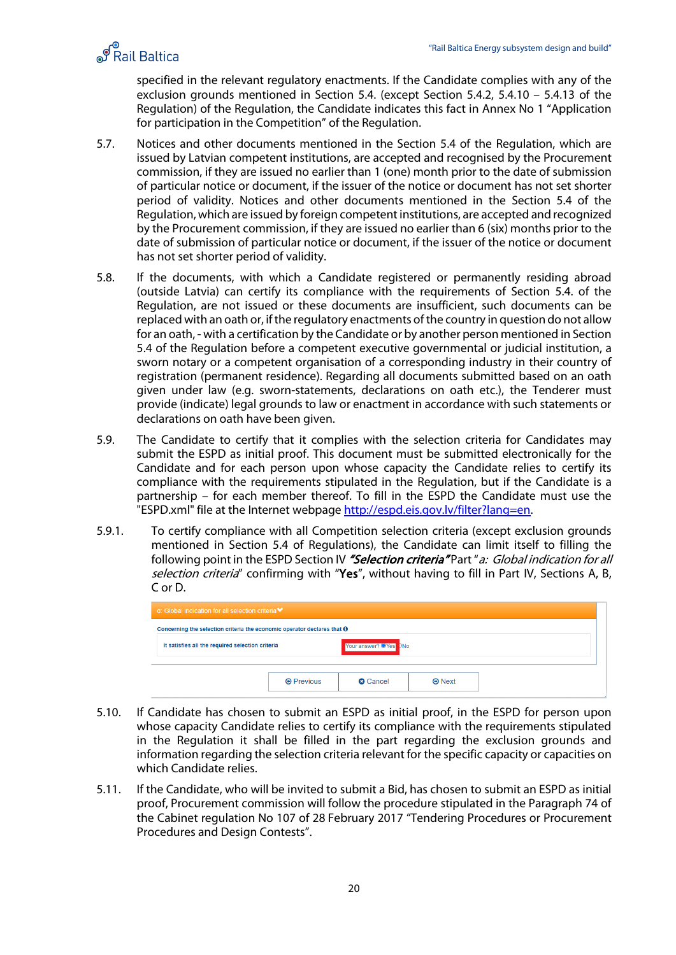# S Rail Baltica

specified in the relevant regulatory enactments. If the Candidate complies with any of the exclusion grounds mentioned in Section 5.4. (except Section 5.4.2, 5.4.10 – 5.4.13 of the Regulation) of the Regulation, the Candidate indicates this fact in Annex No 1 "Application for participation in the Competition" of the Regulation.

- 5.7. Notices and other documents mentioned in the Section 5.4 of the Regulation, which are issued by Latvian competent institutions, are accepted and recognised by the Procurement commission, if they are issued no earlier than 1 (one) month prior to the date of submission of particular notice or document, if the issuer of the notice or document has not set shorter period of validity. Notices and other documents mentioned in the Section 5.4 of the Regulation, which are issued by foreign competent institutions, are accepted and recognized by the Procurement commission, if they are issued no earlier than 6 (six) months prior to the date of submission of particular notice or document, if the issuer of the notice or document has not set shorter period of validity.
- 5.8. If the documents, with which a Candidate registered or permanently residing abroad (outside Latvia) can certify its compliance with the requirements of Section [5.](#page-7-0)4. of the Regulation, are not issued or these documents are insufficient, such documents can be replaced with an oath or, if the regulatory enactments of the country in question do not allow for an oath, - with a certification by the Candidate or by another person mentioned in Section 5.4 of the Regulation before a competent executive governmental or judicial institution, a sworn notary or a competent organisation of a corresponding industry in their country of registration (permanent residence). Regarding all documents submitted based on an oath given under law (e.g. sworn-statements, declarations on oath etc.), the Tenderer must provide (indicate) legal grounds to law or enactment in accordance with such statements or declarations on oath have been given.
- 5.9. The Candidate to certify that it complies with the selection criteria for Candidates may submit the ESPD as initial proof. This document must be submitted electronically for the Candidate and for each person upon whose capacity the Candidate relies to certify its compliance with the requirements stipulated in the Regulation, but if the Candidate is a partnership – for each member thereof. To fill in the ESPD the Candidate must use the "ESPD.xml" file at the Internet webpage [http://espd.eis.gov.lv/filter?lang=en.](http://espd.eis.gov.lv/filter?lang=en)
- 5.9.1. To certify compliance with all Competition selection criteria (except exclusion grounds mentioned in Section 5.4 of Regulations), the Candidate can limit itself to filling the following point in the ESPD Section IV "Selection criteria" Part "a: Global indication for all selection criteria" confirming with "Yes", without having to fill in Part IV, Sections A, B, C or D.

| a: Global indication for all selection criteria <sup>↓</sup>                   |                   |                       |               |  |
|--------------------------------------------------------------------------------|-------------------|-----------------------|---------------|--|
| Concerning the selection criteria the economic operator declares that $\Theta$ |                   |                       |               |  |
| It satisfies all the required selection criteria                               |                   | Your answer? OYes DNo |               |  |
|                                                                                |                   |                       |               |  |
|                                                                                | <b>O</b> Previous | <b>Q</b> Cancel       | $\Theta$ Next |  |

- 5.10. If Candidate has chosen to submit an ESPD as initial proof, in the ESPD for person upon whose capacity Candidate relies to certify its compliance with the requirements stipulated in the Regulation it shall be filled in the part regarding the exclusion grounds and information regarding the selection criteria relevant for the specific capacity or capacities on which Candidate relies.
- 5.11. If the Candidate, who will be invited to submit a Bid, has chosen to submit an ESPD as initial proof, Procurement commission will follow the procedure stipulated in the Paragraph 74 of the Cabinet regulation No 107 of 28 February 2017 "Tendering Procedures or Procurement Procedures and Design Contests".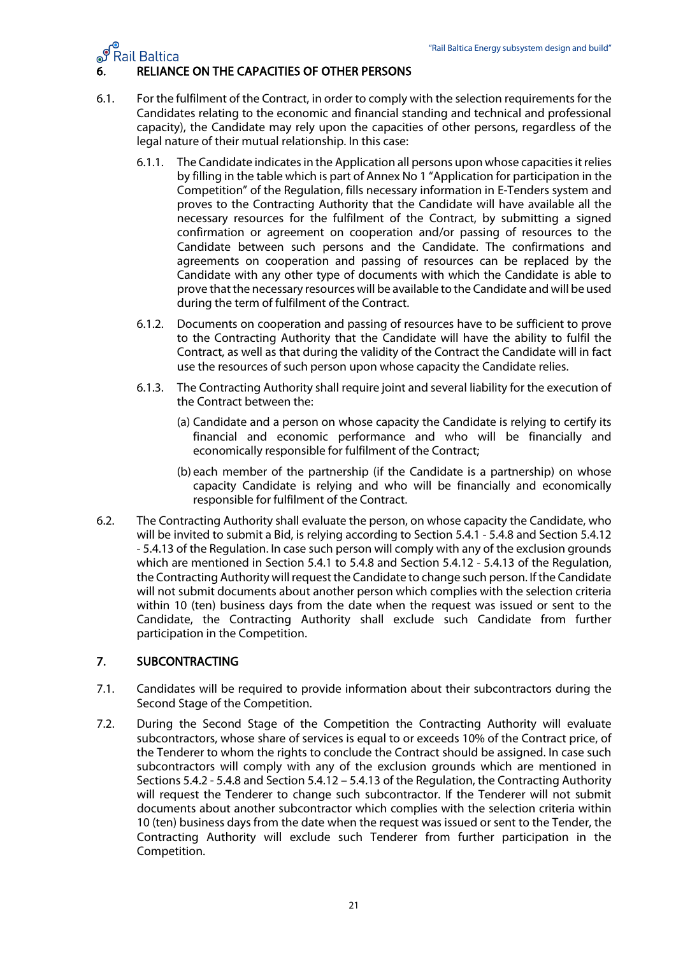

#### <span id="page-20-0"></span>6. RELIANCE ON THE CAPACITIES OF OTHER PERSONS

- 6.1. For the fulfilment of the Contract, in order to comply with the selection requirements for the Candidates relating to the economic and financial standing and technical and professional capacity), the Candidate may rely upon the capacities of other persons, regardless of the legal nature of their mutual relationship. In this case:
	- 6.1.1. The Candidate indicates in the Application all persons upon whose capacities it relies by filling in the table which is part of Annex No 1 "Application for participation in the Competition" of the Regulation, fills necessary information in E-Tenders system and proves to the Contracting Authority that the Candidate will have available all the necessary resources for the fulfilment of the Contract, by submitting a signed confirmation or agreement on cooperation and/or passing of resources to the Candidate between such persons and the Candidate. The confirmations and agreements on cooperation and passing of resources can be replaced by the Candidate with any other type of documents with which the Candidate is able to prove that the necessary resources will be available to the Candidate and will be used during the term of fulfilment of the Contract.
	- 6.1.2. Documents on cooperation and passing of resources have to be sufficient to prove to the Contracting Authority that the Candidate will have the ability to fulfil the Contract, as well as that during the validity of the Contract the Candidate will in fact use the resources of such person upon whose capacity the Candidate relies.
	- 6.1.3. The Contracting Authority shall require joint and several liability for the execution of the Contract between the:
		- (a) Candidate and a person on whose capacity the Candidate is relying to certify its financial and economic performance and who will be financially and economically responsible for fulfilment of the Contract;
		- (b) each member of the partnership (if the Candidate is a partnership) on whose capacity Candidate is relying and who will be financially and economically responsible for fulfilment of the Contract.
- 6.2. The Contracting Authority shall evaluate the person, on whose capacity the Candidate, who will be invited to submit a Bid, is relying according to Section 5.4.1 - 5.4.8 and Section 5.4.12 - 5.4.13 of the Regulation. In case such person will comply with any of the exclusion grounds which are mentioned in Section 5.4.1 to 5.4.8 and Section 5.4.12 - 5.4.13 of the Regulation, the Contracting Authority will request the Candidate to change such person. If the Candidate will not submit documents about another person which complies with the selection criteria within 10 (ten) business days from the date when the request was issued or sent to the Candidate, the Contracting Authority shall exclude such Candidate from further participation in the Competition.

#### <span id="page-20-1"></span>7. SUBCONTRACTING

- 7.1. Candidates will be required to provide information about their subcontractors during the Second Stage of the Competition.
- 7.2. During the Second Stage of the Competition the Contracting Authority will evaluate subcontractors, whose share of services is equal to or exceeds 10% of the Contract price, of the Tenderer to whom the rights to conclude the Contract should be assigned. In case such subcontractors will comply with any of the exclusion grounds which are mentioned in Sections 5.4.2 - 5.4.8 and Section 5.4.12 – 5.4.13 of the Regulation, the Contracting Authority will request the Tenderer to change such subcontractor. If the Tenderer will not submit documents about another subcontractor which complies with the selection criteria within 10 (ten) business days from the date when the request was issued or sent to the Tender, the Contracting Authority will exclude such Tenderer from further participation in the Competition.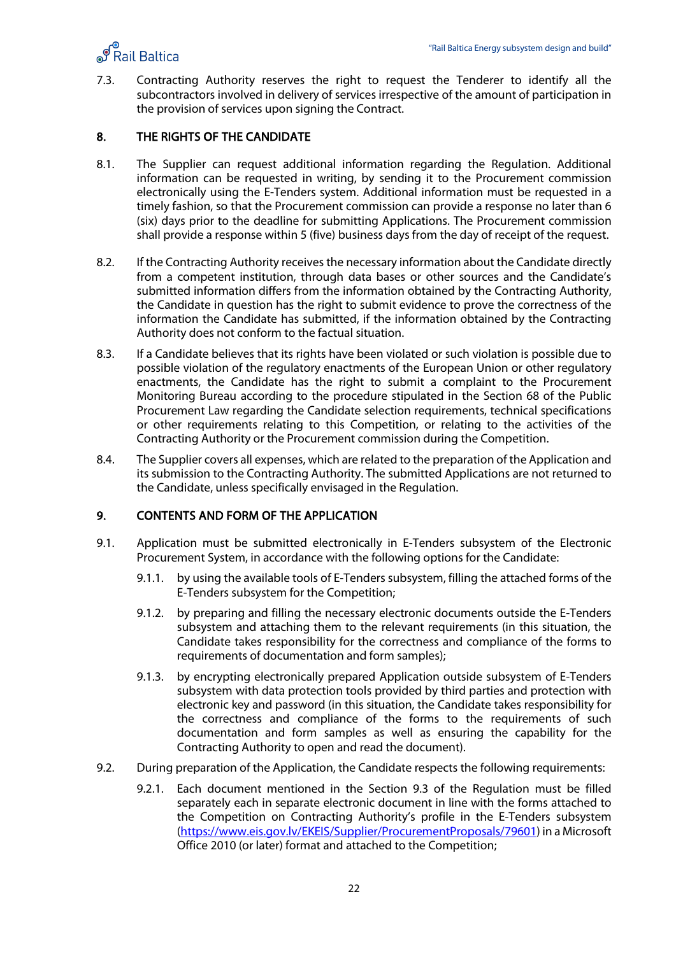

7.3. Contracting Authority reserves the right to request the Tenderer to identify all the subcontractors involved in delivery of services irrespective of the amount of participation in the provision of services upon signing the Contract.

#### <span id="page-21-0"></span>8. THE RIGHTS OF THE CANDIDATE

- 8.1. The Supplier can request additional information regarding the Regulation. Additional information can be requested in writing, by sending it to the Procurement commission electronically using the E-Tenders system. Additional information must be requested in a timely fashion, so that the Procurement commission can provide a response no later than 6 (six) days prior to the deadline for submitting Applications. The Procurement commission shall provide a response within 5 (five) business days from the day of receipt of the request.
- 8.2. If the Contracting Authority receives the necessary information about the Candidate directly from a competent institution, through data bases or other sources and the Candidate's submitted information differs from the information obtained by the Contracting Authority, the Candidate in question has the right to submit evidence to prove the correctness of the information the Candidate has submitted, if the information obtained by the Contracting Authority does not conform to the factual situation.
- 8.3. If a Candidate believes that its rights have been violated or such violation is possible due to possible violation of the regulatory enactments of the European Union or other regulatory enactments, the Candidate has the right to submit a complaint to the Procurement Monitoring Bureau according to the procedure stipulated in the Section 68 of the Public Procurement Law regarding the Candidate selection requirements, technical specifications or other requirements relating to this Competition, or relating to the activities of the Contracting Authority or the Procurement commission during the Competition.
- 8.4. The Supplier covers all expenses, which are related to the preparation of the Application and its submission to the Contracting Authority. The submitted Applications are not returned to the Candidate, unless specifically envisaged in the Regulation.

#### <span id="page-21-1"></span>9. CONTENTS AND FORM OF THE APPLICATION

- 9.1. Application must be submitted electronically in E-Tenders subsystem of the Electronic Procurement System, in accordance with the following options for the Candidate:
	- 9.1.1. by using the available tools of E-Tenders subsystem, filling the attached forms of the E-Tenders subsystem for the Competition;
	- 9.1.2. by preparing and filling the necessary electronic documents outside the E-Tenders subsystem and attaching them to the relevant requirements (in this situation, the Candidate takes responsibility for the correctness and compliance of the forms to requirements of documentation and form samples);
	- 9.1.3. by encrypting electronically prepared Application outside subsystem of E-Tenders subsystem with data protection tools provided by third parties and protection with electronic key and password (in this situation, the Candidate takes responsibility for the correctness and compliance of the forms to the requirements of such documentation and form samples as well as ensuring the capability for the Contracting Authority to open and read the document).
- 9.2. During preparation of the Application, the Candidate respects the following requirements:
	- 9.2.1. Each document mentioned in the Section 9.3 of the Regulation must be filled separately each in separate electronic document in line with the forms attached to the Competition on Contracting Authority's profile in the E-Tenders subsystem [\(https://www.eis.gov.lv/EKEIS/Supplier/](https://www.eis.gov.lv/EKEIS/Supplier)ProcurementProposals/79601) in a Microsoft Office 2010 (or later) format and attached to the Competition;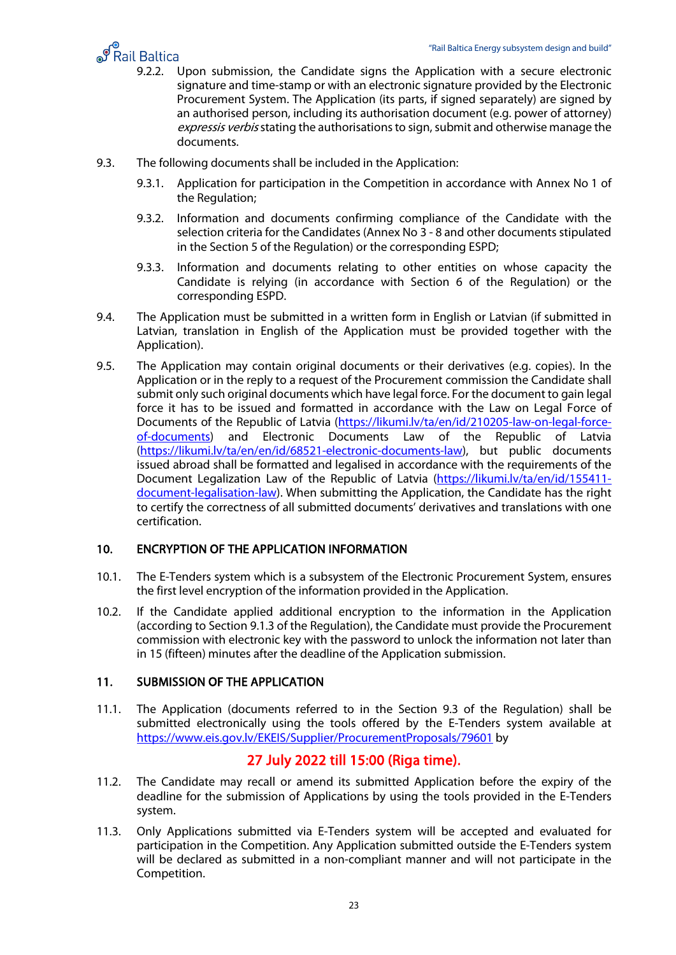

- **19.3.**<br>In all Baltica Energy subsystem design and build at Energy subsystem design and build to poor submission, the Candidate signs the Application with a secure electronic secure electronic signature and time-stamp or with an electronic signature provided by the Electronic Procurement System. The Application (its parts, if signed separately) are signed by an authorised person, including its authorisation document (e.g. power of attorney) expressis verbis stating the authorisations to sign, submit and otherwise manage the documents.
- 9.3. The following documents shall be included in the Application:
	- 9.3.1. Application for participation in the Competition in accordance with Annex No 1 of the Regulation;
	- 9.3.2. Information and documents confirming compliance of the Candidate with the selection criteria for the Candidates (Annex No 3 - 8 and other documents stipulated in the Section 5 of the Regulation) or the corresponding ESPD;
	- 9.3.3. Information and documents relating to other entities on whose capacity the Candidate is relying (in accordance with Section 6 of the Regulation) or the corresponding ESPD.
- 9.4. The Application must be submitted in a written form in English or Latvian (if submitted in Latvian, translation in English of the Application must be provided together with the Application).
- 9.5. The Application may contain original documents or their derivatives (e.g. copies). In the Application or in the reply to a request of the Procurement commission the Candidate shall submit only such original documents which have legal force. For the document to gain legal force it has to be issued and formatted in accordance with the Law on Legal Force of Documents of the Republic of Latvia [\(https://likumi.lv/ta/en/id/210205-law-on-legal-force](https://likumi.lv/ta/en/id/210205-law-on-legal-force-of-documents)[of-documents\)](https://likumi.lv/ta/en/id/210205-law-on-legal-force-of-documents) and Electronic Documents Law of the Republic of Latvia [\(https://likumi.lv/ta/en/en/id/68521-electronic-documents-law\)](https://likumi.lv/ta/en/en/id/68521-electronic-documents-law), but public documents issued abroad shall be formatted and legalised in accordance with the requirements of the Document Legalization Law of the Republic of Latvia [\(https://likumi.lv/ta/en/id/155411](https://likumi.lv/ta/en/id/155411-document-legalisation-law) [document-legalisation-law\)](https://likumi.lv/ta/en/id/155411-document-legalisation-law). When submitting the Application, the Candidate has the right to certify the correctness of all submitted documents' derivatives and translations with one certification.

#### <span id="page-22-0"></span>10. ENCRYPTION OF THE APPLICATION INFORMATION

- 10.1. The E-Tenders system which is a subsystem of the Electronic Procurement System, ensures the first level encryption of the information provided in the Application.
- 10.2. If the Candidate applied additional encryption to the information in the Application (according to Section 9.1.3 of the Regulation), the Candidate must provide the Procurement commission with electronic key with the password to unlock the information not later than in 15 (fifteen) minutes after the deadline of the Application submission.

#### <span id="page-22-1"></span>11. SUBMISSION OF THE APPLICATION

11.1. The Application (documents referred to in the Section 9.3 of the Regulation) shall be submitted electronically using the tools offered by the E-Tenders system available at [https://www.eis.gov.lv/EKEIS/Supplier/](https://www.eis.gov.lv/EKEIS/Supplier)ProcurementProposals/79601 by

# 27 July 2022 till 15:00 (Riga time).

- 11.2. The Candidate may recall or amend its submitted Application before the expiry of the deadline for the submission of Applications by using the tools provided in the E-Tenders system.
- 11.3. Only Applications submitted via E-Tenders system will be accepted and evaluated for participation in the Competition. Any Application submitted outside the E-Tenders system will be declared as submitted in a non-compliant manner and will not participate in the Competition.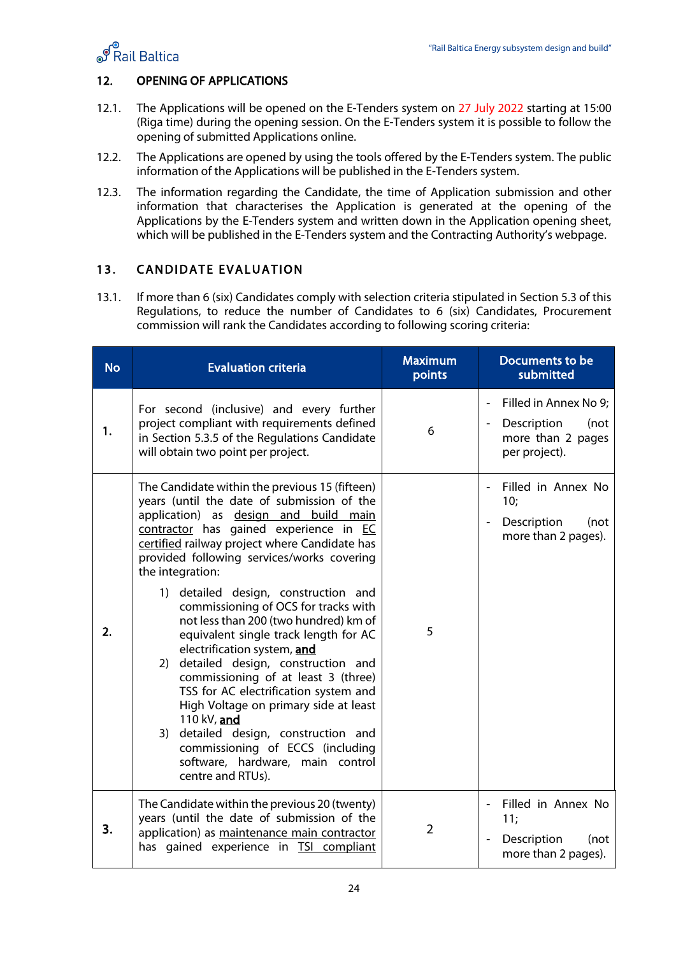

#### <span id="page-23-0"></span>12. OPENING OF APPLICATIONS

- 12.1. The Applications will be opened on the E-Tenders system on 27 July 2022 starting at 15:00 (Riga time) during the opening session. On the E-Tenders system it is possible to follow the opening of submitted Applications online.
- 12.2. The Applications are opened by using the tools offered by the E-Tenders system. The public information of the Applications will be published in the E-Tenders system.
- 12.3. The information regarding the Candidate, the time of Application submission and other information that characterises the Application is generated at the opening of the Applications by the E-Tenders system and written down in the Application opening sheet, which will be published in the E-Tenders system and the Contracting Authority's webpage.

#### <span id="page-23-1"></span>13. CANDIDATE EVALUATION

13.1. If more than 6 (six) Candidates comply with selection criteria stipulated in Section 5.3 of this Regulations, to reduce the number of Candidates to 6 (six) Candidates, Procurement commission will rank the Candidates according to following scoring criteria:

| <b>No</b> | <b>Evaluation criteria</b>                                                                                                                                                                                                                                                                                                                                                                                                                                                                                                                                                                                                                                                                                                                                                                                                        | <b>Maximum</b><br>points | Documents to be<br>submitted                                                              |
|-----------|-----------------------------------------------------------------------------------------------------------------------------------------------------------------------------------------------------------------------------------------------------------------------------------------------------------------------------------------------------------------------------------------------------------------------------------------------------------------------------------------------------------------------------------------------------------------------------------------------------------------------------------------------------------------------------------------------------------------------------------------------------------------------------------------------------------------------------------|--------------------------|-------------------------------------------------------------------------------------------|
| 1.        | For second (inclusive) and every further<br>project compliant with requirements defined<br>in Section 5.3.5 of the Regulations Candidate<br>will obtain two point per project.                                                                                                                                                                                                                                                                                                                                                                                                                                                                                                                                                                                                                                                    | 6                        | Filled in Annex No 9;<br>Description<br>(not<br>more than 2 pages<br>per project).        |
| 2.        | The Candidate within the previous 15 (fifteen)<br>years (until the date of submission of the<br>application) as design and build main<br>contractor has gained experience in EC<br>certified railway project where Candidate has<br>provided following services/works covering<br>the integration:<br>detailed design, construction and<br>1)<br>commissioning of OCS for tracks with<br>not less than 200 (two hundred) km of<br>equivalent single track length for AC<br>electrification system, and<br>detailed design, construction and<br>2)<br>commissioning of at least 3 (three)<br>TSS for AC electrification system and<br>High Voltage on primary side at least<br>110 kV, and<br>3)<br>detailed design, construction and<br>commissioning of ECCS (including<br>software, hardware, main control<br>centre and RTUs). | 5                        | Filled in Annex No<br>10;<br>Description<br>(not<br>more than 2 pages).                   |
| 3.        | The Candidate within the previous 20 (twenty)<br>years (until the date of submission of the<br>application) as maintenance main contractor<br>has gained experience in TSI compliant                                                                                                                                                                                                                                                                                                                                                                                                                                                                                                                                                                                                                                              | $\overline{2}$           | Filled in Annex No<br>11;<br>Description<br>(not<br>$\blacksquare$<br>more than 2 pages). |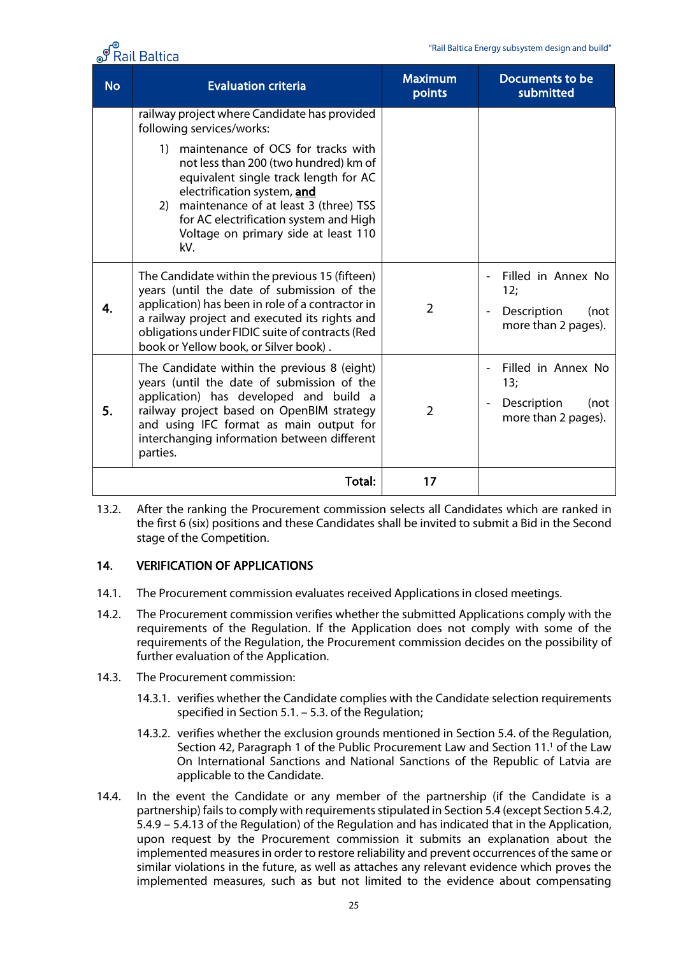"Rail Baltica Energy subsystem design and build"



| <b>No</b> | <b>Evaluation criteria</b>                                                                                                                                                                                                                                                                                                                                                     | <b>Maximum</b><br>points | Documents to be<br>submitted                                                                            |
|-----------|--------------------------------------------------------------------------------------------------------------------------------------------------------------------------------------------------------------------------------------------------------------------------------------------------------------------------------------------------------------------------------|--------------------------|---------------------------------------------------------------------------------------------------------|
|           | railway project where Candidate has provided<br>following services/works:<br>maintenance of OCS for tracks with<br>1)<br>not less than 200 (two hundred) km of<br>equivalent single track length for AC<br>electrification system, and<br>maintenance of at least 3 (three) TSS<br>2)<br>for AC electrification system and High<br>Voltage on primary side at least 110<br>kV. |                          |                                                                                                         |
| 4.        | The Candidate within the previous 15 (fifteen)<br>years (until the date of submission of the<br>application) has been in role of a contractor in<br>a railway project and executed its rights and<br>obligations under FIDIC suite of contracts (Red<br>book or Yellow book, or Silver book).                                                                                  | $\overline{2}$           | Filled in Annex No<br>12;<br>Description<br>(not<br>$\blacksquare$<br>more than 2 pages).               |
| 5.        | The Candidate within the previous 8 (eight)<br>years (until the date of submission of the<br>application) has developed and build a<br>railway project based on OpenBIM strategy<br>and using IFC format as main output for<br>interchanging information between different<br>parties.                                                                                         | $\overline{2}$           | Filled in Annex No<br>13;<br>Description<br>(not<br>$\qquad \qquad \blacksquare$<br>more than 2 pages). |
|           | Total:                                                                                                                                                                                                                                                                                                                                                                         | 17                       |                                                                                                         |

13.2. After the ranking the Procurement commission selects all Candidates which are ranked in the first 6 (six) positions and these Candidates shall be invited to submit a Bid in the Second stage of the Competition.

#### <span id="page-24-0"></span>14. VERIFICATION OF APPLICATIONS

- 14.1. The Procurement commission evaluates received Applications in closed meetings.
- 14.2. The Procurement commission verifies whether the submitted Applications comply with the requirements of the Regulation. If the Application does not comply with some of the requirements of the Regulation, the Procurement commission decides on the possibility of further evaluation of the Application.
- 14.3. The Procurement commission:
	- 14.3.1. verifies whether the Candidate complies with the Candidate selection requirements specified in Section 5.1. – 5.3. of the Regulation;
	- 14.3.2. verifies whether the exclusion grounds mentioned in Section 5.4. of the Regulation, Section 42, Paragraph 1 of the Public Procurement [Law](http://www.vvc.gov.lv/export/sites/default/docs/LRTA/Citi/Law_On_International_Sanctions_and_National_Sanctions.pdf) and Section 11.<sup>1</sup> of the Law [On International Sanctions and National Sanctions of the Republic of Latvia](http://www.vvc.gov.lv/export/sites/default/docs/LRTA/Citi/Law_On_International_Sanctions_and_National_Sanctions.pdf) are applicable to the Candidate.
- 14.4. In the event the Candidate or any member of the partnership (if the Candidate is a partnership) fails to comply with requirements stipulated in Section 5.4 (except Section 5.4.2, 5.4.9 – 5.4.13 of the Regulation) of the Regulation and has indicated that in the Application, upon request by the Procurement commission it submits an explanation about the implemented measures in order to restore reliability and prevent occurrences of the same or similar violations in the future, as well as attaches any relevant evidence which proves the implemented measures, such as but not limited to the evidence about compensating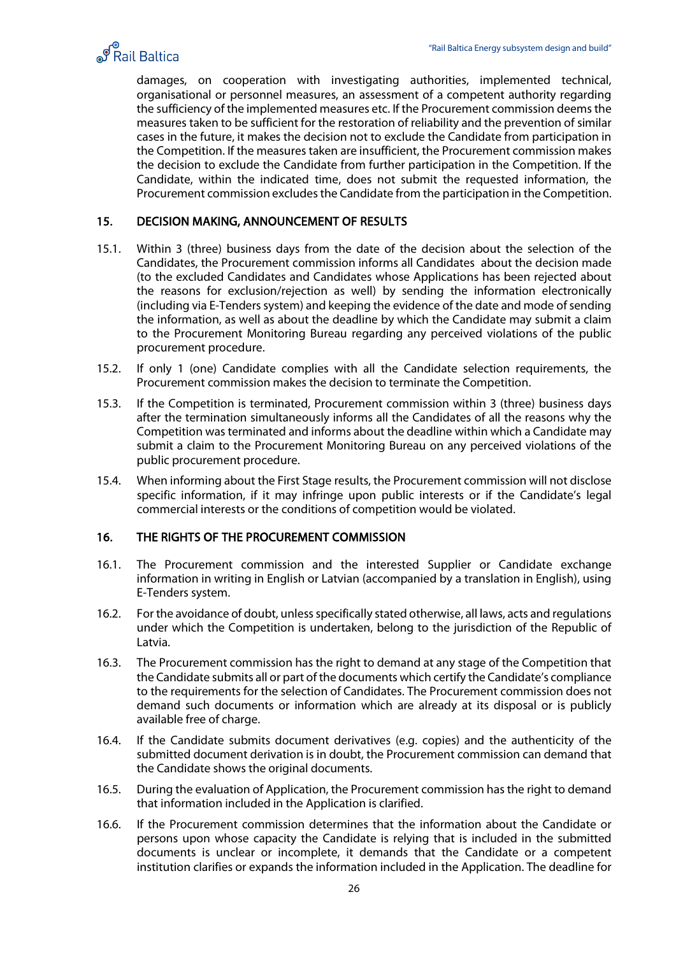

damages, on cooperation with investigating authorities, implemented technical, organisational or personnel measures, an assessment of a competent authority regarding the sufficiency of the implemented measures etc. If the Procurement commission deems the measures taken to be sufficient for the restoration of reliability and the prevention of similar cases in the future, it makes the decision not to exclude the Candidate from participation in the Competition. If the measures taken are insufficient, the Procurement commission makes the decision to exclude the Candidate from further participation in the Competition. If the Candidate, within the indicated time, does not submit the requested information, the Procurement commission excludes the Candidate from the participation in the Competition.

#### <span id="page-25-0"></span>15. DECISION MAKING, ANNOUNCEMENT OF RESULTS

- 15.1. Within 3 (three) business days from the date of the decision about the selection of the Candidates, the Procurement commission informs all Candidates about the decision made (to the excluded Candidates and Candidates whose Applications has been rejected about the reasons for exclusion/rejection as well) by sending the information electronically (including via E-Tenders system) and keeping the evidence of the date and mode of sending the information, as well as about the deadline by which the Candidate may submit a claim to the Procurement Monitoring Bureau regarding any perceived violations of the public procurement procedure.
- 15.2. If only 1 (one) Candidate complies with all the Candidate selection requirements, the Procurement commission makes the decision to terminate the Competition.
- 15.3. If the Competition is terminated, Procurement commission within 3 (three) business days after the termination simultaneously informs all the Candidates of all the reasons why the Competition was terminated and informs about the deadline within which a Candidate may submit a claim to the Procurement Monitoring Bureau on any perceived violations of the public procurement procedure.
- 15.4. When informing about the First Stage results, the Procurement commission will not disclose specific information, if it may infringe upon public interests or if the Candidate's legal commercial interests or the conditions of competition would be violated.

#### <span id="page-25-1"></span>16. THE RIGHTS OF THE PROCUREMENT COMMISSION

- 16.1. The Procurement commission and the interested Supplier or Candidate exchange information in writing in English or Latvian (accompanied by a translation in English), using E-Tenders system.
- 16.2. For the avoidance of doubt, unless specifically stated otherwise, all laws, acts and regulations under which the Competition is undertaken, belong to the jurisdiction of the Republic of Latvia.
- 16.3. The Procurement commission has the right to demand at any stage of the Competition that the Candidate submits all or part of the documents which certify the Candidate's compliance to the requirements for the selection of Candidates. The Procurement commission does not demand such documents or information which are already at its disposal or is publicly available free of charge.
- 16.4. If the Candidate submits document derivatives (e.g. copies) and the authenticity of the submitted document derivation is in doubt, the Procurement commission can demand that the Candidate shows the original documents.
- 16.5. During the evaluation of Application, the Procurement commission has the right to demand that information included in the Application is clarified.
- 16.6. If the Procurement commission determines that the information about the Candidate or persons upon whose capacity the Candidate is relying that is included in the submitted documents is unclear or incomplete, it demands that the Candidate or a competent institution clarifies or expands the information included in the Application. The deadline for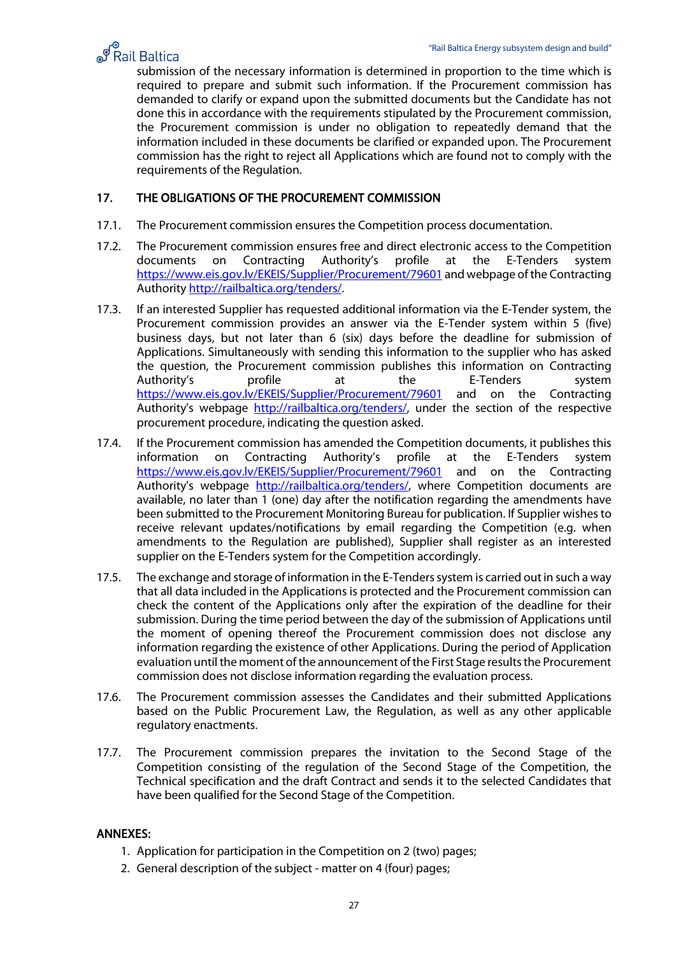

spail Baltica Energy subsystem design and build<br>Submission of the necessary information is determined in proportion to the time which is required to prepare and submit such information. If the Procurement commission has demanded to clarify or expand upon the submitted documents but the Candidate has not done this in accordance with the requirements stipulated by the Procurement commission, the Procurement commission is under no obligation to repeatedly demand that the information included in these documents be clarified or expanded upon. The Procurement commission has the right to reject all Applications which are found not to comply with the requirements of the Regulation.

#### <span id="page-26-0"></span>17. THE OBLIGATIONS OF THE PROCUREMENT COMMISSION

- 17.1. The Procurement commission ensures the Competition process documentation.
- 17.2. The Procurement commission ensures free and direct electronic access to the Competition documents on Contracting Authority's profile at the E-Tenders system [https://www.eis.gov.lv/EKEIS/Supplier/](https://www.eis.gov.lv/EKEIS/Supplier)Procurement/79601 and webpage of the Contracting Authority http://railbaltica.org/tenders/.
- 17.3. If an interested Supplier has requested additional information via the E-Tender system, the Procurement commission provides an answer via the E-Tender system within 5 (five) business days, but not later than 6 (six) days before the deadline for submission of Applications. Simultaneously with sending this information to the supplier who has asked the question, the Procurement commission publishes this information on Contracting<br>Authority's profile at the E-Tenders system Authority's profile at the E-Tenders system [https://www.eis.gov.lv/EKEIS/Supplier/](https://www.eis.gov.lv/EKEIS/Supplier)Procurement/79601 and on the Contracting Authority's webpage [http://railbaltica.org/tenders/,](http://railbaltica.org/tenders/) under the section of the respective procurement procedure, indicating the question asked.
- 17.4. If the Procurement commission has amended the Competition documents, it publishes this information on Contracting Authority's profile at the E-Tenders system [https://www.eis.gov.lv/EKEIS/Supplier/](https://www.eis.gov.lv/EKEIS/Supplier)Procurement/79601 and on the Contracting Authority's webpage [http://railbaltica.org/tenders/,](http://railbaltica.org/tenders/) where Competition documents are available, no later than 1 (one) day after the notification regarding the amendments have been submitted to the Procurement Monitoring Bureau for publication. If Supplier wishes to receive relevant updates/notifications by email regarding the Competition (e.g. when amendments to the Regulation are published), Supplier shall register as an interested supplier on the E-Tenders system for the Competition accordingly.
- 17.5. The exchange and storage of information in the E-Tenders system is carried out in such a way that all data included in the Applications is protected and the Procurement commission can check the content of the Applications only after the expiration of the deadline for their submission. During the time period between the day of the submission of Applications until the moment of opening thereof the Procurement commission does not disclose any information regarding the existence of other Applications. During the period of Application evaluation until the moment of the announcement of the First Stage results the Procurement commission does not disclose information regarding the evaluation process.
- 17.6. The Procurement commission assesses the Candidates and their submitted Applications based on the Public Procurement Law, the Regulation, as well as any other applicable regulatory enactments.
- 17.7. The Procurement commission prepares the invitation to the Second Stage of the Competition consisting of the regulation of the Second Stage of the Competition, the Technical specification and the draft Contract and sends it to the selected Candidates that have been qualified for the Second Stage of the Competition.

#### ANNEXES:

- 1. Application for participation in the Competition on 2 (two) pages;
- 2. General description of the subject matter on 4 (four) pages;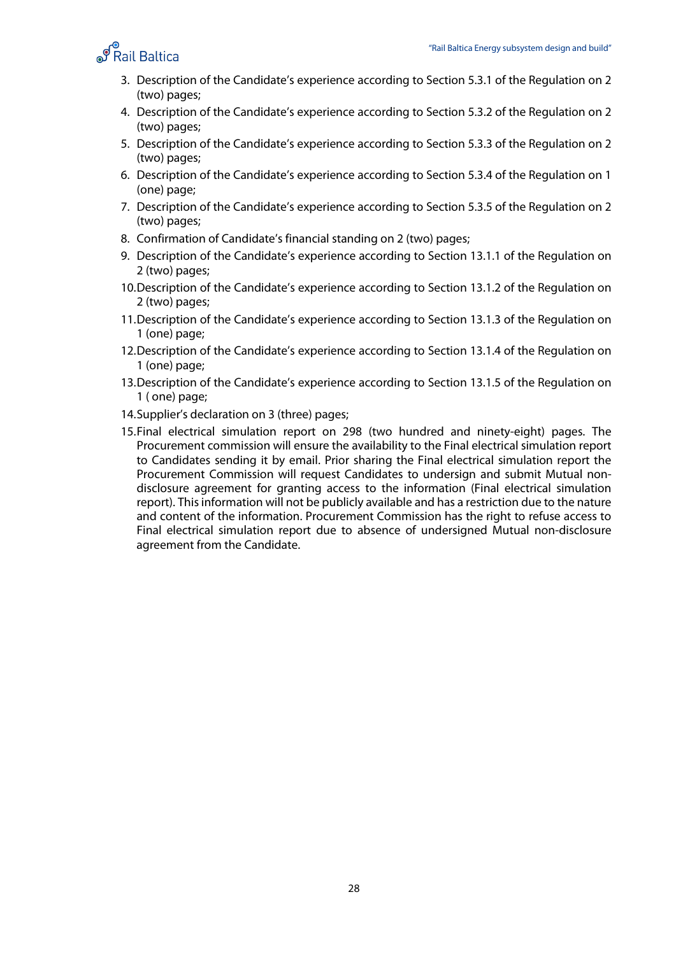

- 3. Description of the Candidate's experience according to Section 5.3.1 of the Regulation on 2 (two) pages;
- 4. Description of the Candidate's experience according to Section 5.3.2 of the Regulation on 2 (two) pages;
- 5. Description of the Candidate's experience according to Section 5.3.3 of the Regulation on 2 (two) pages;
- 6. Description of the Candidate's experience according to Section 5.3.4 of the Regulation on 1 (one) page;
- 7. Description of the Candidate's experience according to Section 5.3.5 of the Regulation on 2 (two) pages;
- 8. Confirmation of Candidate's financial standing on 2 (two) pages;
- 9. Description of the Candidate's experience according to Section 13.1.1 of the Regulation on 2 (two) pages;
- 10.Description of the Candidate's experience according to Section 13.1.2 of the Regulation on 2 (two) pages;
- 11.Description of the Candidate's experience according to Section 13.1.3 of the Regulation on 1 (one) page;
- 12.Description of the Candidate's experience according to Section 13.1.4 of the Regulation on 1 (one) page;
- 13.Description of the Candidate's experience according to Section 13.1.5 of the Regulation on 1 ( one) page;
- 14.Supplier's declaration on 3 (three) pages;
- 15.Final electrical simulation report on 298 (two hundred and ninety-eight) pages. The Procurement commission will ensure the availability to the Final electrical simulation report to Candidates sending it by email. Prior sharing the Final electrical simulation report the Procurement Commission will request Candidates to undersign and submit Mutual nondisclosure agreement for granting access to the information (Final electrical simulation report). This information will not be publicly available and has a restriction due to the nature and content of the information. Procurement Commission has the right to refuse access to Final electrical simulation report due to absence of undersigned Mutual non-disclosure agreement from the Candidate.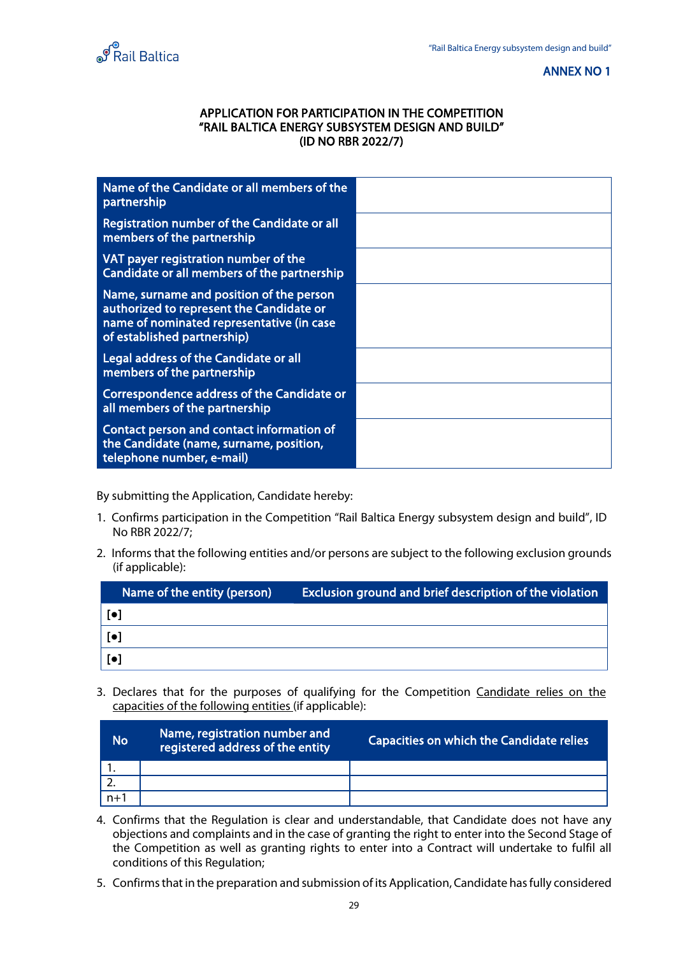<span id="page-28-0"></span>



#### APPLICATION FOR PARTICIPATION IN THE COMPETITION "RAIL BALTICA ENERGY SUBSYSTEM DESIGN AND BUILD" (ID NO RBR 2022/7)

| Name of the Candidate or all members of the<br>partnership                                                                                                       |  |
|------------------------------------------------------------------------------------------------------------------------------------------------------------------|--|
| Registration number of the Candidate or all<br>members of the partnership                                                                                        |  |
| VAT payer registration number of the<br>Candidate or all members of the partnership                                                                              |  |
| Name, surname and position of the person<br>authorized to represent the Candidate or<br>name of nominated representative (in case<br>of established partnership) |  |
| Legal address of the Candidate or all<br>members of the partnership                                                                                              |  |
| Correspondence address of the Candidate or<br>all members of the partnership                                                                                     |  |
| Contact person and contact information of<br>the Candidate (name, surname, position,<br>telephone number, e-mail)                                                |  |

By submitting the Application, Candidate hereby:

- 1. Confirms participation in the Competition "Rail Baltica Energy subsystem design and build", ID No RBR 2022/7;
- 2. Informs that the following entities and/or persons are subject to the following exclusion grounds (if applicable):

| Name of the entity (person) | <b>Exclusion ground and brief description of the violation</b> |
|-----------------------------|----------------------------------------------------------------|
|                             |                                                                |
|                             |                                                                |
|                             |                                                                |

3. Declares that for the purposes of qualifying for the Competition Candidate relies on the capacities of the following entities (if applicable):

| <b>No</b> | Name, registration number and<br>registered address of the entity | <b>Capacities on which the Candidate relies</b> |
|-----------|-------------------------------------------------------------------|-------------------------------------------------|
|           |                                                                   |                                                 |
|           |                                                                   |                                                 |
| $n+1$     |                                                                   |                                                 |

- 4. Confirms that the Regulation is clear and understandable, that Candidate does not have any objections and complaints and in the case of granting the right to enter into the Second Stage of the Competition as well as granting rights to enter into a Contract will undertake to fulfil all conditions of this Regulation;
- 5. Confirmsthat in the preparation and submission of its Application, Candidate has fully considered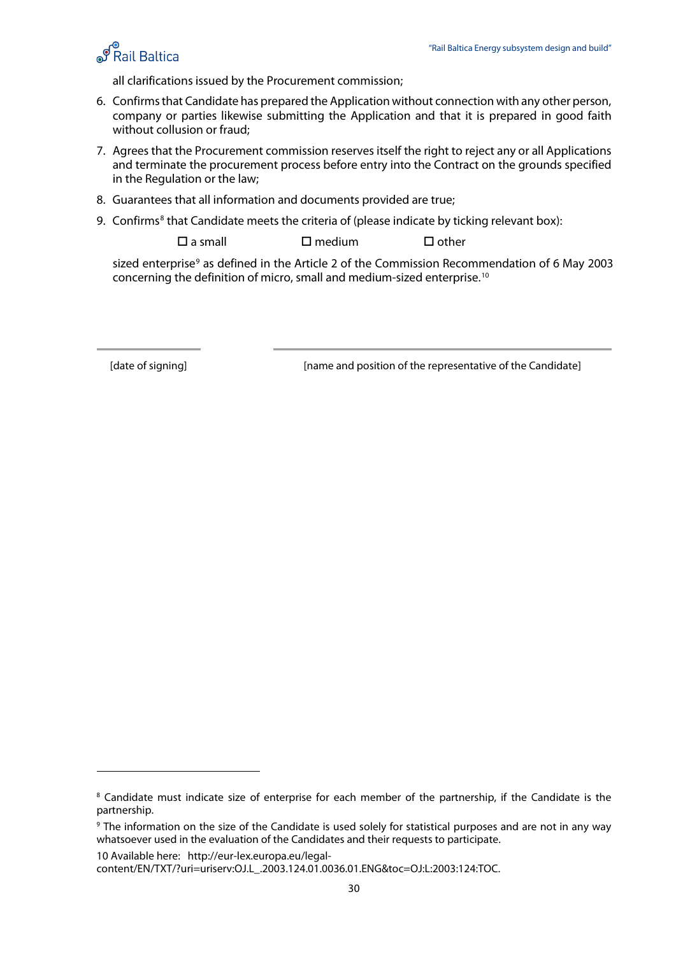

all clarifications issued by the Procurement commission;

- 6. Confirms that Candidate has prepared the Application without connection with any other person, company or parties likewise submitting the Application and that it is prepared in good faith without collusion or fraud;
- 7. Agrees that the Procurement commission reserves itself the right to reject any or all Applications and terminate the procurement process before entry into the Contract on the grounds specified in the Regulation or the law;
- 8. Guarantees that all information and documents provided are true;
- 9. Confirms<sup>[8](#page-29-0)</sup> that Candidate meets the criteria of (please indicate by ticking relevant box):

 $\square$  a small  $\square$  medium  $\square$  other

sized enterprise<sup>[9](#page-29-1)</sup> as defined in the Article 2 of the Commission Recommendation of 6 May 2003 concerning the definition of micro, small and medium-sized enterprise.[10](#page-29-2)

[date of signing] [name and position of the representative of the Candidate]

<span id="page-29-2"></span>10 Available here: [http://eur-lex.europa.eu/legal-](http://eur-lex.europa.eu/legal-content/EN/TXT/?uri=uriserv:OJ.L_.2003.124.01.0036.01.ENG&toc=OJ:L:2003:124:TOC)

<span id="page-29-0"></span><sup>&</sup>lt;sup>8</sup> Candidate must indicate size of enterprise for each member of the partnership, if the Candidate is the partnership.

<span id="page-29-1"></span><sup>9</sup> The information on the size of the Candidate is used solely for statistical purposes and are not in any way whatsoever used in the evaluation of the Candidates and their requests to participate.

[content/EN/TXT/?uri=uriserv:OJ.L\\_.2003.124.01.0036.01.ENG&toc=OJ:L:2003:124:TOC.](http://eur-lex.europa.eu/legal-content/EN/TXT/?uri=uriserv:OJ.L_.2003.124.01.0036.01.ENG&toc=OJ:L:2003:124:TOC)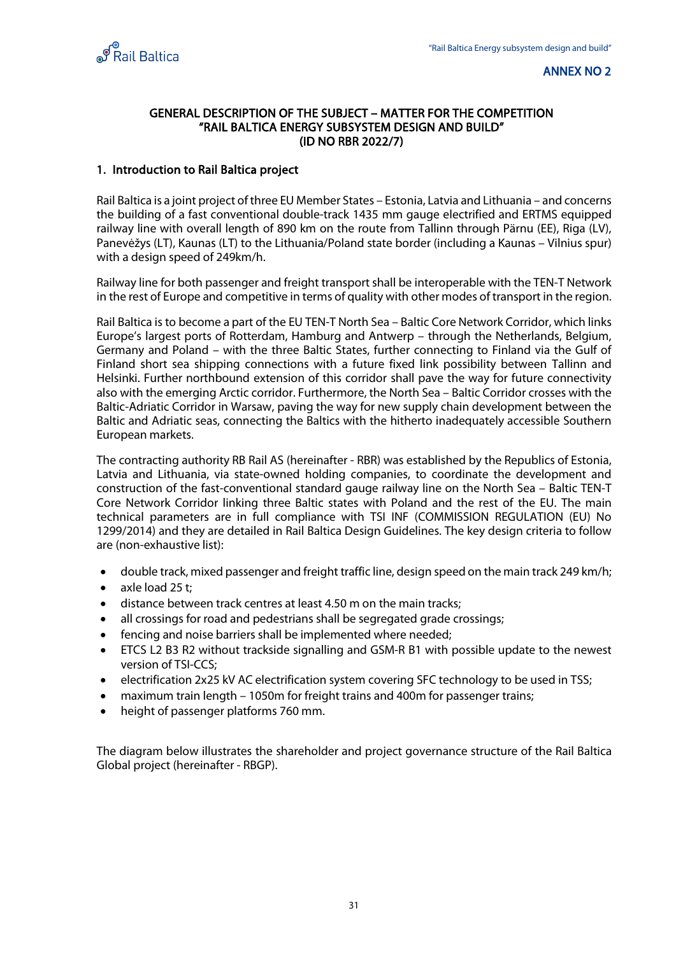<span id="page-30-0"></span>

#### GENERAL DESCRIPTION OF THE SUBJECT – MATTER FOR THE COMPETITION "RAIL BALTICA ENERGY SUBSYSTEM DESIGN AND BUILD" (ID NO RBR 2022/7)

#### 1. Introduction to Rail Baltica project

Rail Baltica is a joint project of three EU Member States – Estonia, Latvia and Lithuania – and concerns the building of a fast conventional double-track 1435 mm gauge electrified and ERTMS equipped railway line with overall length of 890 km on the route from Tallinn through Pärnu (EE), Riga (LV), Panevėžys (LT), Kaunas (LT) to the Lithuania/Poland state border (including a Kaunas – Vilnius spur) with a design speed of 249km/h.

Railway line for both passenger and freight transport shall be interoperable with the TEN-T Network in the rest of Europe and competitive in terms of quality with other modes of transport in the region.

Rail Baltica is to become a part of the EU TEN-T North Sea – Baltic Core Network Corridor, which links Europe's largest ports of Rotterdam, Hamburg and Antwerp – through the Netherlands, Belgium, Germany and Poland – with the three Baltic States, further connecting to Finland via the Gulf of Finland short sea shipping connections with a future fixed link possibility between Tallinn and Helsinki. Further northbound extension of this corridor shall pave the way for future connectivity also with the emerging Arctic corridor. Furthermore, the North Sea – Baltic Corridor crosses with the Baltic-Adriatic Corridor in Warsaw, paving the way for new supply chain development between the Baltic and Adriatic seas, connecting the Baltics with the hitherto inadequately accessible Southern European markets.

The contracting authority RB Rail AS (hereinafter - RBR) was established by the Republics of Estonia, Latvia and Lithuania, via state-owned holding companies, to coordinate the development and construction of the fast-conventional standard gauge railway line on the North Sea – Baltic TEN-T Core Network Corridor linking three Baltic states with Poland and the rest of the EU. The main technical parameters are in full compliance with TSI INF (COMMISSION REGULATION (EU) No 1299/2014) and they are detailed in Rail Baltica Design Guidelines. The key design criteria to follow are (non-exhaustive list):

- double track, mixed passenger and freight traffic line, design speed on the main track 249 km/h;
- axle load 25 t;
- distance between track centres at least 4.50 m on the main tracks;
- all crossings for road and pedestrians shall be segregated grade crossings;
- fencing and noise barriers shall be implemented where needed;
- ETCS L2 B3 R2 without trackside signalling and GSM-R B1 with possible update to the newest version of TSI-CCS;
- electrification 2x25 kV AC electrification system covering SFC technology to be used in TSS;
- maximum train length 1050m for freight trains and 400m for passenger trains;
- height of passenger platforms 760 mm.

The diagram below illustrates the shareholder and project governance structure of the Rail Baltica Global project (hereinafter - RBGP).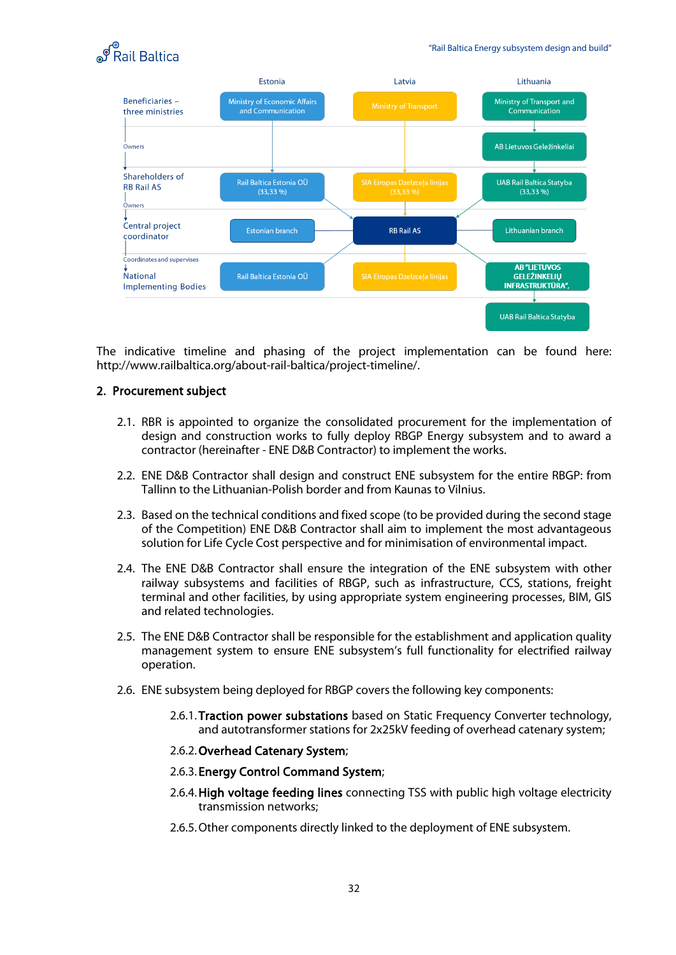



The indicative timeline and phasing of the project implementation can be found here: http://www.railbaltica.org/about-rail-baltica/project-timeline/.

#### 2. Procurement subject

- 2.1. RBR is appointed to organize the consolidated procurement for the implementation of design and construction works to fully deploy RBGP Energy subsystem and to award a contractor (hereinafter - ENE D&B Contractor) to implement the works.
- 2.2. ENE D&B Contractor shall design and construct ENE subsystem for the entire RBGP: from Tallinn to the Lithuanian-Polish border and from Kaunas to Vilnius.
- 2.3. Based on the technical conditions and fixed scope (to be provided during the second stage of the Competition) ENE D&B Contractor shall aim to implement the most advantageous solution for Life Cycle Cost perspective and for minimisation of environmental impact.
- 2.4. The ENE D&B Contractor shall ensure the integration of the ENE subsystem with other railway subsystems and facilities of RBGP, such as infrastructure, CCS, stations, freight terminal and other facilities, by using appropriate system engineering processes, BIM, GIS and related technologies.
- 2.5. The ENE D&B Contractor shall be responsible for the establishment and application quality management system to ensure ENE subsystem's full functionality for electrified railway operation.
- 2.6. ENE subsystem being deployed for RBGP covers the following key components:
	- 2.6.1. Traction power substations based on Static Frequency Converter technology, and autotransformer stations for 2x25kV feeding of overhead catenary system;

#### 2.6.2.Overhead Catenary System;

- 2.6.3. Energy Control Command System;
- 2.6.4.High voltage feeding lines connecting TSS with public high voltage electricity transmission networks;
- 2.6.5.Other components directly linked to the deployment of ENE subsystem.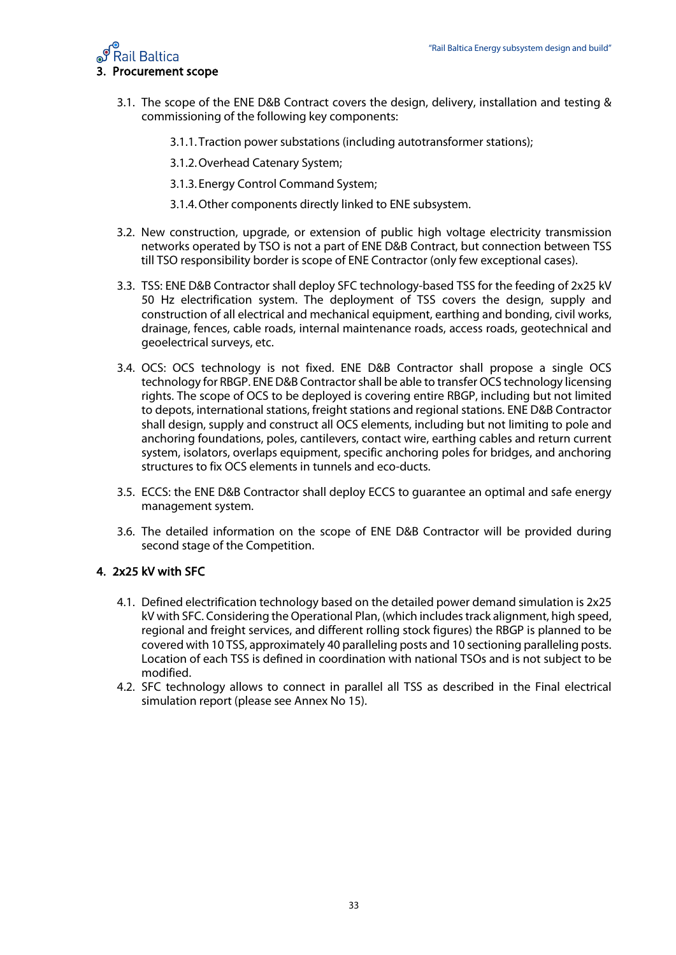

- 3.1. The scope of the ENE D&B Contract covers the design, delivery, installation and testing & commissioning of the following key components:
	- 3.1.1. Traction power substations (including autotransformer stations);
	- 3.1.2.Overhead Catenary System;
	- 3.1.3. Energy Control Command System;
	- 3.1.4.Other components directly linked to ENE subsystem.
- 3.2. New construction, upgrade, or extension of public high voltage electricity transmission networks operated by TSO is not a part of ENE D&B Contract, but connection between TSS till TSO responsibility border is scope of ENE Contractor (only few exceptional cases).
- 3.3. TSS: ENE D&B Contractor shall deploy SFC technology-based TSS for the feeding of 2x25 kV 50 Hz electrification system. The deployment of TSS covers the design, supply and construction of all electrical and mechanical equipment, earthing and bonding, civil works, drainage, fences, cable roads, internal maintenance roads, access roads, geotechnical and geoelectrical surveys, etc.
- 3.4. OCS: OCS technology is not fixed. ENE D&B Contractor shall propose a single OCS technology for RBGP. ENE D&B Contractor shall be able to transfer OCS technology licensing rights. The scope of OCS to be deployed is covering entire RBGP, including but not limited to depots, international stations, freight stations and regional stations. ENE D&B Contractor shall design, supply and construct all OCS elements, including but not limiting to pole and anchoring foundations, poles, cantilevers, contact wire, earthing cables and return current system, isolators, overlaps equipment, specific anchoring poles for bridges, and anchoring structures to fix OCS elements in tunnels and eco-ducts.
- 3.5. ECCS: the ENE D&B Contractor shall deploy ECCS to guarantee an optimal and safe energy management system.
- 3.6. The detailed information on the scope of ENE D&B Contractor will be provided during second stage of the Competition.

#### 4. 2x25 kV with SFC

- 4.1. Defined electrification technology based on the detailed power demand simulation is 2x25 kV with SFC. Considering the Operational Plan, (which includes track alignment, high speed, regional and freight services, and different rolling stock figures) the RBGP is planned to be covered with 10 TSS, approximately 40 paralleling posts and 10 sectioning paralleling posts. Location of each TSS is defined in coordination with national TSOs and is not subject to be modified.
- 4.2. SFC technology allows to connect in parallel all TSS as described in the Final electrical simulation report (please see Annex No 15).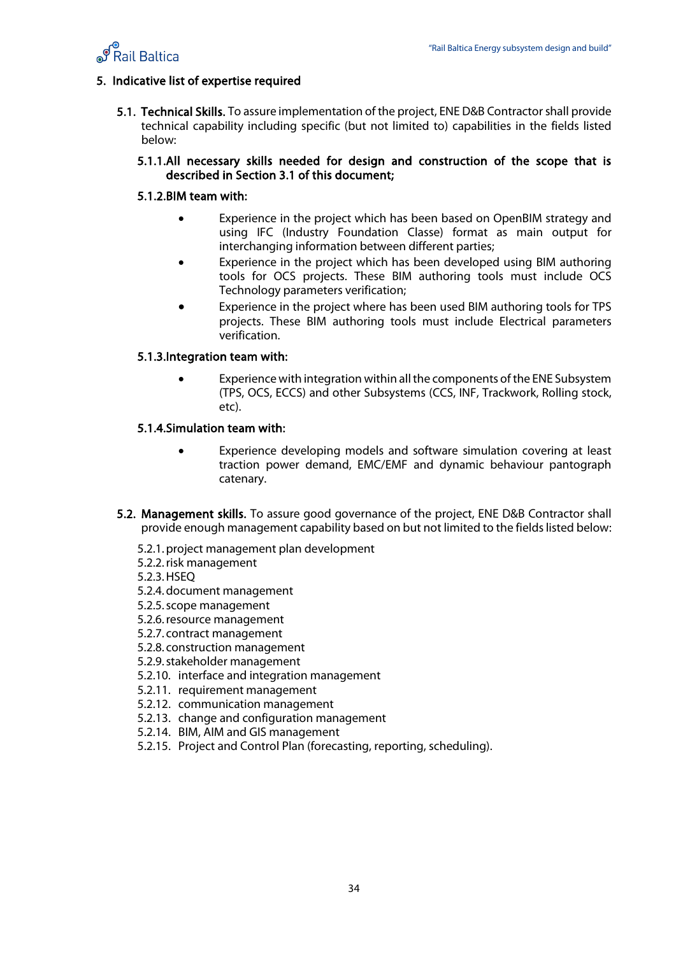

#### 5. Indicative list of expertise required

- 5.1. Technical Skills. To assure implementation of the project, ENE D&B Contractor shall provide technical capability including specific (but not limited to) capabilities in the fields listed below:
	- 5.1.1.All necessary skills needed for design and construction of the scope that is described in Section 3.1 of this document;

#### 5.1.2.BIM team with:

- Experience in the project which has been based on OpenBIM strategy and using IFC (Industry Foundation Classe) format as main output for interchanging information between different parties;
- Experience in the project which has been developed using BIM authoring tools for OCS projects. These BIM authoring tools must include OCS Technology parameters verification;
- Experience in the project where has been used BIM authoring tools for TPS projects. These BIM authoring tools must include Electrical parameters verification.

#### 5.1.3.Integration team with:

• Experience with integration within all the components of the ENE Subsystem (TPS, OCS, ECCS) and other Subsystems (CCS, INF, Trackwork, Rolling stock, etc).

#### 5.1.4.Simulation team with:

- Experience developing models and software simulation covering at least traction power demand, EMC/EMF and dynamic behaviour pantograph catenary.
- 5.2. Management skills. To assure good governance of the project, ENE D&B Contractor shall provide enough management capability based on but not limited to the fieldslisted below:
	- 5.2.1.project management plan development
	- 5.2.2.risk management

5.2.3.HSEQ

- 5.2.4.document management
- 5.2.5.scope management
- 5.2.6.resource management
- 5.2.7. contract management
- 5.2.8. construction management
- 5.2.9.stakeholder management
- 5.2.10. interface and integration management
- 5.2.11. requirement management
- 5.2.12. communication management
- 5.2.13. change and configuration management
- 5.2.14. BIM, AIM and GIS management
- 5.2.15. Project and Control Plan (forecasting, reporting, scheduling).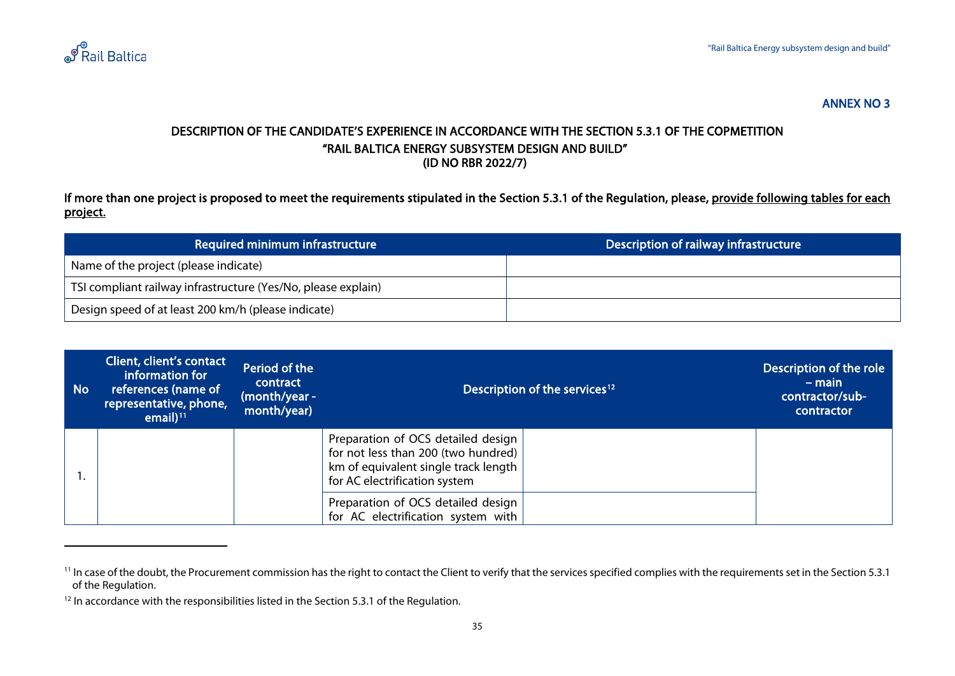

#### <span id="page-34-2"></span><span id="page-34-1"></span>DESCRIPTION OF THE CANDIDATE'S EXPERIENCE IN ACCORDANCE WITH THE SECTION 5.3.1 OF THE COPMETITION "RAIL BALTICA ENERGY SUBSYSTEM DESIGN AND BUILD" (ID NO RBR 2022/7)

If more than one project is proposed to meet the requirements stipulated in the Section 5.3.1 of the Regulation, please, provide following tables for each project.

| Required minimum infrastructure                               | Description of railway infrastructure |
|---------------------------------------------------------------|---------------------------------------|
| Name of the project (please indicate)                         |                                       |
| TSI compliant railway infrastructure (Yes/No, please explain) |                                       |
| Design speed of at least 200 km/h (please indicate)           |                                       |

<span id="page-34-0"></span>

| <b>No</b> | Client, client's contact<br>information for<br>references (name of<br>representative, phone,<br>email $11$ <sup>11</sup> | Period of the<br>contract<br>(month/year -<br>month/year) |                                                                                                                                                    | Description of the services <sup>12</sup> | Description of the role<br>$-$ main<br>contractor/sub-<br>contractor |
|-----------|--------------------------------------------------------------------------------------------------------------------------|-----------------------------------------------------------|----------------------------------------------------------------------------------------------------------------------------------------------------|-------------------------------------------|----------------------------------------------------------------------|
|           |                                                                                                                          |                                                           | Preparation of OCS detailed design<br>for not less than 200 (two hundred)<br>km of equivalent single track length<br>for AC electrification system |                                           |                                                                      |
|           |                                                                                                                          |                                                           | Preparation of OCS detailed design<br>for AC electrification system with                                                                           |                                           |                                                                      |

<sup>&</sup>lt;sup>11</sup> In case of the doubt, the Procurement commission has the right to contact the Client to verify that the services specified complies with the requirements set in the Section 5.3.1 of the Regulation.

<sup>&</sup>lt;sup>12</sup> In accordance with the responsibilities listed in the Section 5.3.1 of the Regulation.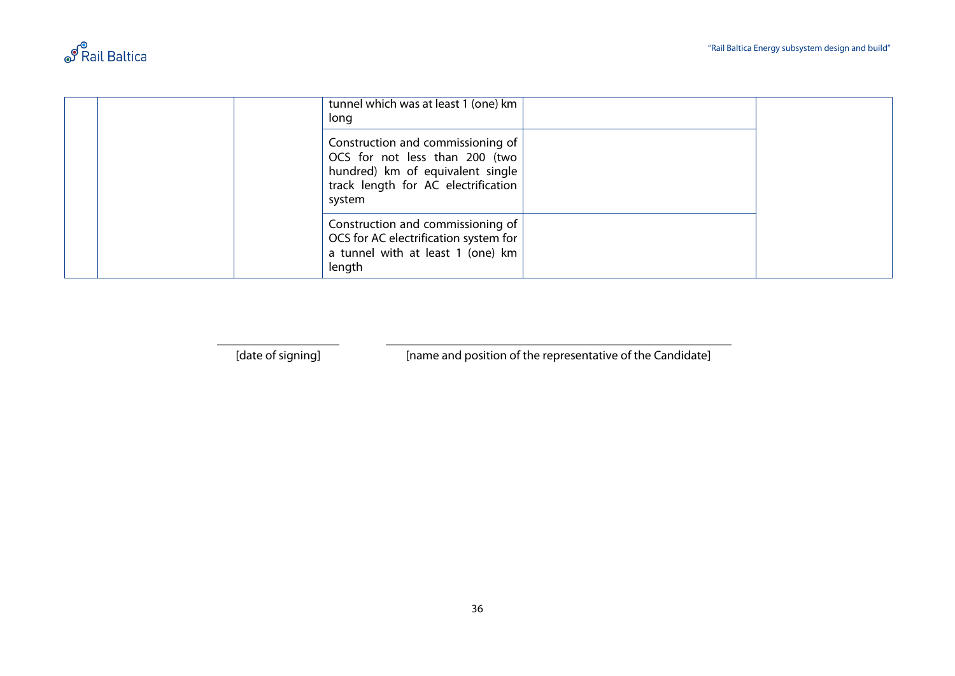

|  | tunnel which was at least 1 (one) km<br>long                                                                                                             |  |
|--|----------------------------------------------------------------------------------------------------------------------------------------------------------|--|
|  | Construction and commissioning of<br>OCS for not less than 200 (two<br>hundred) km of equivalent single<br>track length for AC electrification<br>system |  |
|  | Construction and commissioning of<br>OCS for AC electrification system for<br>a tunnel with at least 1 (one) km<br>length                                |  |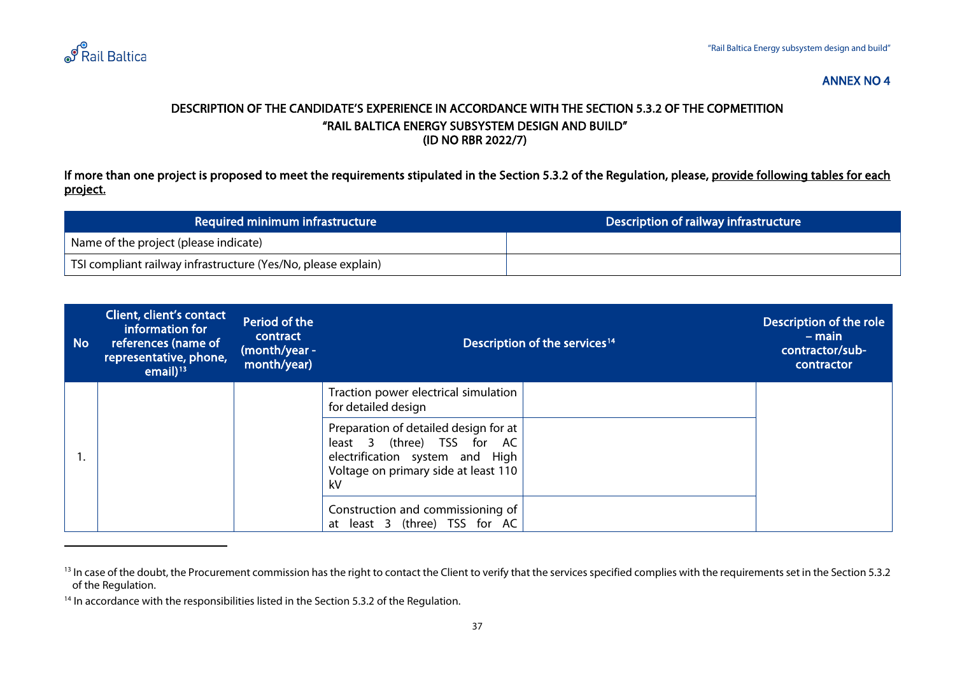

#### <span id="page-36-2"></span><span id="page-36-1"></span>DESCRIPTION OF THE CANDIDATE'S EXPERIENCE IN ACCORDANCE WITH THE SECTION 5.3.2 OF THE COPMETITION "RAIL BALTICA ENERGY SUBSYSTEM DESIGN AND BUILD" (ID NO RBR 2022/7)

If more than one project is proposed to meet the requirements stipulated in the Section 5.3.2 of the Regulation, please, provide following tables for each project.

| Required minimum infrastructure                               | Description of railway infrastructure |
|---------------------------------------------------------------|---------------------------------------|
| Name of the project (please indicate)                         |                                       |
| TSI compliant railway infrastructure (Yes/No, please explain) |                                       |

<span id="page-36-0"></span>

| <b>No</b> | <b>Client, client's contact</b><br>information for<br>references (name of<br>representative, phone,<br>email $1^{13}$ | Period of the<br>contract<br>(month/year -<br>month/year) | Description of the services <sup>14</sup>                                                                                                            | Description of the role<br>$-$ main<br>contractor/sub-<br>contractor |
|-----------|-----------------------------------------------------------------------------------------------------------------------|-----------------------------------------------------------|------------------------------------------------------------------------------------------------------------------------------------------------------|----------------------------------------------------------------------|
|           |                                                                                                                       |                                                           | Traction power electrical simulation<br>for detailed design                                                                                          |                                                                      |
|           |                                                                                                                       |                                                           | Preparation of detailed design for at<br>least 3 (three) TSS for AC<br>electrification system and High<br>Voltage on primary side at least 110<br>kV |                                                                      |
|           |                                                                                                                       |                                                           | Construction and commissioning of<br>at least 3 (three) TSS for AC                                                                                   |                                                                      |

<sup>&</sup>lt;sup>13</sup> In case of the doubt, the Procurement commission has the right to contact the Client to verify that the services specified complies with the requirements set in the Section 5.3.2 of the Regulation.

<sup>&</sup>lt;sup>14</sup> In accordance with the responsibilities listed in the Section 5.3.2 of the Regulation.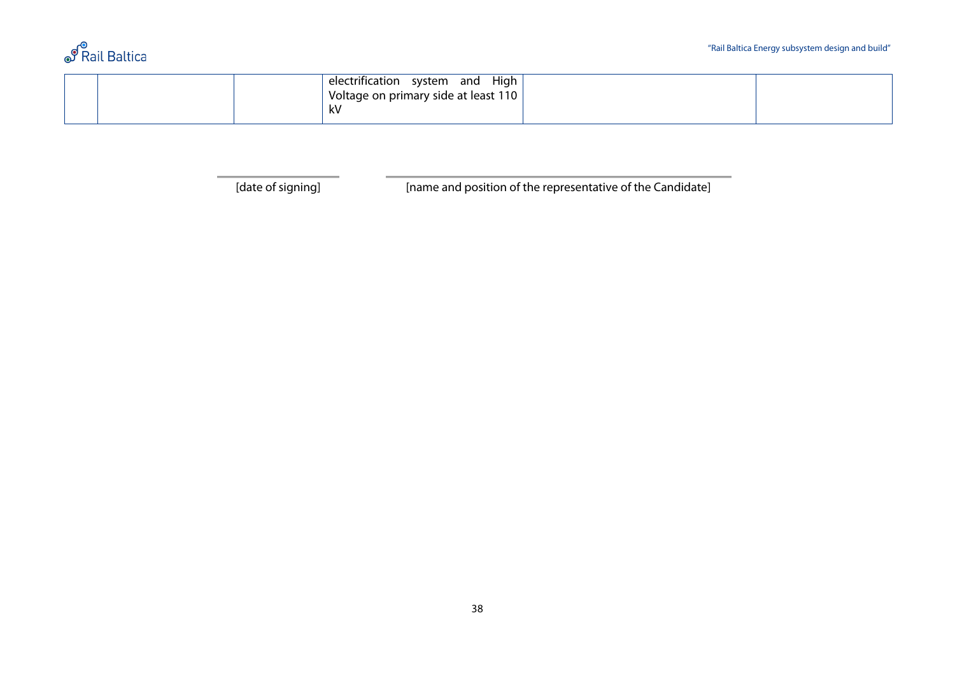|  | electrification | system<br>and                        | High |  |  |
|--|-----------------|--------------------------------------|------|--|--|
|  |                 | Voltage on primary side at least 110 |      |  |  |
|  | kV              |                                      |      |  |  |
|  |                 |                                      |      |  |  |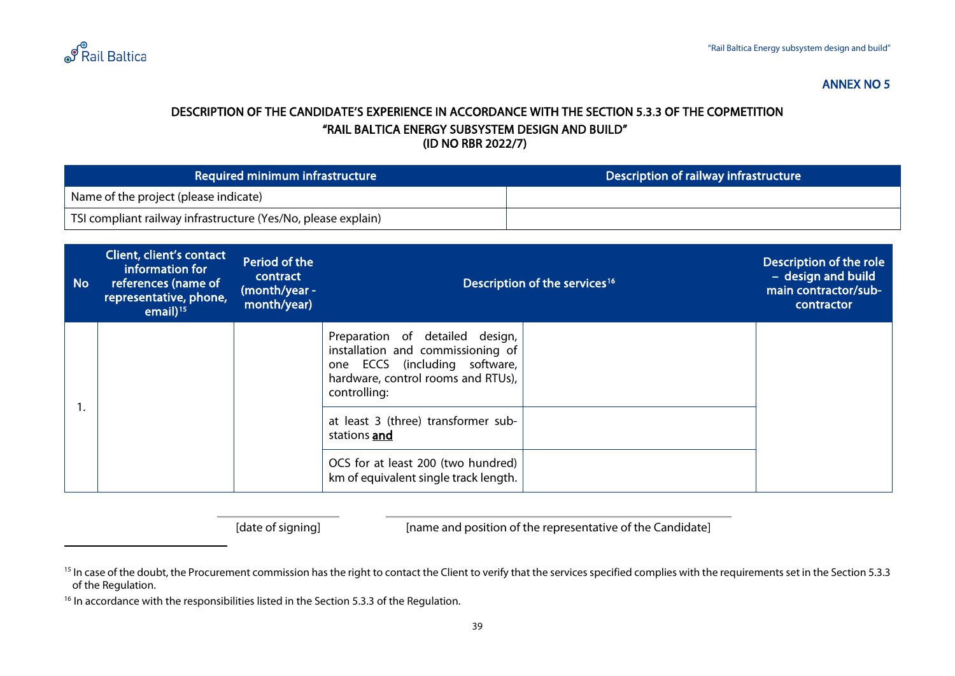

#### <span id="page-38-2"></span><span id="page-38-1"></span>DESCRIPTION OF THE CANDIDATE'S EXPERIENCE IN ACCORDANCE WITH THE SECTION 5.3.3 OF THE COPMETITION "RAIL BALTICA ENERGY SUBSYSTEM DESIGN AND BUILD" (ID NO RBR 2022/7)

| Required minimum infrastructure                               | Description of railway infrastructure |
|---------------------------------------------------------------|---------------------------------------|
| <sup>1</sup> Name of the project (please indicate)            |                                       |
| TSI compliant railway infrastructure (Yes/No, please explain) |                                       |

<span id="page-38-0"></span>

| <b>No</b> | Client, client's contact<br>information for<br>references (name of<br>representative, phone,<br>email $15$ | Period of the<br>contract<br>(month/year -<br>month/year) | Description of the services <sup>16</sup>                                                                                                                   | Description of the role<br>- design and build<br>main contractor/sub-<br>contractor |  |
|-----------|------------------------------------------------------------------------------------------------------------|-----------------------------------------------------------|-------------------------------------------------------------------------------------------------------------------------------------------------------------|-------------------------------------------------------------------------------------|--|
|           |                                                                                                            |                                                           | Preparation of detailed design,<br>installation and commissioning of<br>one ECCS (including software,<br>hardware, control rooms and RTUs),<br>controlling: |                                                                                     |  |
|           |                                                                                                            |                                                           | at least 3 (three) transformer sub-<br>stations and                                                                                                         |                                                                                     |  |
|           |                                                                                                            |                                                           | OCS for at least 200 (two hundred)<br>km of equivalent single track length.                                                                                 |                                                                                     |  |

<sup>&</sup>lt;sup>15</sup> In case of the doubt, the Procurement commission has the right to contact the Client to verify that the services specified complies with the requirements set in the Section 5.3.3 of the Regulation.

<sup>&</sup>lt;sup>16</sup> In accordance with the responsibilities listed in the Section 5.3.3 of the Regulation.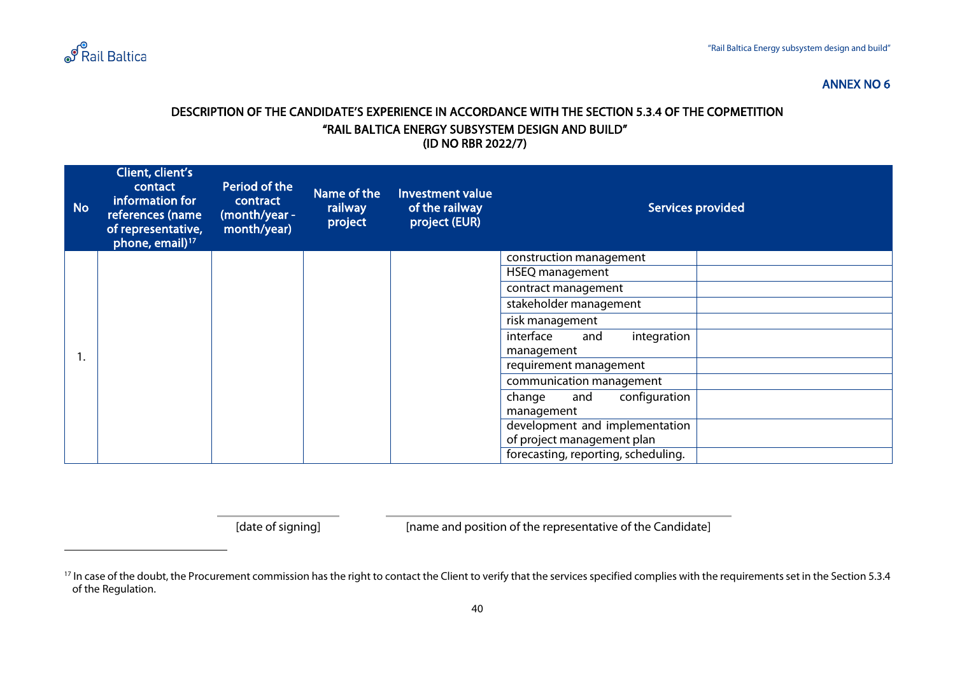

#### <span id="page-39-1"></span>DESCRIPTION OF THE CANDIDATE'S EXPERIENCE IN ACCORDANCE WITH THE SECTION 5.3.4 OF THE COPMETITION "RAIL BALTICA ENERGY SUBSYSTEM DESIGN AND BUILD" (ID NO RBR 2022/7)

<span id="page-39-0"></span>

| <b>No</b> | Client, client's<br>contact<br>information for<br>references (name<br>of representative,<br>phone, email) <sup>17</sup> | Period of the<br>contract<br>(month/year -<br>month/year) | Name of the<br>railway<br>project | <b>Investment value</b><br>of the railway<br>project (EUR) |                                     | <b>Services provided</b> |
|-----------|-------------------------------------------------------------------------------------------------------------------------|-----------------------------------------------------------|-----------------------------------|------------------------------------------------------------|-------------------------------------|--------------------------|
|           |                                                                                                                         |                                                           |                                   |                                                            | construction management             |                          |
|           |                                                                                                                         |                                                           |                                   |                                                            | <b>HSEQ</b> management              |                          |
|           |                                                                                                                         |                                                           |                                   |                                                            | contract management                 |                          |
|           |                                                                                                                         |                                                           |                                   |                                                            | stakeholder management              |                          |
|           |                                                                                                                         |                                                           |                                   |                                                            | risk management                     |                          |
|           |                                                                                                                         |                                                           |                                   |                                                            | integration<br>interface<br>and     |                          |
| ι.        |                                                                                                                         |                                                           |                                   |                                                            | management                          |                          |
|           |                                                                                                                         |                                                           |                                   |                                                            | requirement management              |                          |
|           |                                                                                                                         |                                                           |                                   |                                                            | communication management            |                          |
|           |                                                                                                                         |                                                           |                                   |                                                            | and<br>configuration<br>change      |                          |
|           |                                                                                                                         |                                                           |                                   |                                                            | management                          |                          |
|           |                                                                                                                         |                                                           |                                   |                                                            | development and implementation      |                          |
|           |                                                                                                                         |                                                           |                                   |                                                            | of project management plan          |                          |
|           |                                                                                                                         |                                                           |                                   |                                                            | forecasting, reporting, scheduling. |                          |

<sup>&</sup>lt;sup>17</sup> In case of the doubt, the Procurement commission has the right to contact the Client to verify that the services specified complies with the requirements set in the Section 5.3.4 of the Regulation.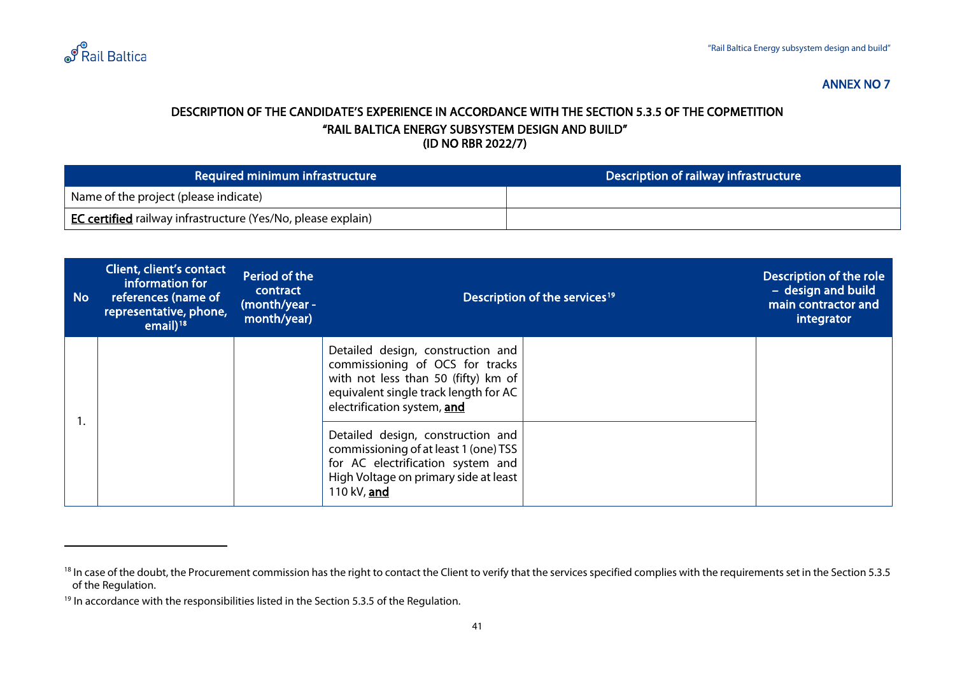

#### <span id="page-40-2"></span><span id="page-40-1"></span>DESCRIPTION OF THE CANDIDATE'S EXPERIENCE IN ACCORDANCE WITH THE SECTION 5.3.5 OF THE COPMETITION "RAIL BALTICA ENERGY SUBSYSTEM DESIGN AND BUILD" (ID NO RBR 2022/7)

| Required minimum infrastructure                                     | Description of railway infrastructure |
|---------------------------------------------------------------------|---------------------------------------|
| Name of the project (please indicate)                               |                                       |
| <b>EC certified</b> railway infrastructure (Yes/No, please explain) |                                       |

<span id="page-40-0"></span>

| <b>No</b> | Client, client's contact<br>information for<br>references (name of<br>representative, phone,<br>email $1^{18}$ | Period of the<br>contract<br>(month/year -<br>month/year) | Description of the services <sup>19</sup>                                                                                                                                           | Description of the role<br>- design and build<br>main contractor and<br>integrator |  |
|-----------|----------------------------------------------------------------------------------------------------------------|-----------------------------------------------------------|-------------------------------------------------------------------------------------------------------------------------------------------------------------------------------------|------------------------------------------------------------------------------------|--|
|           |                                                                                                                |                                                           | Detailed design, construction and<br>commissioning of OCS for tracks<br>with not less than 50 (fifty) km of<br>equivalent single track length for AC<br>electrification system, and |                                                                                    |  |
|           |                                                                                                                |                                                           | Detailed design, construction and<br>commissioning of at least 1 (one) TSS<br>for AC electrification system and<br>High Voltage on primary side at least<br>110 kV, and             |                                                                                    |  |

<sup>&</sup>lt;sup>18</sup> In case of the doubt, the Procurement commission has the right to contact the Client to verify that the services specified complies with the requirements set in the Section 5.3.5 of the Regulation.

<sup>&</sup>lt;sup>19</sup> In accordance with the responsibilities listed in the Section 5.3.5 of the Regulation.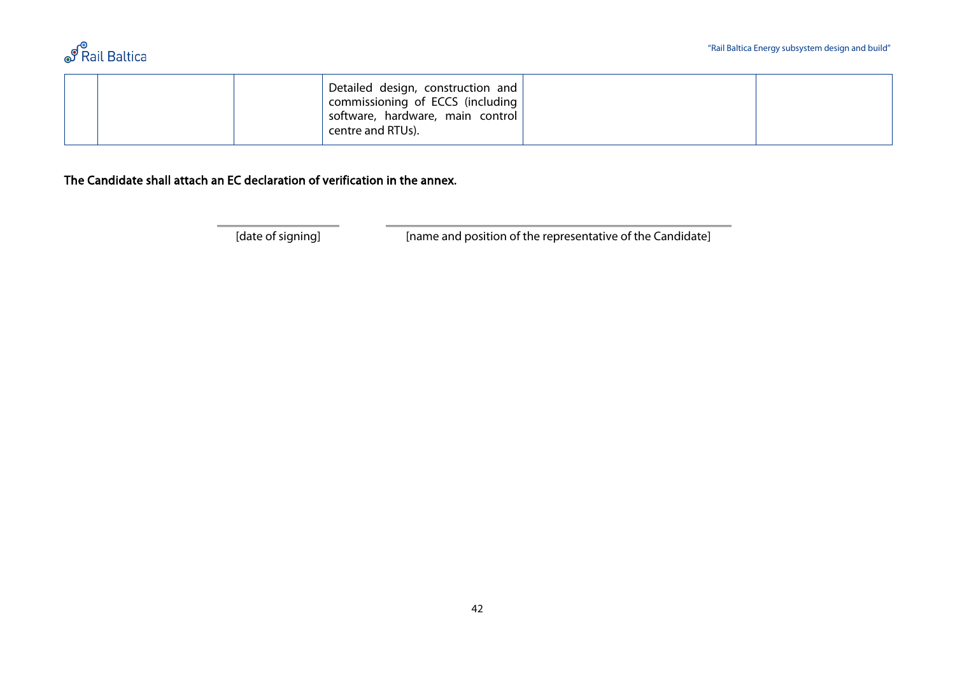

| Detailed design, construction and<br>commissioning of ECCS (including<br>software, hardware, main control<br><sup>1</sup> centre and RTUs). |  |  |
|---------------------------------------------------------------------------------------------------------------------------------------------|--|--|
|---------------------------------------------------------------------------------------------------------------------------------------------|--|--|

The Candidate shall attach an EC declaration of verification in the annex.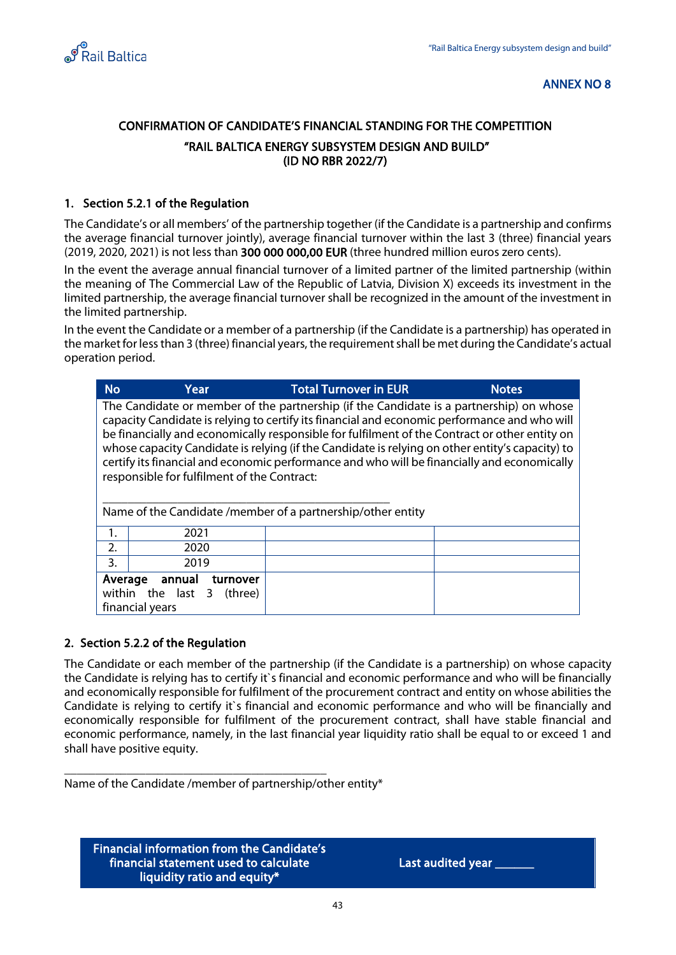<span id="page-42-0"></span>

## CONFIRMATION OF CANDIDATE'S FINANCIAL STANDING FOR THE COMPETITION "RAIL BALTICA ENERGY SUBSYSTEM DESIGN AND BUILD" (ID NO RBR 2022/7)

#### 1. Section 5.2.1 of the Regulation

The Candidate's or all members' of the partnership together (if the Candidate is a partnership and confirms the average financial turnover jointly), average financial turnover within the last 3 (three) financial years (2019, 2020, 2021) is not less than 300 000 000,00 EUR (three hundred million euros zero cents).

In the event the average annual financial turnover of a limited partner of the limited partnership (within the meaning of The Commercial Law of the Republic of Latvia, Division X) exceeds its investment in the limited partnership, the average financial turnover shall be recognized in the amount of the investment in the limited partnership.

In the event the Candidate or a member of a partnership (if the Candidate is a partnership) has operated in the market for less than 3 (three) financial years, the requirement shall be met during the Candidate's actual operation period.

| <b>No</b> | Year                                                                                                                                                                                                                                                                                                                                                                                                                                                                                                                                                                                                     | <b>Total Turnover in EUR</b> | <b>Notes</b> |  |  |  |
|-----------|----------------------------------------------------------------------------------------------------------------------------------------------------------------------------------------------------------------------------------------------------------------------------------------------------------------------------------------------------------------------------------------------------------------------------------------------------------------------------------------------------------------------------------------------------------------------------------------------------------|------------------------------|--------------|--|--|--|
|           | The Candidate or member of the partnership (if the Candidate is a partnership) on whose<br>capacity Candidate is relying to certify its financial and economic performance and who will<br>be financially and economically responsible for fulfilment of the Contract or other entity on<br>whose capacity Candidate is relying (if the Candidate is relying on other entity's capacity) to<br>certify its financial and economic performance and who will be financially and economically<br>responsible for fulfilment of the Contract:<br>Name of the Candidate /member of a partnership/other entity |                              |              |  |  |  |
| 1.        | 2021                                                                                                                                                                                                                                                                                                                                                                                                                                                                                                                                                                                                     |                              |              |  |  |  |
| 2.        | 2020                                                                                                                                                                                                                                                                                                                                                                                                                                                                                                                                                                                                     |                              |              |  |  |  |
| 3.        | 2019                                                                                                                                                                                                                                                                                                                                                                                                                                                                                                                                                                                                     |                              |              |  |  |  |
|           | Average<br>annual<br>turnover<br>within the<br>last 3<br>(three)<br>financial years                                                                                                                                                                                                                                                                                                                                                                                                                                                                                                                      |                              |              |  |  |  |

#### 2. Section 5.2.2 of the Regulation

The Candidate or each member of the partnership (if the Candidate is a partnership) on whose capacity the Candidate is relying has to certify it`s financial and economic performance and who will be financially and economically responsible for fulfilment of the procurement contract and entity on whose abilities the Candidate is relying to certify it`s financial and economic performance and who will be financially and economically responsible for fulfilment of the procurement contract, shall have stable financial and economic performance, namely, in the last financial year liquidity ratio shall be equal to or exceed 1 and shall have positive equity.

\_\_\_\_\_\_\_\_\_\_\_\_\_\_\_\_\_\_\_\_\_\_\_\_\_\_\_\_\_\_\_\_\_\_\_\_\_\_\_\_\_\_ Name of the Candidate /member of partnership/other entity\*

Financial information from the Candidate's financial statement used to calculate liquidity ratio and equity\*

Last audited year \_\_\_\_\_\_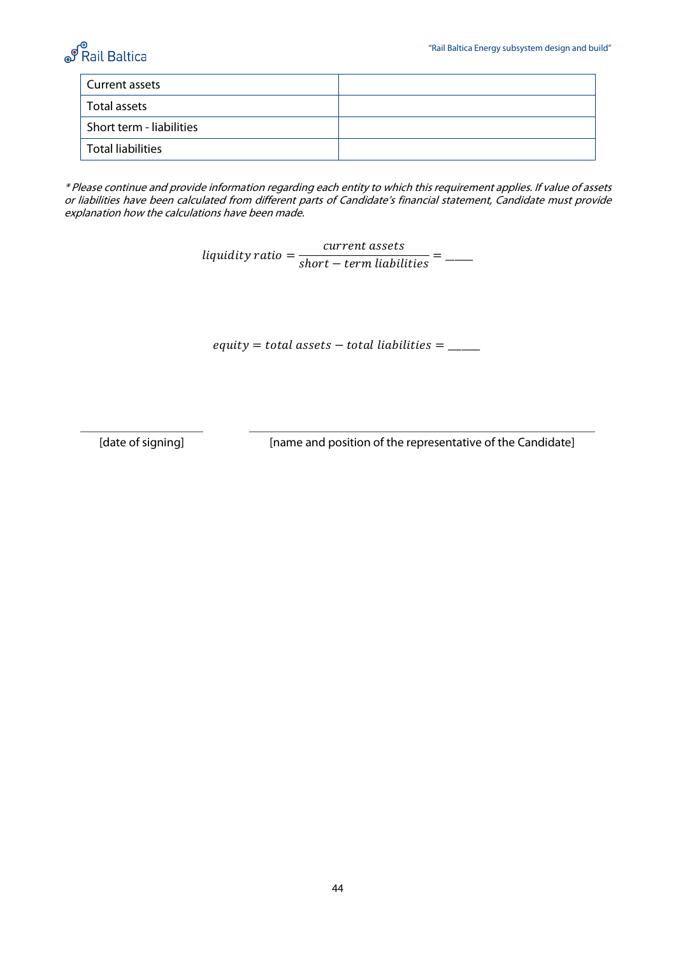

| Current assets           |  |
|--------------------------|--|
| Total assets             |  |
| Short term - liabilities |  |
| <b>Total liabilities</b> |  |

\* Please continue and provide information regarding each entity to which this requirement applies. If value of assets or liabilities have been calculated from different parts of Candidate's financial statement, Candidate must provide explanation how the calculations have been made.

liquidity ratio =  $\frac{current \; assets}{short-term \; liabilities}$  =  $\frac{1}{\sqrt{1-\frac{1}{1-\frac{1}{1-\frac{1}{1-\frac{1}{1-\frac{1}{1-\frac{1}{1-\frac{1}{1-\frac{1}{1-\frac{1}{1-\frac{1}{1-\frac{1}{1-\frac{1}{1-\frac{1}{1-\frac{1}{1-\frac{1}{1-\frac{1}{1-\frac{1}{1-\frac{1}{1-\frac{1}{1-\frac{1}{1-\frac{1}{1-\frac{1}{1-\frac{1}{1-\frac{1}{1-\frac{1}{1-\frac{1}{1-\frac{1}{1-\frac{1}{1-\frac{1}{1$ 

 $\text{equiv} = \text{total assets} - \text{total liabilities} = \_\_\_\_\_\_\$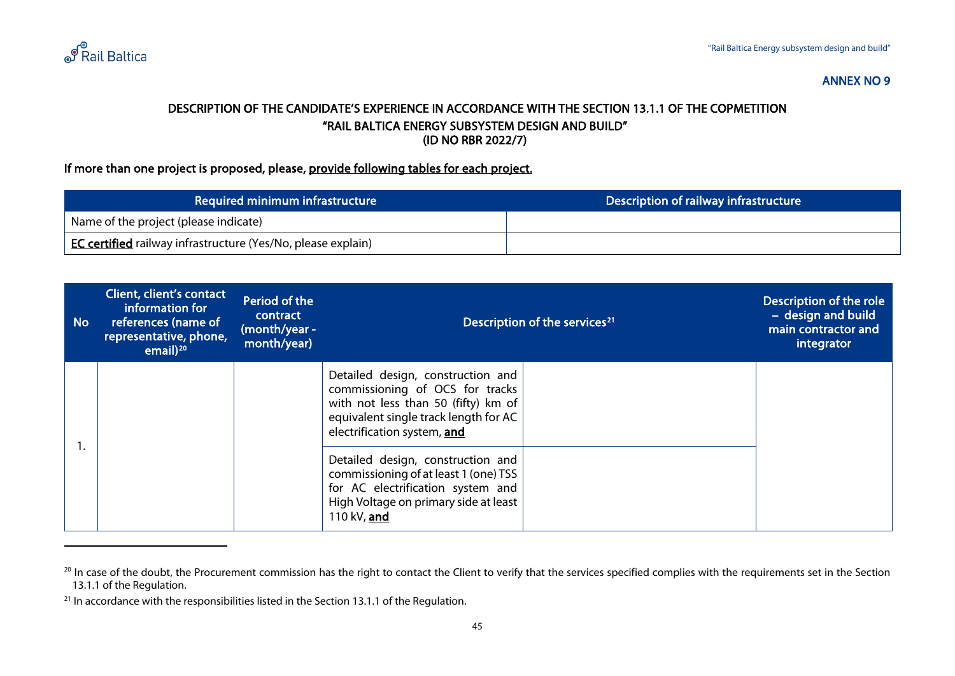

#### <span id="page-44-2"></span><span id="page-44-1"></span>DESCRIPTION OF THE CANDIDATE'S EXPERIENCE IN ACCORDANCE WITH THE SECTION 13.1.1 OF THE COPMETITION "RAIL BALTICA ENERGY SUBSYSTEM DESIGN AND BUILD" (ID NO RBR 2022/7)

#### If more than one project is proposed, please, <u>provide following tables for each project.</u>

| Required minimum infrastructure                                     | Description of railway infrastructure |
|---------------------------------------------------------------------|---------------------------------------|
| Name of the project (please indicate)                               |                                       |
| <b>EC certified</b> railway infrastructure (Yes/No, please explain) |                                       |

<span id="page-44-0"></span>

| <b>No</b> | Client, client's contact<br>information for<br>references (name of<br>representative, phone,<br>email $)^{20}$ | Period of the<br>contract<br>(month/year -<br>month/year) | Description of the services <sup>21</sup>                                                                                                                                           |  | Description of the role<br>- design and build<br>main contractor and<br>integrator |
|-----------|----------------------------------------------------------------------------------------------------------------|-----------------------------------------------------------|-------------------------------------------------------------------------------------------------------------------------------------------------------------------------------------|--|------------------------------------------------------------------------------------|
|           |                                                                                                                |                                                           | Detailed design, construction and<br>commissioning of OCS for tracks<br>with not less than 50 (fifty) km of<br>equivalent single track length for AC<br>electrification system, and |  |                                                                                    |
|           |                                                                                                                |                                                           | Detailed design, construction and<br>commissioning of at least 1 (one) TSS<br>for AC electrification system and<br>High Voltage on primary side at least<br>110 kV, and             |  |                                                                                    |

<sup>&</sup>lt;sup>20</sup> In case of the doubt, the Procurement commission has the right to contact the Client to verify that the services specified complies with the requirements set in the Section 13.1.1 of the Regulation.

 $21$  In accordance with the responsibilities listed in the Section 13.1.1 of the Regulation.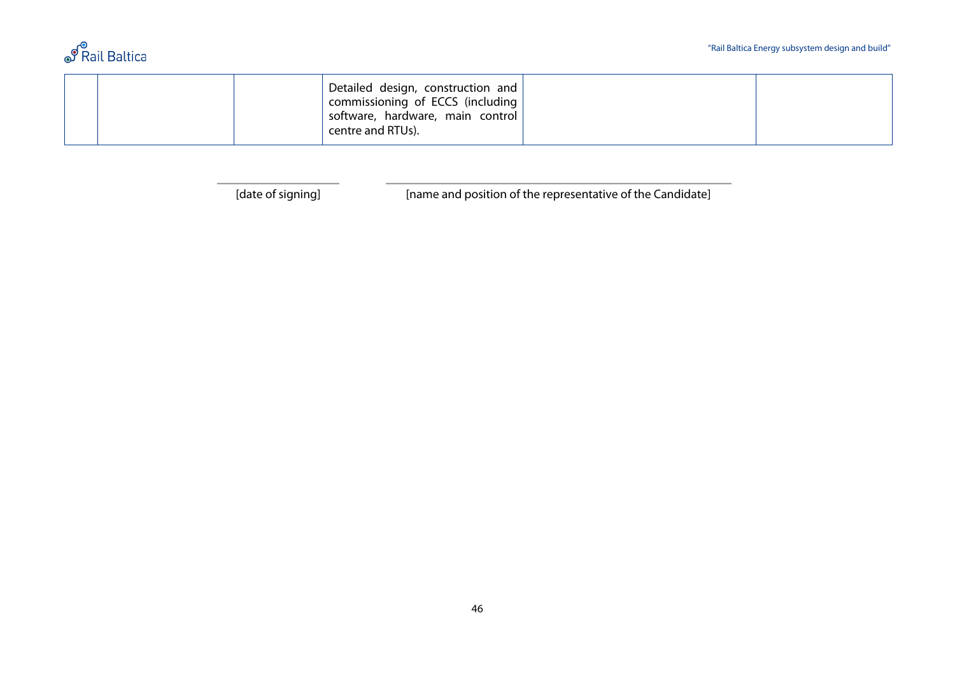

|  |  |  | Detailed design, construction and<br>commissioning of ECCS (including<br>software, hardware, main control<br>centre and RTUs). |  |  |
|--|--|--|--------------------------------------------------------------------------------------------------------------------------------|--|--|
|--|--|--|--------------------------------------------------------------------------------------------------------------------------------|--|--|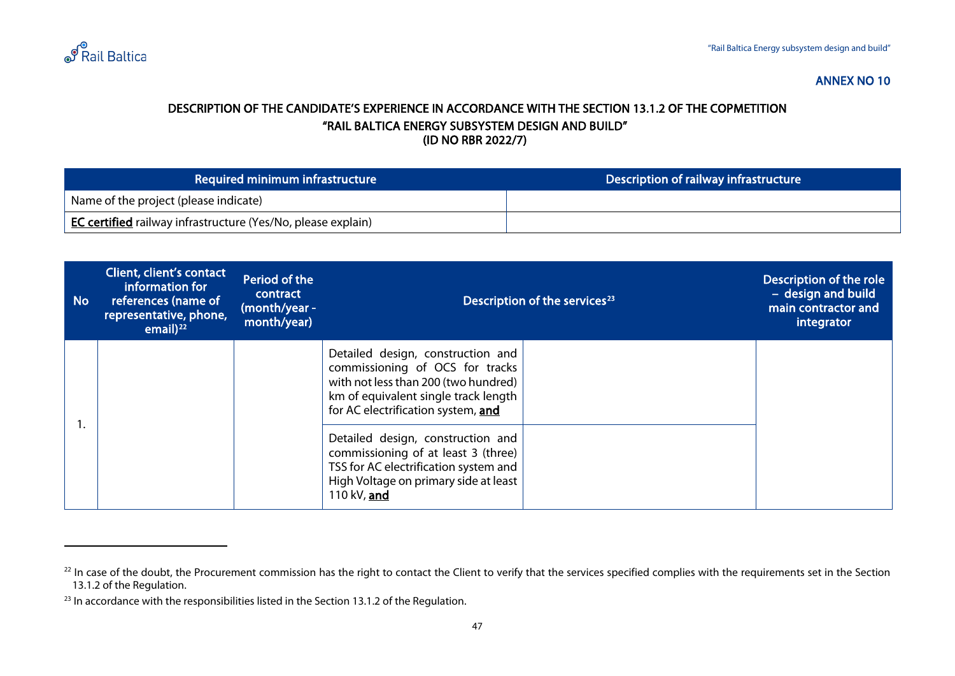

#### <span id="page-46-2"></span><span id="page-46-1"></span>DESCRIPTION OF THE CANDIDATE'S EXPERIENCE IN ACCORDANCE WITH THE SECTION 13.1.2 OF THE COPMETITION "RAIL BALTICA ENERGY SUBSYSTEM DESIGN AND BUILD" (ID NO RBR 2022/7)

| Required minimum infrastructure                                     | Description of railway infrastructure |
|---------------------------------------------------------------------|---------------------------------------|
| Name of the project (please indicate)                               |                                       |
| <b>EC certified</b> railway infrastructure (Yes/No, please explain) |                                       |

<span id="page-46-0"></span>

| <b>No</b> | Client, client's contact<br>information for<br>references (name of<br>representative, phone,<br>email $)^{22}$ | Period of the<br>contract<br>(month/year -<br>month/year) | Description of the services <sup>23</sup>                                                                                                                                                  |  | Description of the role<br>- design and build<br>main contractor and<br>integrator |
|-----------|----------------------------------------------------------------------------------------------------------------|-----------------------------------------------------------|--------------------------------------------------------------------------------------------------------------------------------------------------------------------------------------------|--|------------------------------------------------------------------------------------|
|           |                                                                                                                |                                                           | Detailed design, construction and<br>commissioning of OCS for tracks<br>with not less than 200 (two hundred)<br>km of equivalent single track length<br>for AC electrification system, and |  |                                                                                    |
|           |                                                                                                                |                                                           | Detailed design, construction and<br>commissioning of at least 3 (three)<br>TSS for AC electrification system and<br>High Voltage on primary side at least<br>110 kV, and                  |  |                                                                                    |

<sup>&</sup>lt;sup>22</sup> In case of the doubt, the Procurement commission has the right to contact the Client to verify that the services specified complies with the requirements set in the Section 13.1.2 of the Regulation.

 $23$  In accordance with the responsibilities listed in the Section 13.1.2 of the Regulation.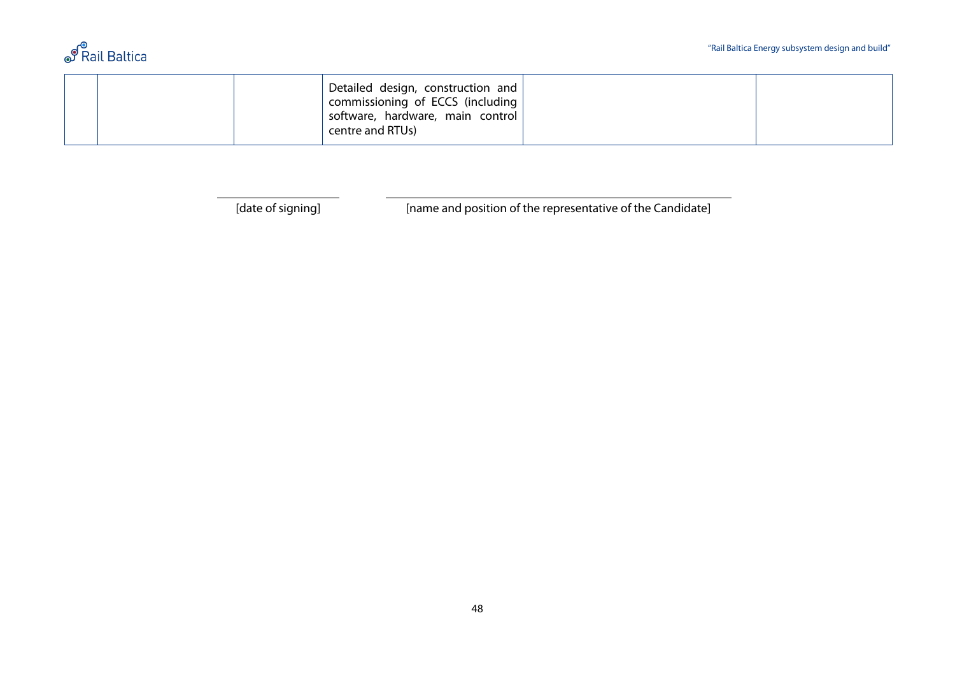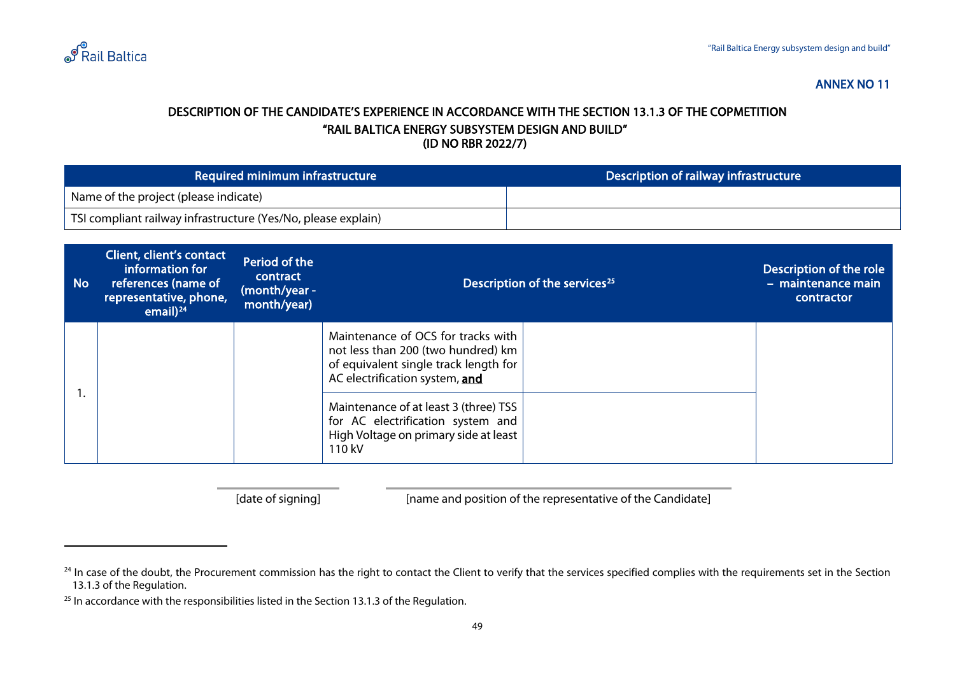

#### <span id="page-48-2"></span><span id="page-48-1"></span>DESCRIPTION OF THE CANDIDATE'S EXPERIENCE IN ACCORDANCE WITH THE SECTION 13.1.3 OF THE COPMETITION "RAIL BALTICA ENERGY SUBSYSTEM DESIGN AND BUILD" (ID NO RBR 2022/7)

| Required minimum infrastructure                               | Description of railway infrastructure |
|---------------------------------------------------------------|---------------------------------------|
| <sup>1</sup> Name of the project (please indicate)            |                                       |
| TSI compliant railway infrastructure (Yes/No, please explain) |                                       |

<span id="page-48-0"></span>

| <b>No</b> | Client, client's contact<br>information for<br>references (name of<br>representative, phone,<br>email) $^{24}$ | Period of the<br>contract<br>(month/year -<br>month/year) | Description of the services <sup>25</sup>                                                                                                           |  | Description of the role<br>- maintenance main<br>contractor |
|-----------|----------------------------------------------------------------------------------------------------------------|-----------------------------------------------------------|-----------------------------------------------------------------------------------------------------------------------------------------------------|--|-------------------------------------------------------------|
|           |                                                                                                                |                                                           | Maintenance of OCS for tracks with<br>not less than 200 (two hundred) km<br>of equivalent single track length for<br>AC electrification system, and |  |                                                             |
|           |                                                                                                                |                                                           | Maintenance of at least 3 (three) TSS<br>for AC electrification system and<br>High Voltage on primary side at least<br>110 kV                       |  |                                                             |

<sup>&</sup>lt;sup>24</sup> In case of the doubt, the Procurement commission has the right to contact the Client to verify that the services specified complies with the requirements set in the Section 13.1.3 of the Regulation.

 $25$  In accordance with the responsibilities listed in the Section 13.1.3 of the Regulation.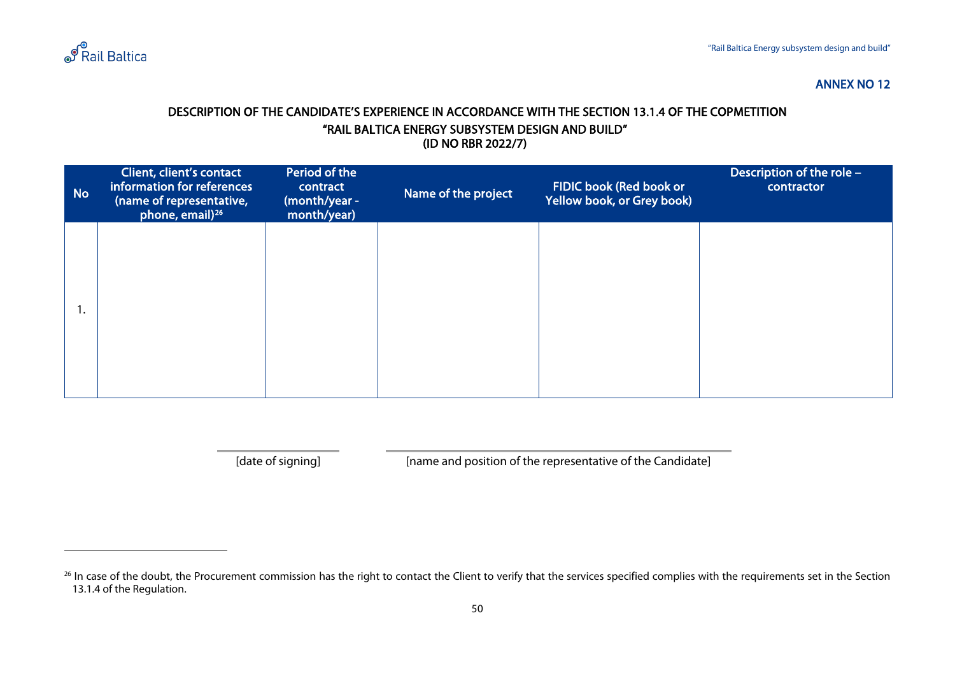

#### <span id="page-49-1"></span>DESCRIPTION OF THE CANDIDATE'S EXPERIENCE IN ACCORDANCE WITH THE SECTION 13.1.4 OF THE COPMETITION "RAIL BALTICA ENERGY SUBSYSTEM DESIGN AND BUILD" (ID NO RBR 2022/7)

| <b>No</b> | Client, client's contact<br>information for references<br>(name of representative,<br>phone, email) <sup>26</sup> | Period of the<br>contract<br>(month/year -<br>month/year) | Name of the project | FIDIC book (Red book or<br>Yellow book, or Grey book) | Description of the role $-$<br>contractor |
|-----------|-------------------------------------------------------------------------------------------------------------------|-----------------------------------------------------------|---------------------|-------------------------------------------------------|-------------------------------------------|
|           |                                                                                                                   |                                                           |                     |                                                       |                                           |
| . .       |                                                                                                                   |                                                           |                     |                                                       |                                           |
|           |                                                                                                                   |                                                           |                     |                                                       |                                           |

<span id="page-49-0"></span>

<sup>&</sup>lt;sup>26</sup> In case of the doubt, the Procurement commission has the right to contact the Client to verify that the services specified complies with the requirements set in the Section 13.1.4 of the Regulation.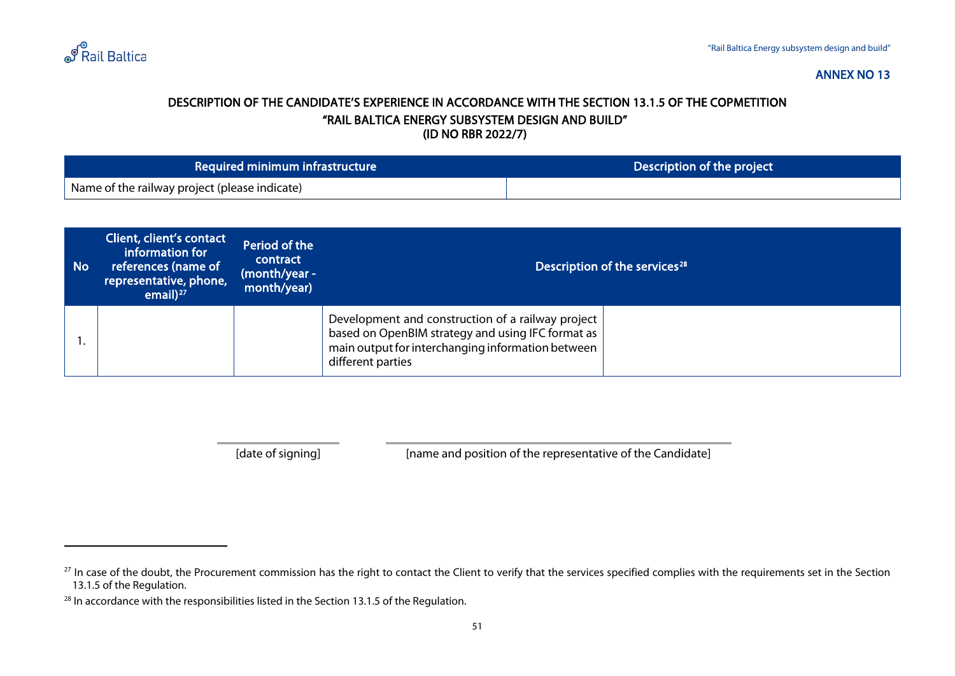

#### <span id="page-50-2"></span><span id="page-50-1"></span>DESCRIPTION OF THE CANDIDATE'S EXPERIENCE IN ACCORDANCE WITH THE SECTION 13.1.5 OF THE COPMETITION "RAIL BALTICA ENERGY SUBSYSTEM DESIGN AND BUILD" (ID NO RBR 2022/7)

| Required minimum infrastructure               | Description of the project |
|-----------------------------------------------|----------------------------|
| Name of the railway project (please indicate) |                            |

<span id="page-50-0"></span>

| <b>No</b> | Client, client's contact<br>information for<br>references (name of<br>representative, phone,<br>email $)^{27}$ | Period of the<br>contract<br>(month/year -<br>month/year) | Description of the services <sup>28</sup>                                                                                                                                        |  |
|-----------|----------------------------------------------------------------------------------------------------------------|-----------------------------------------------------------|----------------------------------------------------------------------------------------------------------------------------------------------------------------------------------|--|
|           |                                                                                                                |                                                           | Development and construction of a railway project<br>based on OpenBIM strategy and using IFC format as<br>main output for interchanging information between<br>different parties |  |

<sup>&</sup>lt;sup>27</sup> In case of the doubt, the Procurement commission has the right to contact the Client to verify that the services specified complies with the requirements set in the Section 13.1.5 of the Regulation.

<sup>&</sup>lt;sup>28</sup> In accordance with the responsibilities listed in the Section 13.1.5 of the Regulation.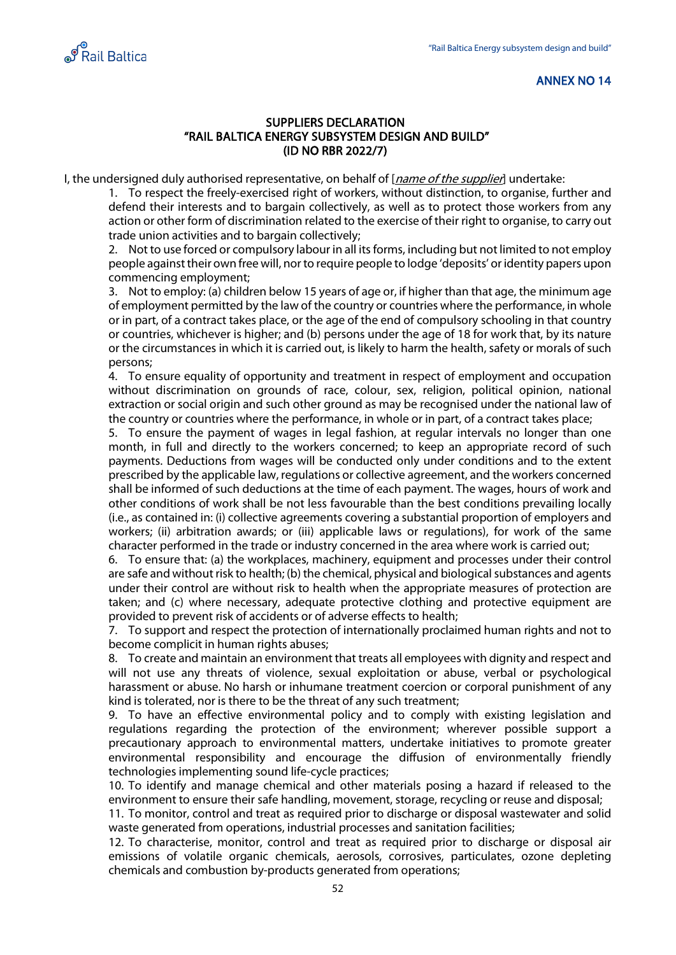<span id="page-51-0"></span>

#### SUPPLIERS DECLARATION "RAIL BALTICA ENERGY SUBSYSTEM DESIGN AND BUILD" (ID NO RBR 2022/7)

I, the undersigned duly authorised representative, on behalf of [*name of the supplier*] undertake:

1. To respect the freely-exercised right of workers, without distinction, to organise, further and defend their interests and to bargain collectively, as well as to protect those workers from any action or other form of discrimination related to the exercise of their right to organise, to carry out trade union activities and to bargain collectively;

2. Not to use forced or compulsory labour in all its forms, including but not limited to not employ people against their own free will, nor to require people to lodge 'deposits' or identity papers upon commencing employment;

3. Not to employ: (a) children below 15 years of age or, if higher than that age, the minimum age of employment permitted by the law of the country or countries where the performance, in whole or in part, of a contract takes place, or the age of the end of compulsory schooling in that country or countries, whichever is higher; and (b) persons under the age of 18 for work that, by its nature or the circumstances in which it is carried out, is likely to harm the health, safety or morals of such persons;

4. To ensure equality of opportunity and treatment in respect of employment and occupation without discrimination on grounds of race, colour, sex, religion, political opinion, national extraction or social origin and such other ground as may be recognised under the national law of the country or countries where the performance, in whole or in part, of a contract takes place;

5. To ensure the payment of wages in legal fashion, at regular intervals no longer than one month, in full and directly to the workers concerned; to keep an appropriate record of such payments. Deductions from wages will be conducted only under conditions and to the extent prescribed by the applicable law, regulations or collective agreement, and the workers concerned shall be informed of such deductions at the time of each payment. The wages, hours of work and other conditions of work shall be not less favourable than the best conditions prevailing locally (i.e., as contained in: (i) collective agreements covering a substantial proportion of employers and workers; (ii) arbitration awards; or (iii) applicable laws or regulations), for work of the same character performed in the trade or industry concerned in the area where work is carried out;

6. To ensure that: (a) the workplaces, machinery, equipment and processes under their control are safe and without risk to health; (b) the chemical, physical and biological substances and agents under their control are without risk to health when the appropriate measures of protection are taken; and (c) where necessary, adequate protective clothing and protective equipment are provided to prevent risk of accidents or of adverse effects to health;

7. To support and respect the protection of internationally proclaimed human rights and not to become complicit in human rights abuses;

8. To create and maintain an environment that treats all employees with dignity and respect and will not use any threats of violence, sexual exploitation or abuse, verbal or psychological harassment or abuse. No harsh or inhumane treatment coercion or corporal punishment of any kind is tolerated, nor is there to be the threat of any such treatment;

9. To have an effective environmental policy and to comply with existing legislation and regulations regarding the protection of the environment; wherever possible support a precautionary approach to environmental matters, undertake initiatives to promote greater environmental responsibility and encourage the diffusion of environmentally friendly technologies implementing sound life-cycle practices;

10. To identify and manage chemical and other materials posing a hazard if released to the environment to ensure their safe handling, movement, storage, recycling or reuse and disposal;

11. To monitor, control and treat as required prior to discharge or disposal wastewater and solid waste generated from operations, industrial processes and sanitation facilities;

12. To characterise, monitor, control and treat as required prior to discharge or disposal air emissions of volatile organic chemicals, aerosols, corrosives, particulates, ozone depleting chemicals and combustion by-products generated from operations;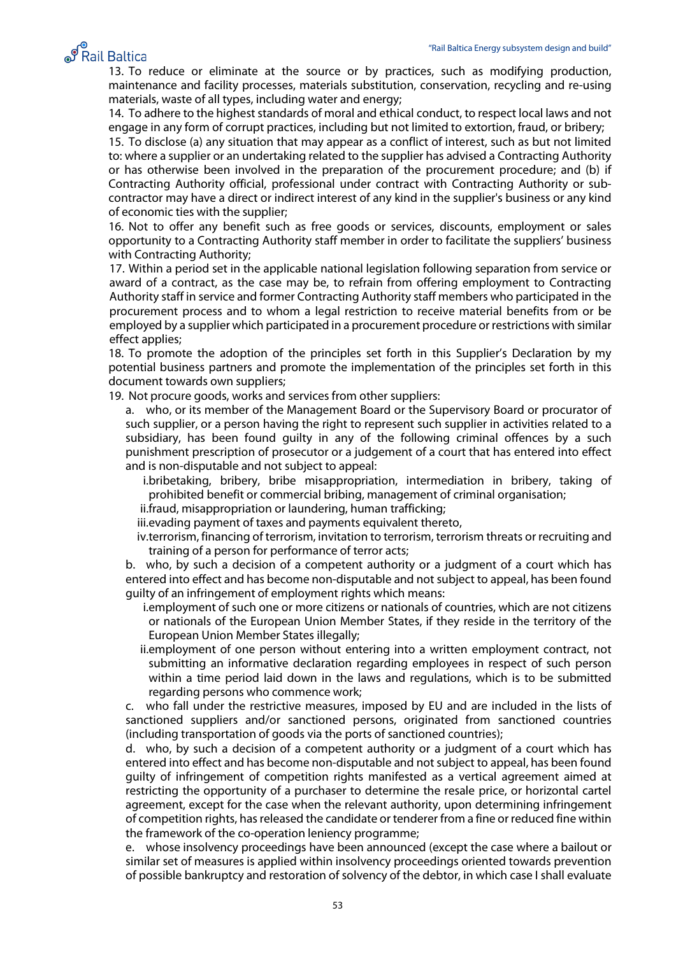# ூ<br>Rail Baltica

13. To reduce or eliminate at the source or by practices, such as modifying production, maintenance and facility processes, materials substitution, conservation, recycling and re-using materials, waste of all types, including water and energy;

14. To adhere to the highest standards of moral and ethical conduct, to respect local laws and not engage in any form of corrupt practices, including but not limited to extortion, fraud, or bribery;

15. To disclose (a) any situation that may appear as a conflict of interest, such as but not limited to: where a supplier or an undertaking related to the supplier has advised a Contracting Authority or has otherwise been involved in the preparation of the procurement procedure; and (b) if Contracting Authority official, professional under contract with Contracting Authority or subcontractor may have a direct or indirect interest of any kind in the supplier's business or any kind of economic ties with the supplier;

16. Not to offer any benefit such as free goods or services, discounts, employment or sales opportunity to a Contracting Authority staff member in order to facilitate the suppliers' business with Contracting Authority;

17. Within a period set in the applicable national legislation following separation from service or award of a contract, as the case may be, to refrain from offering employment to Contracting Authority staff in service and former Contracting Authority staff members who participated in the procurement process and to whom a legal restriction to receive material benefits from or be employed by a supplier which participated in a procurement procedure or restrictions with similar effect applies;

18. To promote the adoption of the principles set forth in this Supplier's Declaration by my potential business partners and promote the implementation of the principles set forth in this document towards own suppliers;

19. Not procure goods, works and services from other suppliers:

a. who, or its member of the Management Board or the Supervisory Board or procurator of such supplier, or a person having the right to represent such supplier in activities related to a subsidiary, has been found guilty in any of the following criminal offences by a such punishment prescription of prosecutor or a judgement of a court that has entered into effect and is non-disputable and not subject to appeal:

i.bribetaking, bribery, bribe misappropriation, intermediation in bribery, taking of prohibited benefit or commercial bribing, management of criminal organisation;

ii.fraud, misappropriation or laundering, human trafficking;

iii.evading payment of taxes and payments equivalent thereto,

iv.terrorism, financing of terrorism, invitation to terrorism, terrorism threats or recruiting and training of a person for performance of terror acts;

b. who, by such a decision of a competent authority or a judgment of a court which has entered into effect and has become non-disputable and not subject to appeal, has been found guilty of an infringement of employment rights which means:

- i.employment of such one or more citizens or nationals of countries, which are not citizens or nationals of the European Union Member States, if they reside in the territory of the European Union Member States illegally;
- ii.employment of one person without entering into a written employment contract, not submitting an informative declaration regarding employees in respect of such person within a time period laid down in the laws and regulations, which is to be submitted regarding persons who commence work;

c. who fall under the restrictive measures, imposed by EU and are included in the lists of sanctioned suppliers and/or sanctioned persons, originated from sanctioned countries (including transportation of goods via the ports of sanctioned countries);

d. who, by such a decision of a competent authority or a judgment of a court which has entered into effect and has become non-disputable and not subject to appeal, has been found guilty of infringement of competition rights manifested as a vertical agreement aimed at restricting the opportunity of a purchaser to determine the resale price, or horizontal cartel agreement, except for the case when the relevant authority, upon determining infringement of competition rights, has released the candidate or tenderer from a fine or reduced fine within the framework of the co-operation leniency programme;

e. whose insolvency proceedings have been announced (except the case where a bailout or similar set of measures is applied within insolvency proceedings oriented towards prevention of possible bankruptcy and restoration of solvency of the debtor, in which case I shall evaluate